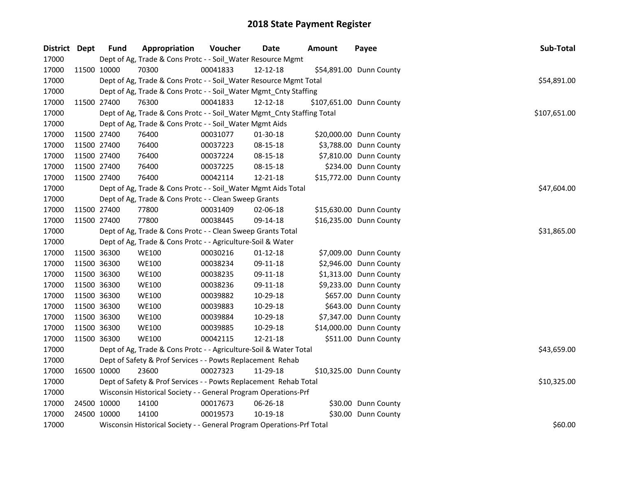| District Dept | <b>Fund</b> | Appropriation                                                          | Voucher     | <b>Date</b>    | <b>Amount</b> | Payee                    | Sub-Total    |
|---------------|-------------|------------------------------------------------------------------------|-------------|----------------|---------------|--------------------------|--------------|
| 17000         |             | Dept of Ag, Trade & Cons Protc - - Soil_Water Resource Mgmt            |             |                |               |                          |              |
| 17000         | 11500 10000 | 70300                                                                  | 00041833    | 12-12-18       |               | \$54,891.00 Dunn County  |              |
| 17000         |             | Dept of Ag, Trade & Cons Protc - - Soil_Water Resource Mgmt Total      |             |                |               |                          | \$54,891.00  |
| 17000         |             | Dept of Ag, Trade & Cons Protc - - Soil_Water Mgmt_Cnty Staffing       |             |                |               |                          |              |
| 17000         | 11500 27400 | 76300                                                                  | 00041833    | 12-12-18       |               | \$107,651.00 Dunn County |              |
| 17000         |             | Dept of Ag, Trade & Cons Protc - - Soil_Water Mgmt_Cnty Staffing Total |             |                |               |                          | \$107,651.00 |
| 17000         |             | Dept of Ag, Trade & Cons Protc - - Soil Water Mgmt Aids                |             |                |               |                          |              |
| 17000         | 11500 27400 | 76400                                                                  | 00031077    | 01-30-18       |               | \$20,000.00 Dunn County  |              |
| 17000         | 11500 27400 | 76400                                                                  | 00037223    | 08-15-18       |               | \$3,788.00 Dunn County   |              |
| 17000         | 11500 27400 | 76400                                                                  | 00037224    | 08-15-18       |               | \$7,810.00 Dunn County   |              |
| 17000         | 11500 27400 | 76400                                                                  | 00037225    | 08-15-18       |               | \$234.00 Dunn County     |              |
| 17000         | 11500 27400 | 76400                                                                  | 00042114    | 12-21-18       |               | \$15,772.00 Dunn County  |              |
| 17000         |             | Dept of Ag, Trade & Cons Protc - - Soil_Water Mgmt Aids Total          |             |                |               |                          | \$47,604.00  |
| 17000         |             | Dept of Ag, Trade & Cons Protc - - Clean Sweep Grants                  |             |                |               |                          |              |
| 17000         | 11500 27400 | 77800                                                                  | 00031409    | 02-06-18       |               | \$15,630.00 Dunn County  |              |
| 17000         | 11500 27400 | 77800                                                                  | 00038445    | 09-14-18       |               | \$16,235.00 Dunn County  |              |
| 17000         |             | Dept of Ag, Trade & Cons Protc - - Clean Sweep Grants Total            | \$31,865.00 |                |               |                          |              |
| 17000         |             | Dept of Ag, Trade & Cons Protc - - Agriculture-Soil & Water            |             |                |               |                          |              |
| 17000         | 11500 36300 | <b>WE100</b>                                                           | 00030216    | $01 - 12 - 18$ |               | \$7,009.00 Dunn County   |              |
| 17000         | 11500 36300 | <b>WE100</b>                                                           | 00038234    | 09-11-18       |               | \$2,946.00 Dunn County   |              |
| 17000         | 11500 36300 | <b>WE100</b>                                                           | 00038235    | 09-11-18       |               | \$1,313.00 Dunn County   |              |
| 17000         | 11500 36300 | <b>WE100</b>                                                           | 00038236    | 09-11-18       |               | \$9,233.00 Dunn County   |              |
| 17000         | 11500 36300 | <b>WE100</b>                                                           | 00039882    | 10-29-18       |               | \$657.00 Dunn County     |              |
| 17000         | 11500 36300 | <b>WE100</b>                                                           | 00039883    | 10-29-18       |               | \$643.00 Dunn County     |              |
| 17000         | 11500 36300 | <b>WE100</b>                                                           | 00039884    | 10-29-18       |               | \$7,347.00 Dunn County   |              |
| 17000         | 11500 36300 | <b>WE100</b>                                                           | 00039885    | 10-29-18       |               | \$14,000.00 Dunn County  |              |
| 17000         | 11500 36300 | <b>WE100</b>                                                           | 00042115    | 12-21-18       |               | \$511.00 Dunn County     |              |
| 17000         |             | Dept of Ag, Trade & Cons Protc - - Agriculture-Soil & Water Total      |             |                |               |                          | \$43,659.00  |
| 17000         |             | Dept of Safety & Prof Services - - Powts Replacement Rehab             |             |                |               |                          |              |
| 17000         | 16500 10000 | 23600                                                                  | 00027323    | 11-29-18       |               | \$10,325.00 Dunn County  |              |
| 17000         |             | Dept of Safety & Prof Services - - Powts Replacement Rehab Total       |             |                |               |                          | \$10,325.00  |
| 17000         |             | Wisconsin Historical Society - - General Program Operations-Prf        |             |                |               |                          |              |
| 17000         | 24500 10000 | 14100                                                                  | 00017673    | 06-26-18       |               | \$30.00 Dunn County      |              |
| 17000         | 24500 10000 | 14100                                                                  | 00019573    | 10-19-18       |               | \$30.00 Dunn County      |              |
| 17000         |             | Wisconsin Historical Society - - General Program Operations-Prf Total  |             |                |               |                          | \$60.00      |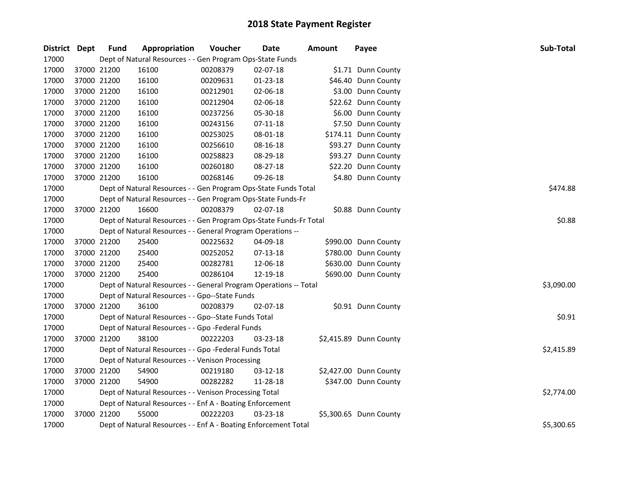| District Dept | <b>Fund</b> | Appropriation                                                      | Voucher  | Date           | <b>Amount</b> | Payee                  | Sub-Total  |  |  |  |
|---------------|-------------|--------------------------------------------------------------------|----------|----------------|---------------|------------------------|------------|--|--|--|
| 17000         |             | Dept of Natural Resources - - Gen Program Ops-State Funds          |          |                |               |                        |            |  |  |  |
| 17000         | 37000 21200 | 16100                                                              | 00208379 | 02-07-18       |               | \$1.71 Dunn County     |            |  |  |  |
| 17000         | 37000 21200 | 16100                                                              | 00209631 | 01-23-18       |               | \$46.40 Dunn County    |            |  |  |  |
| 17000         | 37000 21200 | 16100                                                              | 00212901 | 02-06-18       |               | \$3.00 Dunn County     |            |  |  |  |
| 17000         | 37000 21200 | 16100                                                              | 00212904 | 02-06-18       |               | \$22.62 Dunn County    |            |  |  |  |
| 17000         | 37000 21200 | 16100                                                              | 00237256 | 05-30-18       |               | \$6.00 Dunn County     |            |  |  |  |
| 17000         | 37000 21200 | 16100                                                              | 00243156 | $07 - 11 - 18$ |               | \$7.50 Dunn County     |            |  |  |  |
| 17000         | 37000 21200 | 16100                                                              | 00253025 | 08-01-18       |               | \$174.11 Dunn County   |            |  |  |  |
| 17000         | 37000 21200 | 16100                                                              | 00256610 | 08-16-18       |               | \$93.27 Dunn County    |            |  |  |  |
| 17000         | 37000 21200 | 16100                                                              | 00258823 | 08-29-18       |               | \$93.27 Dunn County    |            |  |  |  |
| 17000         | 37000 21200 | 16100                                                              | 00260180 | 08-27-18       |               | \$22.20 Dunn County    |            |  |  |  |
| 17000         | 37000 21200 | 16100                                                              | 00268146 | 09-26-18       |               | \$4.80 Dunn County     |            |  |  |  |
| 17000         |             | Dept of Natural Resources - - Gen Program Ops-State Funds Total    |          |                |               |                        | \$474.88   |  |  |  |
| 17000         |             | Dept of Natural Resources - - Gen Program Ops-State Funds-Fr       |          |                |               |                        |            |  |  |  |
| 17000         | 37000 21200 | 16600                                                              | 00208379 | 02-07-18       |               | \$0.88 Dunn County     |            |  |  |  |
| 17000         |             | Dept of Natural Resources - - Gen Program Ops-State Funds-Fr Total |          |                |               |                        |            |  |  |  |
| 17000         |             | Dept of Natural Resources - - General Program Operations --        |          |                |               |                        |            |  |  |  |
| 17000         | 37000 21200 | 25400                                                              | 00225632 | 04-09-18       |               | \$990.00 Dunn County   |            |  |  |  |
| 17000         | 37000 21200 | 25400                                                              | 00252052 | 07-13-18       |               | \$780.00 Dunn County   |            |  |  |  |
| 17000         | 37000 21200 | 25400                                                              | 00282781 | 12-06-18       |               | \$630.00 Dunn County   |            |  |  |  |
| 17000         | 37000 21200 | 25400                                                              | 00286104 | 12-19-18       |               | \$690.00 Dunn County   |            |  |  |  |
| 17000         |             | Dept of Natural Resources - - General Program Operations -- Total  |          |                |               |                        | \$3,090.00 |  |  |  |
| 17000         |             | Dept of Natural Resources - - Gpo--State Funds                     |          |                |               |                        |            |  |  |  |
| 17000         | 37000 21200 | 36100                                                              | 00208379 | $02 - 07 - 18$ |               | \$0.91 Dunn County     |            |  |  |  |
| 17000         |             | Dept of Natural Resources - - Gpo--State Funds Total               |          |                |               |                        | \$0.91     |  |  |  |
| 17000         |             | Dept of Natural Resources - - Gpo -Federal Funds                   |          |                |               |                        |            |  |  |  |
| 17000         | 37000 21200 | 38100                                                              | 00222203 | 03-23-18       |               | \$2,415.89 Dunn County |            |  |  |  |
| 17000         |             | Dept of Natural Resources - - Gpo -Federal Funds Total             |          |                |               |                        | \$2,415.89 |  |  |  |
| 17000         |             | Dept of Natural Resources - - Venison Processing                   |          |                |               |                        |            |  |  |  |
| 17000         | 37000 21200 | 54900                                                              | 00219180 | 03-12-18       |               | \$2,427.00 Dunn County |            |  |  |  |
| 17000         | 37000 21200 | 54900                                                              | 00282282 | 11-28-18       |               | \$347.00 Dunn County   |            |  |  |  |
| 17000         |             | Dept of Natural Resources - - Venison Processing Total             |          |                |               |                        | \$2,774.00 |  |  |  |
| 17000         |             | Dept of Natural Resources - - Enf A - Boating Enforcement          |          |                |               |                        |            |  |  |  |
| 17000         | 37000 21200 | 55000                                                              | 00222203 | 03-23-18       |               | \$5,300.65 Dunn County |            |  |  |  |
| 17000         |             | Dept of Natural Resources - - Enf A - Boating Enforcement Total    |          |                |               |                        | \$5,300.65 |  |  |  |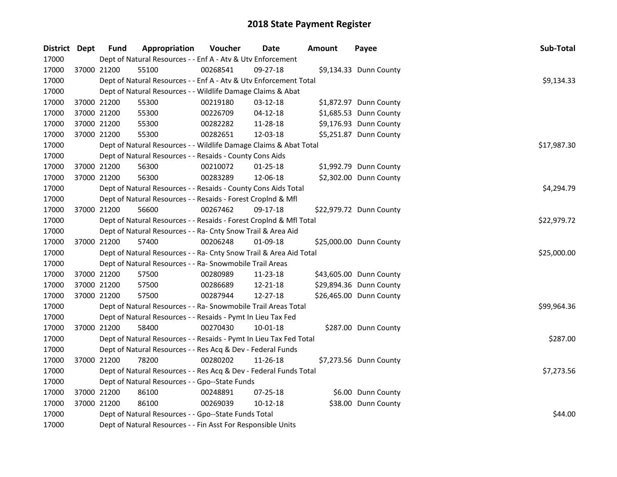| District Dept |             | <b>Fund</b>                                                        | Appropriation | Voucher  | <b>Date</b>    | <b>Amount</b> | Payee                   | Sub-Total   |
|---------------|-------------|--------------------------------------------------------------------|---------------|----------|----------------|---------------|-------------------------|-------------|
| 17000         |             | Dept of Natural Resources - - Enf A - Atv & Utv Enforcement        |               |          |                |               |                         |             |
| 17000         |             | 37000 21200<br>55100                                               |               | 00268541 | 09-27-18       |               | \$9,134.33 Dunn County  |             |
| 17000         |             | Dept of Natural Resources - - Enf A - Atv & Utv Enforcement Total  |               |          |                |               |                         | \$9,134.33  |
| 17000         |             | Dept of Natural Resources - - Wildlife Damage Claims & Abat        |               |          |                |               |                         |             |
| 17000         |             | 55300<br>37000 21200                                               |               | 00219180 | 03-12-18       |               | \$1,872.97 Dunn County  |             |
| 17000         | 37000 21200 | 55300                                                              |               | 00226709 | $04 - 12 - 18$ |               | \$1,685.53 Dunn County  |             |
| 17000         | 37000 21200 | 55300                                                              |               | 00282282 | 11-28-18       |               | \$9,176.93 Dunn County  |             |
| 17000         | 37000 21200 | 55300                                                              |               | 00282651 | 12-03-18       |               | \$5,251.87 Dunn County  |             |
| 17000         |             | Dept of Natural Resources - - Wildlife Damage Claims & Abat Total  |               |          |                |               |                         | \$17,987.30 |
| 17000         |             | Dept of Natural Resources - - Resaids - County Cons Aids           |               |          |                |               |                         |             |
| 17000         |             | 37000 21200<br>56300                                               |               | 00210072 | $01 - 25 - 18$ |               | \$1,992.79 Dunn County  |             |
| 17000         |             | 37000 21200<br>56300                                               |               | 00283289 | 12-06-18       |               | \$2,302.00 Dunn County  |             |
| 17000         |             | Dept of Natural Resources - - Resaids - County Cons Aids Total     |               |          |                |               |                         | \$4,294.79  |
| 17000         |             | Dept of Natural Resources - - Resaids - Forest Croplnd & Mfl       |               |          |                |               |                         |             |
| 17000         |             | 37000 21200<br>56600                                               |               | 00267462 | 09-17-18       |               | \$22,979.72 Dunn County |             |
| 17000         |             | Dept of Natural Resources - - Resaids - Forest CropInd & Mfl Total |               |          | \$22,979.72    |               |                         |             |
| 17000         |             | Dept of Natural Resources - - Ra- Cnty Snow Trail & Area Aid       |               |          |                |               |                         |             |
| 17000         |             | 57400<br>37000 21200                                               |               | 00206248 | 01-09-18       |               | \$25,000.00 Dunn County |             |
| 17000         |             | Dept of Natural Resources - - Ra- Cnty Snow Trail & Area Aid Total |               |          |                |               |                         | \$25,000.00 |
| 17000         |             | Dept of Natural Resources - - Ra- Snowmobile Trail Areas           |               |          |                |               |                         |             |
| 17000         | 37000 21200 | 57500                                                              |               | 00280989 | 11-23-18       |               | \$43,605.00 Dunn County |             |
| 17000         | 37000 21200 | 57500                                                              |               | 00286689 | 12-21-18       |               | \$29,894.36 Dunn County |             |
| 17000         |             | 37000 21200<br>57500                                               |               | 00287944 | 12-27-18       |               | \$26,465.00 Dunn County |             |
| 17000         |             | Dept of Natural Resources - - Ra- Snowmobile Trail Areas Total     |               |          |                |               |                         | \$99,964.36 |
| 17000         |             | Dept of Natural Resources - - Resaids - Pymt In Lieu Tax Fed       |               |          |                |               |                         |             |
| 17000         |             | 37000 21200<br>58400                                               |               | 00270430 | 10-01-18       |               | \$287.00 Dunn County    |             |
| 17000         |             | Dept of Natural Resources - - Resaids - Pymt In Lieu Tax Fed Total |               |          |                |               |                         | \$287.00    |
| 17000         |             | Dept of Natural Resources - - Res Acq & Dev - Federal Funds        |               |          |                |               |                         |             |
| 17000         |             | 37000 21200<br>78200                                               |               | 00280202 | 11-26-18       |               | \$7,273.56 Dunn County  |             |
| 17000         |             | Dept of Natural Resources - - Res Acq & Dev - Federal Funds Total  |               |          |                |               |                         | \$7,273.56  |
| 17000         |             | Dept of Natural Resources - - Gpo--State Funds                     |               |          |                |               |                         |             |
| 17000         | 37000 21200 | 86100                                                              |               | 00248891 | 07-25-18       |               | \$6.00 Dunn County      |             |
| 17000         |             | 37000 21200<br>86100                                               |               | 00269039 | 10-12-18       |               | \$38.00 Dunn County     |             |
| 17000         |             | Dept of Natural Resources - - Gpo--State Funds Total               |               |          |                |               |                         | \$44.00     |
| 17000         |             | Dept of Natural Resources - - Fin Asst For Responsible Units       |               |          |                |               |                         |             |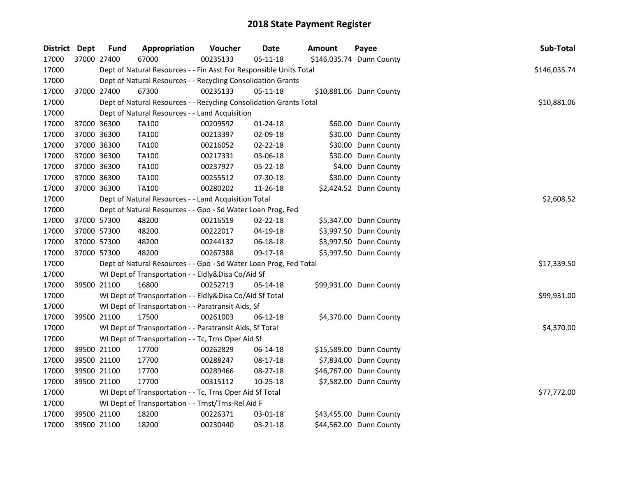| District Dept |             | <b>Fund</b> | Appropriation                                                      | Voucher  | <b>Date</b>    | <b>Amount</b> | Payee                    | Sub-Total    |
|---------------|-------------|-------------|--------------------------------------------------------------------|----------|----------------|---------------|--------------------------|--------------|
| 17000         |             | 37000 27400 | 67000                                                              | 00235133 | $05 - 11 - 18$ |               | \$146,035.74 Dunn County |              |
| 17000         |             |             | Dept of Natural Resources - - Fin Asst For Responsible Units Total |          |                |               |                          | \$146,035.74 |
| 17000         |             |             | Dept of Natural Resources - - Recycling Consolidation Grants       |          |                |               |                          |              |
| 17000         |             | 37000 27400 | 67300                                                              | 00235133 | 05-11-18       |               | \$10,881.06 Dunn County  |              |
| 17000         |             |             | Dept of Natural Resources - - Recycling Consolidation Grants Total |          |                |               |                          | \$10,881.06  |
| 17000         |             |             | Dept of Natural Resources - - Land Acquisition                     |          |                |               |                          |              |
| 17000         |             | 37000 36300 | TA100                                                              | 00209592 | $01 - 24 - 18$ |               | \$60.00 Dunn County      |              |
| 17000         | 37000 36300 |             | <b>TA100</b>                                                       | 00213397 | 02-09-18       |               | \$30.00 Dunn County      |              |
| 17000         | 37000 36300 |             | TA100                                                              | 00216052 | 02-22-18       |               | \$30.00 Dunn County      |              |
| 17000         | 37000 36300 |             | <b>TA100</b>                                                       | 00217331 | 03-06-18       |               | \$30.00 Dunn County      |              |
| 17000         | 37000 36300 |             | <b>TA100</b>                                                       | 00237927 | 05-22-18       |               | \$4.00 Dunn County       |              |
| 17000         | 37000 36300 |             | <b>TA100</b>                                                       | 00255512 | 07-30-18       |               | \$30.00 Dunn County      |              |
| 17000         |             | 37000 36300 | <b>TA100</b>                                                       | 00280202 | 11-26-18       |               | \$2,424.52 Dunn County   |              |
| 17000         |             |             | Dept of Natural Resources - - Land Acquisition Total               |          |                |               |                          | \$2,608.52   |
| 17000         |             |             | Dept of Natural Resources - - Gpo - Sd Water Loan Prog, Fed        |          |                |               |                          |              |
| 17000         | 37000 57300 |             | 48200                                                              | 00216519 | 02-22-18       |               | \$5,347.00 Dunn County   |              |
| 17000         | 37000 57300 |             | 48200                                                              | 00222017 | 04-19-18       |               | \$3,997.50 Dunn County   |              |
| 17000         | 37000 57300 |             | 48200                                                              | 00244132 | 06-18-18       |               | \$3,997.50 Dunn County   |              |
| 17000         |             | 37000 57300 | 48200                                                              | 00267388 | 09-17-18       |               | \$3,997.50 Dunn County   |              |
| 17000         |             |             | Dept of Natural Resources - - Gpo - Sd Water Loan Prog, Fed Total  |          |                |               |                          | \$17,339.50  |
| 17000         |             |             | WI Dept of Transportation - - Eldly&Disa Co/Aid Sf                 |          |                |               |                          |              |
| 17000         |             | 39500 21100 | 16800                                                              | 00252713 | 05-14-18       |               | \$99,931.00 Dunn County  |              |
| 17000         |             |             | WI Dept of Transportation - - Eldly&Disa Co/Aid Sf Total           |          |                |               |                          | \$99,931.00  |
| 17000         |             |             | WI Dept of Transportation - - Paratransit Aids, Sf                 |          |                |               |                          |              |
| 17000         |             | 39500 21100 | 17500                                                              | 00261003 | 06-12-18       |               | \$4,370.00 Dunn County   |              |
| 17000         |             |             | WI Dept of Transportation - - Paratransit Aids, Sf Total           |          |                |               |                          | \$4,370.00   |
| 17000         |             |             | WI Dept of Transportation - - Tc, Trns Oper Aid Sf                 |          |                |               |                          |              |
| 17000         |             | 39500 21100 | 17700                                                              | 00262829 | 06-14-18       |               | \$15,589.00 Dunn County  |              |
| 17000         |             | 39500 21100 | 17700                                                              | 00288247 | 08-17-18       |               | \$7,834.00 Dunn County   |              |
| 17000         |             | 39500 21100 | 17700                                                              | 00289466 | 08-27-18       |               | \$46,767.00 Dunn County  |              |
| 17000         |             | 39500 21100 | 17700                                                              | 00315112 | $10 - 25 - 18$ |               | \$7,582.00 Dunn County   |              |
| 17000         |             |             | WI Dept of Transportation - - Tc, Trns Oper Aid Sf Total           |          |                |               |                          | \$77,772.00  |
| 17000         |             |             | WI Dept of Transportation - - Trnst/Trns-Rel Aid F                 |          |                |               |                          |              |
| 17000         |             | 39500 21100 | 18200                                                              | 00226371 | 03-01-18       |               | \$43,455.00 Dunn County  |              |
| 17000         |             | 39500 21100 | 18200                                                              | 00230440 | 03-21-18       |               | \$44,562.00 Dunn County  |              |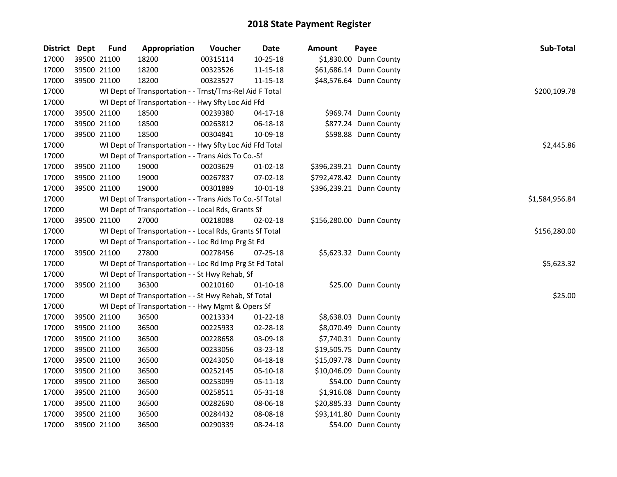| District Dept | <b>Fund</b> | Appropriation                                            | Voucher  | Date           | Amount | Payee                    | Sub-Total      |
|---------------|-------------|----------------------------------------------------------|----------|----------------|--------|--------------------------|----------------|
| 17000         | 39500 21100 | 18200                                                    | 00315114 | $10 - 25 - 18$ |        | \$1,830.00 Dunn County   |                |
| 17000         | 39500 21100 | 18200                                                    | 00323526 | 11-15-18       |        | \$61,686.14 Dunn County  |                |
| 17000         | 39500 21100 | 18200                                                    | 00323527 | 11-15-18       |        | \$48,576.64 Dunn County  |                |
| 17000         |             | WI Dept of Transportation - - Trnst/Trns-Rel Aid F Total |          |                |        |                          | \$200,109.78   |
| 17000         |             | WI Dept of Transportation - - Hwy Sfty Loc Aid Ffd       |          |                |        |                          |                |
| 17000         | 39500 21100 | 18500                                                    | 00239380 | $04-17-18$     |        | \$969.74 Dunn County     |                |
| 17000         | 39500 21100 | 18500                                                    | 00263812 | 06-18-18       |        | \$877.24 Dunn County     |                |
| 17000         | 39500 21100 | 18500                                                    | 00304841 | 10-09-18       |        | \$598.88 Dunn County     |                |
| 17000         |             | WI Dept of Transportation - - Hwy Sfty Loc Aid Ffd Total |          |                |        |                          | \$2,445.86     |
| 17000         |             | WI Dept of Transportation - - Trans Aids To Co.-Sf       |          |                |        |                          |                |
| 17000         | 39500 21100 | 19000                                                    | 00203629 | $01 - 02 - 18$ |        | \$396,239.21 Dunn County |                |
| 17000         | 39500 21100 | 19000                                                    | 00267837 | 07-02-18       |        | \$792,478.42 Dunn County |                |
| 17000         | 39500 21100 | 19000                                                    | 00301889 | 10-01-18       |        | \$396,239.21 Dunn County |                |
| 17000         |             | WI Dept of Transportation - - Trans Aids To Co.-Sf Total |          |                |        |                          | \$1,584,956.84 |
| 17000         |             | WI Dept of Transportation - - Local Rds, Grants Sf       |          |                |        |                          |                |
| 17000         | 39500 21100 | 27000                                                    | 00218088 | 02-02-18       |        | \$156,280.00 Dunn County |                |
| 17000         |             | WI Dept of Transportation - - Local Rds, Grants Sf Total |          |                |        |                          | \$156,280.00   |
| 17000         |             | WI Dept of Transportation - - Loc Rd Imp Prg St Fd       |          |                |        |                          |                |
| 17000         | 39500 21100 | 27800                                                    | 00278456 | 07-25-18       |        | \$5,623.32 Dunn County   |                |
| 17000         |             | WI Dept of Transportation - - Loc Rd Imp Prg St Fd Total |          |                |        |                          | \$5,623.32     |
| 17000         |             | WI Dept of Transportation - - St Hwy Rehab, Sf           |          |                |        |                          |                |
| 17000         | 39500 21100 | 36300                                                    | 00210160 | $01 - 10 - 18$ |        | \$25.00 Dunn County      |                |
| 17000         |             | WI Dept of Transportation - - St Hwy Rehab, Sf Total     |          |                |        |                          | \$25.00        |
| 17000         |             | WI Dept of Transportation - - Hwy Mgmt & Opers Sf        |          |                |        |                          |                |
| 17000         | 39500 21100 | 36500                                                    | 00213334 | $01-22-18$     |        | \$8,638.03 Dunn County   |                |
| 17000         | 39500 21100 | 36500                                                    | 00225933 | 02-28-18       |        | \$8,070.49 Dunn County   |                |
| 17000         | 39500 21100 | 36500                                                    | 00228658 | 03-09-18       |        | \$7,740.31 Dunn County   |                |
| 17000         | 39500 21100 | 36500                                                    | 00233056 | 03-23-18       |        | \$19,505.75 Dunn County  |                |
| 17000         | 39500 21100 | 36500                                                    | 00243050 | 04-18-18       |        | \$15,097.78 Dunn County  |                |
| 17000         | 39500 21100 | 36500                                                    | 00252145 | 05-10-18       |        | \$10,046.09 Dunn County  |                |
| 17000         | 39500 21100 | 36500                                                    | 00253099 | 05-11-18       |        | \$54.00 Dunn County      |                |
| 17000         | 39500 21100 | 36500                                                    | 00258511 | 05-31-18       |        | \$1,916.08 Dunn County   |                |
| 17000         | 39500 21100 | 36500                                                    | 00282690 | 08-06-18       |        | \$20,885.33 Dunn County  |                |
| 17000         | 39500 21100 | 36500                                                    | 00284432 | 08-08-18       |        | \$93,141.80 Dunn County  |                |
| 17000         | 39500 21100 | 36500                                                    | 00290339 | 08-24-18       |        | \$54.00 Dunn County      |                |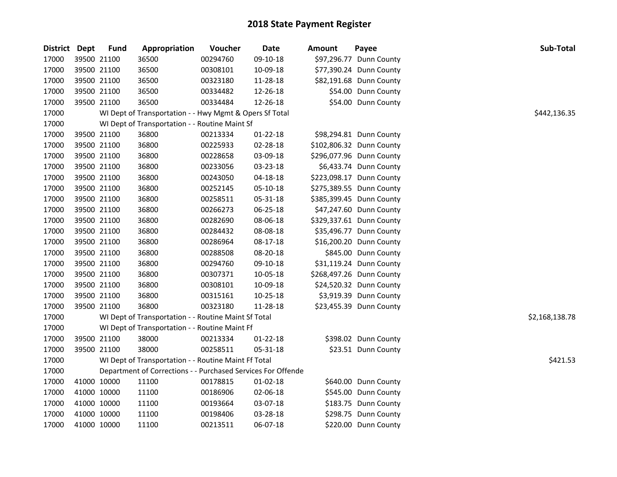| District | <b>Dept</b> | <b>Fund</b> | Appropriation                                                | Voucher  | Date           | <b>Amount</b> | Payee                    | Sub-Total      |
|----------|-------------|-------------|--------------------------------------------------------------|----------|----------------|---------------|--------------------------|----------------|
| 17000    |             | 39500 21100 | 36500                                                        | 00294760 | 09-10-18       |               | \$97,296.77 Dunn County  |                |
| 17000    |             | 39500 21100 | 36500                                                        | 00308101 | 10-09-18       |               | \$77,390.24 Dunn County  |                |
| 17000    |             | 39500 21100 | 36500                                                        | 00323180 | 11-28-18       |               | \$82,191.68 Dunn County  |                |
| 17000    |             | 39500 21100 | 36500                                                        | 00334482 | 12-26-18       |               | \$54.00 Dunn County      |                |
| 17000    |             | 39500 21100 | 36500                                                        | 00334484 | 12-26-18       |               | \$54.00 Dunn County      |                |
| 17000    |             |             | WI Dept of Transportation - - Hwy Mgmt & Opers Sf Total      |          |                |               |                          | \$442,136.35   |
| 17000    |             |             | WI Dept of Transportation - - Routine Maint Sf               |          |                |               |                          |                |
| 17000    |             | 39500 21100 | 36800                                                        | 00213334 | $01 - 22 - 18$ |               | \$98,294.81 Dunn County  |                |
| 17000    |             | 39500 21100 | 36800                                                        | 00225933 | 02-28-18       |               | \$102,806.32 Dunn County |                |
| 17000    |             | 39500 21100 | 36800                                                        | 00228658 | 03-09-18       |               | \$296,077.96 Dunn County |                |
| 17000    |             | 39500 21100 | 36800                                                        | 00233056 | 03-23-18       |               | \$6,433.74 Dunn County   |                |
| 17000    |             | 39500 21100 | 36800                                                        | 00243050 | 04-18-18       |               | \$223,098.17 Dunn County |                |
| 17000    |             | 39500 21100 | 36800                                                        | 00252145 | 05-10-18       |               | \$275,389.55 Dunn County |                |
| 17000    |             | 39500 21100 | 36800                                                        | 00258511 | 05-31-18       |               | \$385,399.45 Dunn County |                |
| 17000    |             | 39500 21100 | 36800                                                        | 00266273 | 06-25-18       |               | \$47,247.60 Dunn County  |                |
| 17000    |             | 39500 21100 | 36800                                                        | 00282690 | 08-06-18       |               | \$329,337.61 Dunn County |                |
| 17000    |             | 39500 21100 | 36800                                                        | 00284432 | 08-08-18       |               | \$35,496.77 Dunn County  |                |
| 17000    |             | 39500 21100 | 36800                                                        | 00286964 | 08-17-18       |               | \$16,200.20 Dunn County  |                |
| 17000    |             | 39500 21100 | 36800                                                        | 00288508 | 08-20-18       |               | \$845.00 Dunn County     |                |
| 17000    |             | 39500 21100 | 36800                                                        | 00294760 | 09-10-18       |               | \$31,119.24 Dunn County  |                |
| 17000    |             | 39500 21100 | 36800                                                        | 00307371 | 10-05-18       |               | \$268,497.26 Dunn County |                |
| 17000    |             | 39500 21100 | 36800                                                        | 00308101 | 10-09-18       |               | \$24,520.32 Dunn County  |                |
| 17000    |             | 39500 21100 | 36800                                                        | 00315161 | 10-25-18       |               | \$3,919.39 Dunn County   |                |
| 17000    |             | 39500 21100 | 36800                                                        | 00323180 | 11-28-18       |               | \$23,455.39 Dunn County  |                |
| 17000    |             |             | WI Dept of Transportation - - Routine Maint Sf Total         |          |                |               |                          | \$2,168,138.78 |
| 17000    |             |             | WI Dept of Transportation - - Routine Maint Ff               |          |                |               |                          |                |
| 17000    |             | 39500 21100 | 38000                                                        | 00213334 | $01 - 22 - 18$ |               | \$398.02 Dunn County     |                |
| 17000    |             | 39500 21100 | 38000                                                        | 00258511 | 05-31-18       |               | \$23.51 Dunn County      |                |
| 17000    |             |             | WI Dept of Transportation - - Routine Maint Ff Total         |          |                |               |                          | \$421.53       |
| 17000    |             |             | Department of Corrections - - Purchased Services For Offende |          |                |               |                          |                |
| 17000    |             | 41000 10000 | 11100                                                        | 00178815 | $01 - 02 - 18$ |               | \$640.00 Dunn County     |                |
| 17000    |             | 41000 10000 | 11100                                                        | 00186906 | 02-06-18       |               | \$545.00 Dunn County     |                |
| 17000    |             | 41000 10000 | 11100                                                        | 00193664 | 03-07-18       |               | \$183.75 Dunn County     |                |
| 17000    |             | 41000 10000 | 11100                                                        | 00198406 | 03-28-18       |               | \$298.75 Dunn County     |                |
| 17000    |             | 41000 10000 | 11100                                                        | 00213511 | 06-07-18       |               | \$220.00 Dunn County     |                |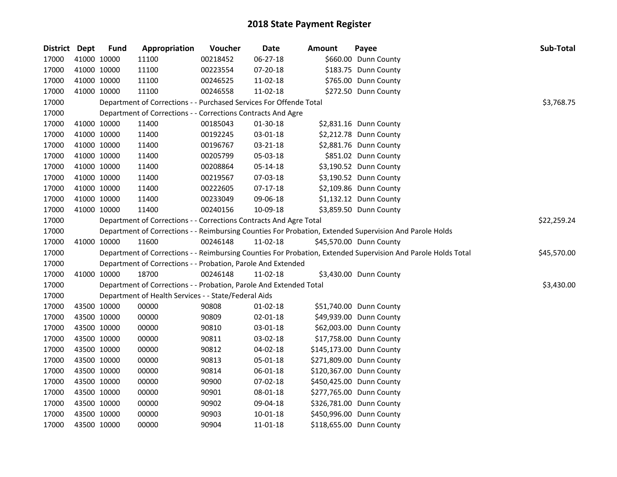| District Dept |             | <b>Fund</b> | Appropriation                                                      | Voucher  | Date           | <b>Amount</b> | Payee                                                                                                         | <b>Sub-Total</b> |
|---------------|-------------|-------------|--------------------------------------------------------------------|----------|----------------|---------------|---------------------------------------------------------------------------------------------------------------|------------------|
| 17000         |             | 41000 10000 | 11100                                                              | 00218452 | 06-27-18       |               | \$660.00 Dunn County                                                                                          |                  |
| 17000         | 41000 10000 |             | 11100                                                              | 00223554 | 07-20-18       |               | \$183.75 Dunn County                                                                                          |                  |
| 17000         | 41000 10000 |             | 11100                                                              | 00246525 | 11-02-18       |               | \$765.00 Dunn County                                                                                          |                  |
| 17000         | 41000 10000 |             | 11100                                                              | 00246558 | 11-02-18       |               | \$272.50 Dunn County                                                                                          |                  |
| 17000         |             |             | Department of Corrections - - Purchased Services For Offende Total |          |                |               |                                                                                                               | \$3,768.75       |
| 17000         |             |             | Department of Corrections - - Corrections Contracts And Agre       |          |                |               |                                                                                                               |                  |
| 17000         |             | 41000 10000 | 11400                                                              | 00185043 | $01-30-18$     |               | \$2,831.16 Dunn County                                                                                        |                  |
| 17000         | 41000 10000 |             | 11400                                                              | 00192245 | 03-01-18       |               | \$2,212.78 Dunn County                                                                                        |                  |
| 17000         | 41000 10000 |             | 11400                                                              | 00196767 | 03-21-18       |               | \$2,881.76 Dunn County                                                                                        |                  |
| 17000         | 41000 10000 |             | 11400                                                              | 00205799 | 05-03-18       |               | \$851.02 Dunn County                                                                                          |                  |
| 17000         | 41000 10000 |             | 11400                                                              | 00208864 | 05-14-18       |               | \$3,190.52 Dunn County                                                                                        |                  |
| 17000         | 41000 10000 |             | 11400                                                              | 00219567 | 07-03-18       |               | \$3,190.52 Dunn County                                                                                        |                  |
| 17000         | 41000 10000 |             | 11400                                                              | 00222605 | $07-17-18$     |               | \$2,109.86 Dunn County                                                                                        |                  |
| 17000         | 41000 10000 |             | 11400                                                              | 00233049 | 09-06-18       |               | \$1,132.12 Dunn County                                                                                        |                  |
| 17000         | 41000 10000 |             | 11400                                                              | 00240156 | 10-09-18       |               | \$3,859.50 Dunn County                                                                                        |                  |
| 17000         |             |             | Department of Corrections - - Corrections Contracts And Agre Total |          |                |               |                                                                                                               | \$22,259.24      |
| 17000         |             |             |                                                                    |          |                |               | Department of Corrections - - Reimbursing Counties For Probation, Extended Supervision And Parole Holds       |                  |
| 17000         |             | 41000 10000 | 11600                                                              | 00246148 | 11-02-18       |               | \$45,570.00 Dunn County                                                                                       |                  |
| 17000         |             |             |                                                                    |          |                |               | Department of Corrections - - Reimbursing Counties For Probation, Extended Supervision And Parole Holds Total | \$45,570.00      |
| 17000         |             |             | Department of Corrections - - Probation, Parole And Extended       |          |                |               |                                                                                                               |                  |
| 17000         | 41000 10000 |             | 18700                                                              | 00246148 | 11-02-18       |               | \$3,430.00 Dunn County                                                                                        |                  |
| 17000         |             |             | Department of Corrections - - Probation, Parole And Extended Total |          |                |               |                                                                                                               | \$3,430.00       |
| 17000         |             |             | Department of Health Services - - State/Federal Aids               |          |                |               |                                                                                                               |                  |
| 17000         | 43500 10000 |             | 00000                                                              | 90808    | $01 - 02 - 18$ |               | \$51,740.00 Dunn County                                                                                       |                  |
| 17000         | 43500 10000 |             | 00000                                                              | 90809    | 02-01-18       |               | \$49,939.00 Dunn County                                                                                       |                  |
| 17000         | 43500 10000 |             | 00000                                                              | 90810    | 03-01-18       |               | \$62,003.00 Dunn County                                                                                       |                  |
| 17000         | 43500 10000 |             | 00000                                                              | 90811    | 03-02-18       |               | \$17,758.00 Dunn County                                                                                       |                  |
| 17000         | 43500 10000 |             | 00000                                                              | 90812    | 04-02-18       |               | \$145,173.00 Dunn County                                                                                      |                  |
| 17000         | 43500 10000 |             | 00000                                                              | 90813    | 05-01-18       |               | \$271,809.00 Dunn County                                                                                      |                  |
| 17000         | 43500 10000 |             | 00000                                                              | 90814    | 06-01-18       |               | \$120,367.00 Dunn County                                                                                      |                  |
| 17000         | 43500 10000 |             | 00000                                                              | 90900    | 07-02-18       |               | \$450,425.00 Dunn County                                                                                      |                  |
| 17000         | 43500 10000 |             | 00000                                                              | 90901    | 08-01-18       |               | \$277,765.00 Dunn County                                                                                      |                  |
| 17000         | 43500 10000 |             | 00000                                                              | 90902    | 09-04-18       |               | \$326,781.00 Dunn County                                                                                      |                  |
| 17000         | 43500 10000 |             | 00000                                                              | 90903    | 10-01-18       |               | \$450,996.00 Dunn County                                                                                      |                  |
| 17000         | 43500 10000 |             | 00000                                                              | 90904    | 11-01-18       |               | \$118,655.00 Dunn County                                                                                      |                  |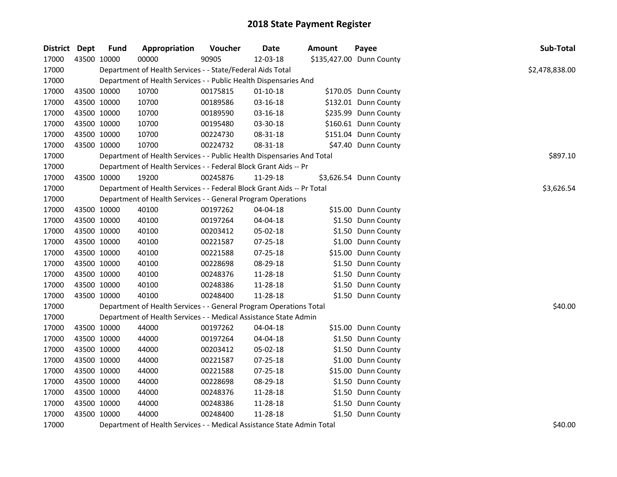| District Dept | <b>Fund</b> | Appropriation                                                          | Voucher  | <b>Date</b>    | <b>Amount</b> | Payee                    | Sub-Total      |
|---------------|-------------|------------------------------------------------------------------------|----------|----------------|---------------|--------------------------|----------------|
| 17000         | 43500 10000 | 00000                                                                  | 90905    | 12-03-18       |               | \$135,427.00 Dunn County |                |
| 17000         |             | Department of Health Services - - State/Federal Aids Total             |          |                |               |                          | \$2,478,838.00 |
| 17000         |             | Department of Health Services - - Public Health Dispensaries And       |          |                |               |                          |                |
| 17000         | 43500 10000 | 10700                                                                  | 00175815 | $01-10-18$     |               | \$170.05 Dunn County     |                |
| 17000         | 43500 10000 | 10700                                                                  | 00189586 | 03-16-18       |               | \$132.01 Dunn County     |                |
| 17000         | 43500 10000 | 10700                                                                  | 00189590 | 03-16-18       |               | \$235.99 Dunn County     |                |
| 17000         | 43500 10000 | 10700                                                                  | 00195480 | 03-30-18       |               | \$160.61 Dunn County     |                |
| 17000         | 43500 10000 | 10700                                                                  | 00224730 | 08-31-18       |               | \$151.04 Dunn County     |                |
| 17000         | 43500 10000 | 10700                                                                  | 00224732 | 08-31-18       |               | \$47.40 Dunn County      |                |
| 17000         |             | Department of Health Services - - Public Health Dispensaries And Total |          |                |               |                          | \$897.10       |
| 17000         |             | Department of Health Services - - Federal Block Grant Aids -- Pr       |          |                |               |                          |                |
| 17000         | 43500 10000 | 19200                                                                  | 00245876 | 11-29-18       |               | \$3,626.54 Dunn County   |                |
| 17000         |             | Department of Health Services - - Federal Block Grant Aids -- Pr Total |          |                |               |                          | \$3,626.54     |
| 17000         |             | Department of Health Services - - General Program Operations           |          |                |               |                          |                |
| 17000         | 43500 10000 | 40100                                                                  | 00197262 | 04-04-18       |               | \$15.00 Dunn County      |                |
| 17000         | 43500 10000 | 40100                                                                  | 00197264 | 04-04-18       |               | \$1.50 Dunn County       |                |
| 17000         | 43500 10000 | 40100                                                                  | 00203412 | 05-02-18       |               | \$1.50 Dunn County       |                |
| 17000         | 43500 10000 | 40100                                                                  | 00221587 | 07-25-18       |               | \$1.00 Dunn County       |                |
| 17000         | 43500 10000 | 40100                                                                  | 00221588 | $07 - 25 - 18$ |               | \$15.00 Dunn County      |                |
| 17000         | 43500 10000 | 40100                                                                  | 00228698 | 08-29-18       |               | \$1.50 Dunn County       |                |
| 17000         | 43500 10000 | 40100                                                                  | 00248376 | 11-28-18       |               | \$1.50 Dunn County       |                |
| 17000         | 43500 10000 | 40100                                                                  | 00248386 | 11-28-18       |               | \$1.50 Dunn County       |                |
| 17000         | 43500 10000 | 40100                                                                  | 00248400 | 11-28-18       |               | \$1.50 Dunn County       |                |
| 17000         |             | Department of Health Services - - General Program Operations Total     |          |                |               |                          | \$40.00        |
| 17000         |             | Department of Health Services - - Medical Assistance State Admin       |          |                |               |                          |                |
| 17000         | 43500 10000 | 44000                                                                  | 00197262 | 04-04-18       |               | \$15.00 Dunn County      |                |
| 17000         | 43500 10000 | 44000                                                                  | 00197264 | 04-04-18       |               | \$1.50 Dunn County       |                |
| 17000         | 43500 10000 | 44000                                                                  | 00203412 | 05-02-18       |               | \$1.50 Dunn County       |                |
| 17000         | 43500 10000 | 44000                                                                  | 00221587 | 07-25-18       |               | \$1.00 Dunn County       |                |
| 17000         | 43500 10000 | 44000                                                                  | 00221588 | 07-25-18       |               | \$15.00 Dunn County      |                |
| 17000         | 43500 10000 | 44000                                                                  | 00228698 | 08-29-18       |               | \$1.50 Dunn County       |                |
| 17000         | 43500 10000 | 44000                                                                  | 00248376 | 11-28-18       |               | \$1.50 Dunn County       |                |
| 17000         | 43500 10000 | 44000                                                                  | 00248386 | 11-28-18       |               | \$1.50 Dunn County       |                |
| 17000         | 43500 10000 | 44000                                                                  | 00248400 | 11-28-18       |               | \$1.50 Dunn County       |                |
| 17000         |             | Department of Health Services - - Medical Assistance State Admin Total |          |                |               |                          | \$40.00        |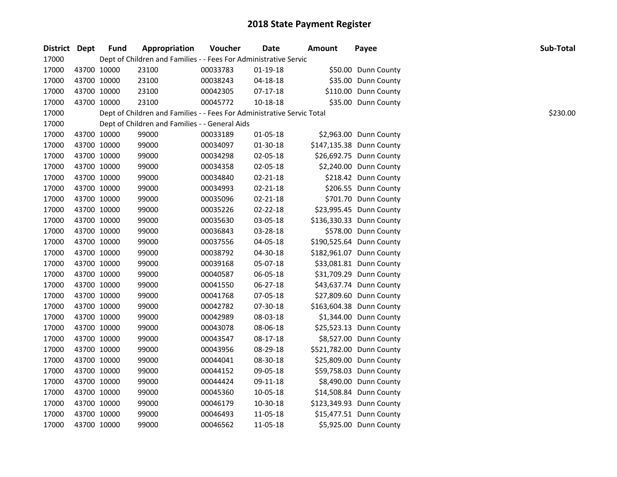| District Dept |             | <b>Fund</b> | Appropriation                                                          | Voucher  | <b>Date</b> | <b>Amount</b> | Payee                    | Sub-Total |
|---------------|-------------|-------------|------------------------------------------------------------------------|----------|-------------|---------------|--------------------------|-----------|
| 17000         |             |             | Dept of Children and Families - - Fees For Administrative Servic       |          |             |               |                          |           |
| 17000         |             | 43700 10000 | 23100                                                                  | 00033783 | $01-19-18$  |               | \$50.00 Dunn County      |           |
| 17000         |             | 43700 10000 | 23100                                                                  | 00038243 | 04-18-18    |               | \$35.00 Dunn County      |           |
| 17000         |             | 43700 10000 | 23100                                                                  | 00042305 | 07-17-18    |               | \$110.00 Dunn County     |           |
| 17000         | 43700 10000 |             | 23100                                                                  | 00045772 | 10-18-18    |               | \$35.00 Dunn County      |           |
| 17000         |             |             | Dept of Children and Families - - Fees For Administrative Servic Total |          |             |               |                          | \$230.00  |
| 17000         |             |             | Dept of Children and Families - - General Aids                         |          |             |               |                          |           |
| 17000         |             | 43700 10000 | 99000                                                                  | 00033189 | 01-05-18    |               | \$2,963.00 Dunn County   |           |
| 17000         |             | 43700 10000 | 99000                                                                  | 00034097 | 01-30-18    |               | \$147,135.38 Dunn County |           |
| 17000         |             | 43700 10000 | 99000                                                                  | 00034298 | 02-05-18    |               | \$26,692.75 Dunn County  |           |
| 17000         |             | 43700 10000 | 99000                                                                  | 00034358 | 02-05-18    |               | \$2,240.00 Dunn County   |           |
| 17000         | 43700 10000 |             | 99000                                                                  | 00034840 | 02-21-18    |               | \$218.42 Dunn County     |           |
| 17000         | 43700 10000 |             | 99000                                                                  | 00034993 | 02-21-18    |               | \$206.55 Dunn County     |           |
| 17000         |             | 43700 10000 | 99000                                                                  | 00035096 | 02-21-18    |               | \$701.70 Dunn County     |           |
| 17000         |             | 43700 10000 | 99000                                                                  | 00035226 | 02-22-18    |               | \$23,995.45 Dunn County  |           |
| 17000         |             | 43700 10000 | 99000                                                                  | 00035630 | 03-05-18    |               | \$136,330.33 Dunn County |           |
| 17000         |             | 43700 10000 | 99000                                                                  | 00036843 | 03-28-18    |               | \$578.00 Dunn County     |           |
| 17000         |             | 43700 10000 | 99000                                                                  | 00037556 | 04-05-18    |               | \$190,525.64 Dunn County |           |
| 17000         |             | 43700 10000 | 99000                                                                  | 00038792 | 04-30-18    |               | \$182,961.07 Dunn County |           |
| 17000         |             | 43700 10000 | 99000                                                                  | 00039168 | 05-07-18    |               | \$33,081.81 Dunn County  |           |
| 17000         |             | 43700 10000 | 99000                                                                  | 00040587 | 06-05-18    |               | \$31,709.29 Dunn County  |           |
| 17000         |             | 43700 10000 | 99000                                                                  | 00041550 | 06-27-18    |               | \$43,637.74 Dunn County  |           |
| 17000         |             | 43700 10000 | 99000                                                                  | 00041768 | 07-05-18    |               | \$27,809.60 Dunn County  |           |
| 17000         |             | 43700 10000 | 99000                                                                  | 00042782 | 07-30-18    |               | \$163,604.38 Dunn County |           |
| 17000         |             | 43700 10000 | 99000                                                                  | 00042989 | 08-03-18    |               | \$1,344.00 Dunn County   |           |
| 17000         |             | 43700 10000 | 99000                                                                  | 00043078 | 08-06-18    |               | \$25,523.13 Dunn County  |           |
| 17000         |             | 43700 10000 | 99000                                                                  | 00043547 | 08-17-18    |               | \$8,527.00 Dunn County   |           |
| 17000         |             | 43700 10000 | 99000                                                                  | 00043956 | 08-29-18    |               | \$521,782.00 Dunn County |           |
| 17000         |             | 43700 10000 | 99000                                                                  | 00044041 | 08-30-18    |               | \$25,809.00 Dunn County  |           |
| 17000         |             | 43700 10000 | 99000                                                                  | 00044152 | 09-05-18    |               | \$59,758.03 Dunn County  |           |
| 17000         |             | 43700 10000 | 99000                                                                  | 00044424 | 09-11-18    |               | \$8,490.00 Dunn County   |           |
| 17000         |             | 43700 10000 | 99000                                                                  | 00045360 | 10-05-18    |               | \$14,508.84 Dunn County  |           |
| 17000         |             | 43700 10000 | 99000                                                                  | 00046179 | 10-30-18    |               | \$123,349.93 Dunn County |           |
| 17000         |             | 43700 10000 | 99000                                                                  | 00046493 | 11-05-18    |               | \$15,477.51 Dunn County  |           |
| 17000         | 43700 10000 |             | 99000                                                                  | 00046562 | 11-05-18    |               | \$5,925.00 Dunn County   |           |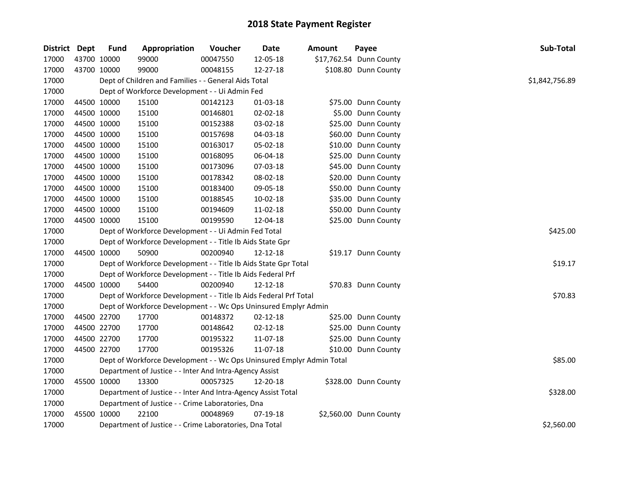| District Dept |             | <b>Fund</b> | Appropriation                                                         | Voucher  | Date           | Amount | Payee                   | Sub-Total      |
|---------------|-------------|-------------|-----------------------------------------------------------------------|----------|----------------|--------|-------------------------|----------------|
| 17000         | 43700 10000 |             | 99000                                                                 | 00047550 | 12-05-18       |        | \$17,762.54 Dunn County |                |
| 17000         | 43700 10000 |             | 99000                                                                 | 00048155 | 12-27-18       |        | \$108.80 Dunn County    |                |
| 17000         |             |             | Dept of Children and Families - - General Aids Total                  |          |                |        |                         | \$1,842,756.89 |
| 17000         |             |             | Dept of Workforce Development - - Ui Admin Fed                        |          |                |        |                         |                |
| 17000         | 44500 10000 |             | 15100                                                                 | 00142123 | 01-03-18       |        | \$75.00 Dunn County     |                |
| 17000         | 44500 10000 |             | 15100                                                                 | 00146801 | 02-02-18       |        | \$5.00 Dunn County      |                |
| 17000         | 44500 10000 |             | 15100                                                                 | 00152388 | 03-02-18       |        | \$25.00 Dunn County     |                |
| 17000         | 44500 10000 |             | 15100                                                                 | 00157698 | 04-03-18       |        | \$60.00 Dunn County     |                |
| 17000         | 44500 10000 |             | 15100                                                                 | 00163017 | 05-02-18       |        | \$10.00 Dunn County     |                |
| 17000         | 44500 10000 |             | 15100                                                                 | 00168095 | 06-04-18       |        | \$25.00 Dunn County     |                |
| 17000         | 44500 10000 |             | 15100                                                                 | 00173096 | 07-03-18       |        | \$45.00 Dunn County     |                |
| 17000         | 44500 10000 |             | 15100                                                                 | 00178342 | 08-02-18       |        | \$20.00 Dunn County     |                |
| 17000         | 44500 10000 |             | 15100                                                                 | 00183400 | 09-05-18       |        | \$50.00 Dunn County     |                |
| 17000         | 44500 10000 |             | 15100                                                                 | 00188545 | 10-02-18       |        | \$35.00 Dunn County     |                |
| 17000         | 44500 10000 |             | 15100                                                                 | 00194609 | 11-02-18       |        | \$50.00 Dunn County     |                |
| 17000         | 44500 10000 |             | 15100                                                                 | 00199590 | 12-04-18       |        | \$25.00 Dunn County     |                |
| 17000         |             |             | Dept of Workforce Development - - Ui Admin Fed Total                  | \$425.00 |                |        |                         |                |
| 17000         |             |             | Dept of Workforce Development - - Title Ib Aids State Gpr             |          |                |        |                         |                |
| 17000         | 44500 10000 |             | 50900                                                                 | 00200940 | 12-12-18       |        | \$19.17 Dunn County     |                |
| 17000         |             |             | Dept of Workforce Development - - Title Ib Aids State Gpr Total       |          |                |        |                         | \$19.17        |
| 17000         |             |             | Dept of Workforce Development - - Title Ib Aids Federal Prf           |          |                |        |                         |                |
| 17000         | 44500 10000 |             | 54400                                                                 | 00200940 | 12-12-18       |        | \$70.83 Dunn County     |                |
| 17000         |             |             | Dept of Workforce Development - - Title Ib Aids Federal Prf Total     |          |                |        |                         | \$70.83        |
| 17000         |             |             | Dept of Workforce Development - - Wc Ops Uninsured Emplyr Admin       |          |                |        |                         |                |
| 17000         | 44500 22700 |             | 17700                                                                 | 00148372 | 02-12-18       |        | \$25.00 Dunn County     |                |
| 17000         | 44500 22700 |             | 17700                                                                 | 00148642 | $02 - 12 - 18$ |        | \$25.00 Dunn County     |                |
| 17000         | 44500 22700 |             | 17700                                                                 | 00195322 | 11-07-18       |        | \$25.00 Dunn County     |                |
| 17000         | 44500 22700 |             | 17700                                                                 | 00195326 | 11-07-18       |        | \$10.00 Dunn County     |                |
| 17000         |             |             | Dept of Workforce Development - - Wc Ops Uninsured Emplyr Admin Total |          |                |        |                         | \$85.00        |
| 17000         |             |             | Department of Justice - - Inter And Intra-Agency Assist               |          |                |        |                         |                |
| 17000         |             | 45500 10000 | 13300                                                                 | 00057325 | 12-20-18       |        | \$328.00 Dunn County    |                |
| 17000         |             |             | Department of Justice - - Inter And Intra-Agency Assist Total         |          |                |        |                         | \$328.00       |
| 17000         |             |             | Department of Justice - - Crime Laboratories, Dna                     |          |                |        |                         |                |
| 17000         | 45500 10000 |             | 22100                                                                 | 00048969 | 07-19-18       |        | \$2,560.00 Dunn County  |                |
| 17000         |             |             | Department of Justice - - Crime Laboratories, Dna Total               |          |                |        |                         | \$2,560.00     |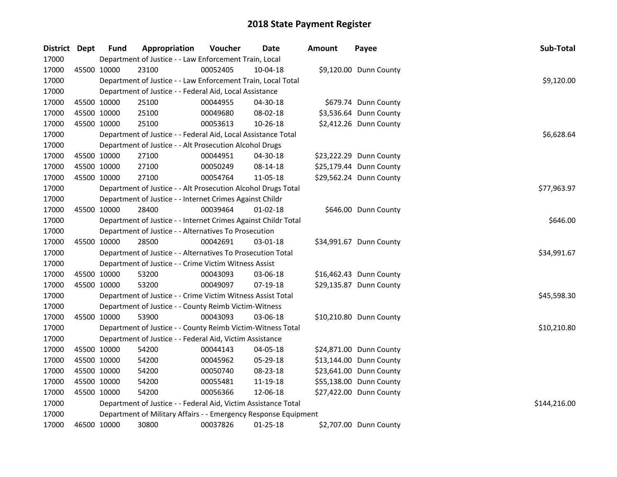| District Dept | <b>Fund</b> | Appropriation                                                   | Voucher  | <b>Date</b>    | Amount | Payee                   | Sub-Total    |
|---------------|-------------|-----------------------------------------------------------------|----------|----------------|--------|-------------------------|--------------|
| 17000         |             | Department of Justice - - Law Enforcement Train, Local          |          |                |        |                         |              |
| 17000         | 45500 10000 | 23100                                                           | 00052405 | 10-04-18       |        | \$9,120.00 Dunn County  |              |
| 17000         |             | Department of Justice - - Law Enforcement Train, Local Total    |          |                |        |                         | \$9,120.00   |
| 17000         |             | Department of Justice - - Federal Aid, Local Assistance         |          |                |        |                         |              |
| 17000         | 45500 10000 | 25100                                                           | 00044955 | 04-30-18       |        | \$679.74 Dunn County    |              |
| 17000         | 45500 10000 | 25100                                                           | 00049680 | 08-02-18       |        | \$3,536.64 Dunn County  |              |
| 17000         | 45500 10000 | 25100                                                           | 00053613 | 10-26-18       |        | \$2,412.26 Dunn County  |              |
| 17000         |             | Department of Justice - - Federal Aid, Local Assistance Total   |          |                |        |                         | \$6,628.64   |
| 17000         |             | Department of Justice - - Alt Prosecution Alcohol Drugs         |          |                |        |                         |              |
| 17000         | 45500 10000 | 27100                                                           | 00044951 | 04-30-18       |        | \$23,222.29 Dunn County |              |
| 17000         | 45500 10000 | 27100                                                           | 00050249 | 08-14-18       |        | \$25,179.44 Dunn County |              |
| 17000         | 45500 10000 | 27100                                                           | 00054764 | 11-05-18       |        | \$29,562.24 Dunn County |              |
| 17000         |             | Department of Justice - - Alt Prosecution Alcohol Drugs Total   |          |                |        |                         | \$77,963.97  |
| 17000         |             | Department of Justice - - Internet Crimes Against Childr        |          |                |        |                         |              |
| 17000         | 45500 10000 | 28400                                                           | 00039464 | $01 - 02 - 18$ |        | \$646.00 Dunn County    |              |
| 17000         |             | Department of Justice - - Internet Crimes Against Childr Total  |          |                |        |                         | \$646.00     |
| 17000         |             | Department of Justice - - Alternatives To Prosecution           |          |                |        |                         |              |
| 17000         | 45500 10000 | 28500                                                           | 00042691 | 03-01-18       |        | \$34,991.67 Dunn County |              |
| 17000         |             | Department of Justice - - Alternatives To Prosecution Total     |          |                |        |                         | \$34,991.67  |
| 17000         |             | Department of Justice - - Crime Victim Witness Assist           |          |                |        |                         |              |
| 17000         | 45500 10000 | 53200                                                           | 00043093 | 03-06-18       |        | \$16,462.43 Dunn County |              |
| 17000         | 45500 10000 | 53200                                                           | 00049097 | $07-19-18$     |        | \$29,135.87 Dunn County |              |
| 17000         |             | Department of Justice - - Crime Victim Witness Assist Total     |          |                |        |                         | \$45,598.30  |
| 17000         |             | Department of Justice - - County Reimb Victim-Witness           |          |                |        |                         |              |
| 17000         | 45500 10000 | 53900                                                           | 00043093 | 03-06-18       |        | \$10,210.80 Dunn County |              |
| 17000         |             | Department of Justice - - County Reimb Victim-Witness Total     |          |                |        |                         | \$10,210.80  |
| 17000         |             | Department of Justice - - Federal Aid, Victim Assistance        |          |                |        |                         |              |
| 17000         | 45500 10000 | 54200                                                           | 00044143 | 04-05-18       |        | \$24,871.00 Dunn County |              |
| 17000         | 45500 10000 | 54200                                                           | 00045962 | 05-29-18       |        | \$13,144.00 Dunn County |              |
| 17000         | 45500 10000 | 54200                                                           | 00050740 | 08-23-18       |        | \$23,641.00 Dunn County |              |
| 17000         | 45500 10000 | 54200                                                           | 00055481 | 11-19-18       |        | \$55,138.00 Dunn County |              |
| 17000         | 45500 10000 | 54200                                                           | 00056366 | 12-06-18       |        | \$27,422.00 Dunn County |              |
| 17000         |             | Department of Justice - - Federal Aid, Victim Assistance Total  |          |                |        |                         | \$144,216.00 |
| 17000         |             | Department of Military Affairs - - Emergency Response Equipment |          |                |        |                         |              |
| 17000         | 46500 10000 | 30800                                                           | 00037826 | $01 - 25 - 18$ |        | \$2,707.00 Dunn County  |              |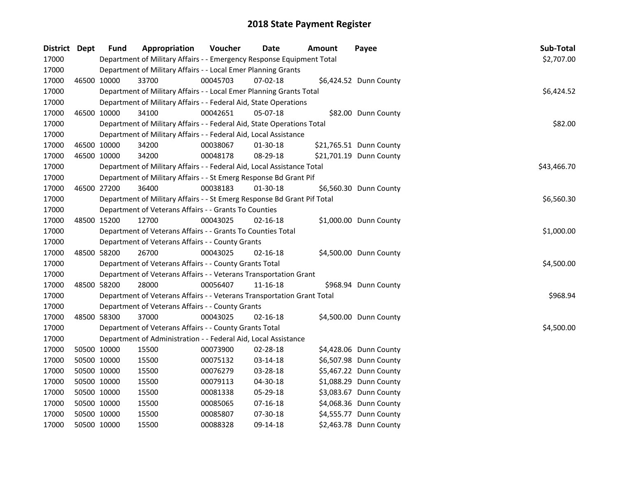| District Dept |             | <b>Fund</b> | Appropriation                                                           | Voucher  | Date           | Amount | Payee                   | Sub-Total   |
|---------------|-------------|-------------|-------------------------------------------------------------------------|----------|----------------|--------|-------------------------|-------------|
| 17000         |             |             | Department of Military Affairs - - Emergency Response Equipment Total   |          |                |        |                         | \$2,707.00  |
| 17000         |             |             | Department of Military Affairs - - Local Emer Planning Grants           |          |                |        |                         |             |
| 17000         | 46500 10000 |             | 33700                                                                   | 00045703 | $07 - 02 - 18$ |        | \$6,424.52 Dunn County  |             |
| 17000         |             |             | Department of Military Affairs - - Local Emer Planning Grants Total     |          |                |        |                         | \$6,424.52  |
| 17000         |             |             | Department of Military Affairs - - Federal Aid, State Operations        |          |                |        |                         |             |
| 17000         | 46500 10000 |             | 34100                                                                   | 00042651 | 05-07-18       |        | \$82.00 Dunn County     |             |
| 17000         |             |             | Department of Military Affairs - - Federal Aid, State Operations Total  |          |                |        |                         | \$82.00     |
| 17000         |             |             | Department of Military Affairs - - Federal Aid, Local Assistance        |          |                |        |                         |             |
| 17000         |             | 46500 10000 | 34200                                                                   | 00038067 | 01-30-18       |        | \$21,765.51 Dunn County |             |
| 17000         | 46500 10000 |             | 34200                                                                   | 00048178 | 08-29-18       |        | \$21,701.19 Dunn County |             |
| 17000         |             |             | Department of Military Affairs - - Federal Aid, Local Assistance Total  |          |                |        |                         | \$43,466.70 |
| 17000         |             |             | Department of Military Affairs - - St Emerg Response Bd Grant Pif       |          |                |        |                         |             |
| 17000         | 46500 27200 |             | 36400                                                                   | 00038183 | 01-30-18       |        | \$6,560.30 Dunn County  |             |
| 17000         |             |             | Department of Military Affairs - - St Emerg Response Bd Grant Pif Total |          |                |        |                         | \$6,560.30  |
| 17000         |             |             | Department of Veterans Affairs - - Grants To Counties                   |          |                |        |                         |             |
| 17000         | 48500 15200 |             | 12700                                                                   | 00043025 | $02 - 16 - 18$ |        | \$1,000.00 Dunn County  |             |
| 17000         |             |             | Department of Veterans Affairs - - Grants To Counties Total             |          |                |        |                         | \$1,000.00  |
| 17000         |             |             | Department of Veterans Affairs - - County Grants                        |          |                |        |                         |             |
| 17000         |             | 48500 58200 | 26700                                                                   | 00043025 | 02-16-18       |        | \$4,500.00 Dunn County  |             |
| 17000         |             |             | Department of Veterans Affairs - - County Grants Total                  |          |                |        |                         | \$4,500.00  |
| 17000         |             |             | Department of Veterans Affairs - - Veterans Transportation Grant        |          |                |        |                         |             |
| 17000         |             | 48500 58200 | 28000                                                                   | 00056407 | 11-16-18       |        | \$968.94 Dunn County    |             |
| 17000         |             |             | Department of Veterans Affairs - - Veterans Transportation Grant Total  |          |                |        |                         | \$968.94    |
| 17000         |             |             | Department of Veterans Affairs - - County Grants                        |          |                |        |                         |             |
| 17000         | 48500 58300 |             | 37000                                                                   | 00043025 | $02 - 16 - 18$ |        | \$4,500.00 Dunn County  |             |
| 17000         |             |             | Department of Veterans Affairs - - County Grants Total                  |          |                |        |                         | \$4,500.00  |
| 17000         |             |             | Department of Administration - - Federal Aid, Local Assistance          |          |                |        |                         |             |
| 17000         | 50500 10000 |             | 15500                                                                   | 00073900 | 02-28-18       |        | \$4,428.06 Dunn County  |             |
| 17000         | 50500 10000 |             | 15500                                                                   | 00075132 | 03-14-18       |        | \$6,507.98 Dunn County  |             |
| 17000         | 50500 10000 |             | 15500                                                                   | 00076279 | 03-28-18       |        | \$5,467.22 Dunn County  |             |
| 17000         | 50500 10000 |             | 15500                                                                   | 00079113 | 04-30-18       |        | \$1,088.29 Dunn County  |             |
| 17000         | 50500 10000 |             | 15500                                                                   | 00081338 | 05-29-18       |        | \$3,083.67 Dunn County  |             |
| 17000         | 50500 10000 |             | 15500                                                                   | 00085065 | $07 - 16 - 18$ |        | \$4,068.36 Dunn County  |             |
| 17000         | 50500 10000 |             | 15500                                                                   | 00085807 | 07-30-18       |        | \$4,555.77 Dunn County  |             |
| 17000         | 50500 10000 |             | 15500                                                                   | 00088328 | 09-14-18       |        | \$2,463.78 Dunn County  |             |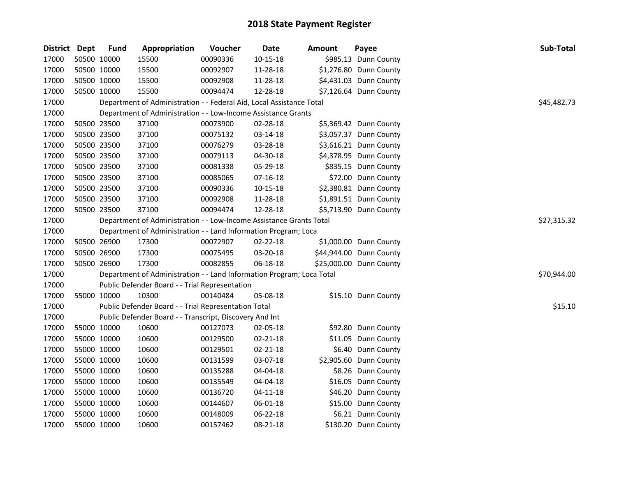| District Dept |             | <b>Fund</b> | Appropriation                                                         | Voucher     | Date           | Amount | Payee                   | Sub-Total   |
|---------------|-------------|-------------|-----------------------------------------------------------------------|-------------|----------------|--------|-------------------------|-------------|
| 17000         |             | 50500 10000 | 15500                                                                 | 00090336    | $10 - 15 - 18$ |        | \$985.13 Dunn County    |             |
| 17000         |             | 50500 10000 | 15500                                                                 | 00092907    | 11-28-18       |        | \$1,276.80 Dunn County  |             |
| 17000         |             | 50500 10000 | 15500                                                                 | 00092908    | 11-28-18       |        | \$4,431.03 Dunn County  |             |
| 17000         | 50500 10000 |             | 15500                                                                 | 00094474    | 12-28-18       |        | \$7,126.64 Dunn County  |             |
| 17000         |             |             | Department of Administration - - Federal Aid, Local Assistance Total  |             |                |        |                         | \$45,482.73 |
| 17000         |             |             | Department of Administration - - Low-Income Assistance Grants         |             |                |        |                         |             |
| 17000         |             | 50500 23500 | 37100                                                                 | 00073900    | 02-28-18       |        | \$5,369.42 Dunn County  |             |
| 17000         |             | 50500 23500 | 37100                                                                 | 00075132    | 03-14-18       |        | \$3,057.37 Dunn County  |             |
| 17000         |             | 50500 23500 | 37100                                                                 | 00076279    | 03-28-18       |        | \$3,616.21 Dunn County  |             |
| 17000         |             | 50500 23500 | 37100                                                                 | 00079113    | 04-30-18       |        | \$4,378.95 Dunn County  |             |
| 17000         |             | 50500 23500 | 37100                                                                 | 00081338    | 05-29-18       |        | \$835.15 Dunn County    |             |
| 17000         |             | 50500 23500 | 37100                                                                 | 00085065    | $07-16-18$     |        | \$72.00 Dunn County     |             |
| 17000         |             | 50500 23500 | 37100                                                                 | 00090336    | $10 - 15 - 18$ |        | \$2,380.81 Dunn County  |             |
| 17000         |             | 50500 23500 | 37100                                                                 | 00092908    | 11-28-18       |        | \$1,891.51 Dunn County  |             |
| 17000         |             | 50500 23500 | 37100                                                                 | 00094474    | 12-28-18       |        | \$5,713.90 Dunn County  |             |
| 17000         |             |             | Department of Administration - - Low-Income Assistance Grants Total   | \$27,315.32 |                |        |                         |             |
| 17000         |             |             | Department of Administration - - Land Information Program; Loca       |             |                |        |                         |             |
| 17000         |             | 50500 26900 | 17300                                                                 | 00072907    | 02-22-18       |        | \$1,000.00 Dunn County  |             |
| 17000         |             | 50500 26900 | 17300                                                                 | 00075495    | 03-20-18       |        | \$44,944.00 Dunn County |             |
| 17000         |             | 50500 26900 | 17300                                                                 | 00082855    | 06-18-18       |        | \$25,000.00 Dunn County |             |
| 17000         |             |             | Department of Administration - - Land Information Program; Loca Total |             |                |        |                         | \$70,944.00 |
| 17000         |             |             | Public Defender Board - - Trial Representation                        |             |                |        |                         |             |
| 17000         |             | 55000 10000 | 10300                                                                 | 00140484    | 05-08-18       |        | \$15.10 Dunn County     |             |
| 17000         |             |             | Public Defender Board - - Trial Representation Total                  |             |                |        |                         | \$15.10     |
| 17000         |             |             | Public Defender Board - - Transcript, Discovery And Int               |             |                |        |                         |             |
| 17000         |             | 55000 10000 | 10600                                                                 | 00127073    | 02-05-18       |        | \$92.80 Dunn County     |             |
| 17000         |             | 55000 10000 | 10600                                                                 | 00129500    | 02-21-18       |        | \$11.05 Dunn County     |             |
| 17000         |             | 55000 10000 | 10600                                                                 | 00129501    | 02-21-18       |        | \$6.40 Dunn County      |             |
| 17000         |             | 55000 10000 | 10600                                                                 | 00131599    | 03-07-18       |        | \$2,905.60 Dunn County  |             |
| 17000         |             | 55000 10000 | 10600                                                                 | 00135288    | 04-04-18       |        | \$8.26 Dunn County      |             |
| 17000         |             | 55000 10000 | 10600                                                                 | 00135549    | 04-04-18       |        | \$16.05 Dunn County     |             |
| 17000         |             | 55000 10000 | 10600                                                                 | 00136720    | $04 - 11 - 18$ |        | \$46.20 Dunn County     |             |
| 17000         |             | 55000 10000 | 10600                                                                 | 00144607    | 06-01-18       |        | \$15.00 Dunn County     |             |
| 17000         |             | 55000 10000 | 10600                                                                 | 00148009    | 06-22-18       |        | \$6.21 Dunn County      |             |
| 17000         | 55000 10000 |             | 10600                                                                 | 00157462    | 08-21-18       |        | \$130.20 Dunn County    |             |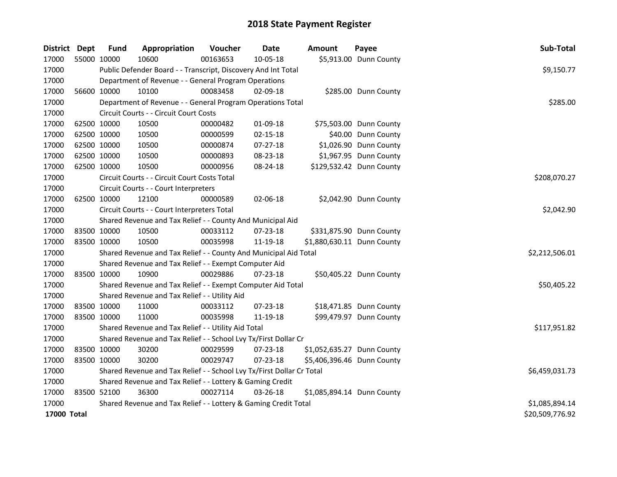| District Dept |             | <b>Fund</b>                                               | Appropriation                                                         | Voucher  | <b>Date</b>    | <b>Amount</b> | Payee                      | Sub-Total       |  |
|---------------|-------------|-----------------------------------------------------------|-----------------------------------------------------------------------|----------|----------------|---------------|----------------------------|-----------------|--|
| 17000         | 55000 10000 |                                                           | 10600                                                                 | 00163653 | 10-05-18       |               | \$5,913.00 Dunn County     |                 |  |
| 17000         |             |                                                           | Public Defender Board - - Transcript, Discovery And Int Total         |          |                |               |                            | \$9,150.77      |  |
| 17000         |             |                                                           | Department of Revenue - - General Program Operations                  |          |                |               |                            |                 |  |
| 17000         |             | 56600 10000                                               | 10100                                                                 | 00083458 | $02 - 09 - 18$ |               | \$285.00 Dunn County       |                 |  |
| 17000         |             |                                                           | Department of Revenue - - General Program Operations Total            |          |                |               |                            | \$285.00        |  |
| 17000         |             |                                                           | Circuit Courts - - Circuit Court Costs                                |          |                |               |                            |                 |  |
| 17000         |             | 62500 10000                                               | 10500                                                                 | 00000482 | 01-09-18       |               | \$75,503.00 Dunn County    |                 |  |
| 17000         |             | 62500 10000                                               | 10500                                                                 | 00000599 | $02 - 15 - 18$ |               | \$40.00 Dunn County        |                 |  |
| 17000         |             | 62500 10000                                               | 10500                                                                 | 00000874 | $07 - 27 - 18$ |               | \$1,026.90 Dunn County     |                 |  |
| 17000         |             | 62500 10000                                               | 10500                                                                 | 00000893 | 08-23-18       |               | \$1,967.95 Dunn County     |                 |  |
| 17000         |             | 62500 10000                                               | 10500                                                                 | 00000956 | 08-24-18       |               | \$129,532.42 Dunn County   |                 |  |
| 17000         |             |                                                           | Circuit Courts - - Circuit Court Costs Total                          |          |                |               |                            | \$208,070.27    |  |
| 17000         |             |                                                           | Circuit Courts - - Court Interpreters                                 |          |                |               |                            |                 |  |
| 17000         |             | 62500 10000                                               | 12100                                                                 | 00000589 | 02-06-18       |               | \$2,042.90 Dunn County     |                 |  |
| 17000         |             |                                                           | Circuit Courts - - Court Interpreters Total                           |          |                |               |                            | \$2,042.90      |  |
| 17000         |             |                                                           | Shared Revenue and Tax Relief - - County And Municipal Aid            |          |                |               |                            |                 |  |
| 17000         |             | 83500 10000                                               | 10500                                                                 | 00033112 | 07-23-18       |               | \$331,875.90 Dunn County   |                 |  |
| 17000         | 83500 10000 |                                                           | 10500                                                                 | 00035998 | 11-19-18       |               | \$1,880,630.11 Dunn County |                 |  |
| 17000         |             |                                                           | Shared Revenue and Tax Relief - - County And Municipal Aid Total      |          |                |               |                            | \$2,212,506.01  |  |
| 17000         |             |                                                           | Shared Revenue and Tax Relief - - Exempt Computer Aid                 |          |                |               |                            |                 |  |
| 17000         | 83500 10000 |                                                           | 10900                                                                 | 00029886 | $07 - 23 - 18$ |               | \$50,405.22 Dunn County    |                 |  |
| 17000         |             |                                                           | Shared Revenue and Tax Relief - - Exempt Computer Aid Total           |          |                |               |                            | \$50,405.22     |  |
| 17000         |             |                                                           | Shared Revenue and Tax Relief - - Utility Aid                         |          |                |               |                            |                 |  |
| 17000         |             | 83500 10000                                               | 11000                                                                 | 00033112 | 07-23-18       |               | \$18,471.85 Dunn County    |                 |  |
| 17000         | 83500 10000 |                                                           | 11000                                                                 | 00035998 | 11-19-18       |               | \$99,479.97 Dunn County    |                 |  |
| 17000         |             |                                                           | Shared Revenue and Tax Relief - - Utility Aid Total                   |          |                |               |                            | \$117,951.82    |  |
| 17000         |             |                                                           | Shared Revenue and Tax Relief - - School Lvy Tx/First Dollar Cr       |          |                |               |                            |                 |  |
| 17000         | 83500 10000 |                                                           | 30200                                                                 | 00029599 | 07-23-18       |               | \$1,052,635.27 Dunn County |                 |  |
| 17000         | 83500 10000 |                                                           | 30200                                                                 | 00029747 | 07-23-18       |               | \$5,406,396.46 Dunn County |                 |  |
| 17000         |             |                                                           | Shared Revenue and Tax Relief - - School Lvy Tx/First Dollar Cr Total |          |                |               |                            | \$6,459,031.73  |  |
| 17000         |             | Shared Revenue and Tax Relief - - Lottery & Gaming Credit |                                                                       |          |                |               |                            |                 |  |
| 17000         | 83500 52100 |                                                           | 36300                                                                 | 00027114 | $03 - 26 - 18$ |               | \$1,085,894.14 Dunn County |                 |  |
| 17000         |             |                                                           | Shared Revenue and Tax Relief - - Lottery & Gaming Credit Total       |          |                |               |                            | \$1,085,894.14  |  |
| 17000 Total   |             |                                                           |                                                                       |          |                |               |                            | \$20,509,776.92 |  |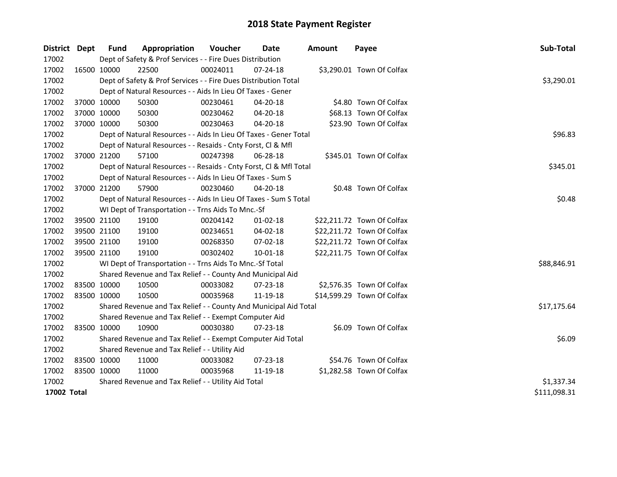| District Dept | <b>Fund</b> | Appropriation                                                      | <b>Voucher</b> | Date           | Amount | Payee                      | Sub-Total    |
|---------------|-------------|--------------------------------------------------------------------|----------------|----------------|--------|----------------------------|--------------|
| 17002         |             | Dept of Safety & Prof Services - - Fire Dues Distribution          |                |                |        |                            |              |
| 17002         | 16500 10000 | 22500                                                              | 00024011       | $07 - 24 - 18$ |        | \$3,290.01 Town Of Colfax  |              |
| 17002         |             | Dept of Safety & Prof Services - - Fire Dues Distribution Total    |                |                |        |                            | \$3,290.01   |
| 17002         |             | Dept of Natural Resources - - Aids In Lieu Of Taxes - Gener        |                |                |        |                            |              |
| 17002         | 37000 10000 | 50300                                                              | 00230461       | 04-20-18       |        | \$4.80 Town Of Colfax      |              |
| 17002         | 37000 10000 | 50300                                                              | 00230462       | 04-20-18       |        | \$68.13 Town Of Colfax     |              |
| 17002         | 37000 10000 | 50300                                                              | 00230463       | 04-20-18       |        | \$23.90 Town Of Colfax     |              |
| 17002         |             | Dept of Natural Resources - - Aids In Lieu Of Taxes - Gener Total  | \$96.83        |                |        |                            |              |
| 17002         |             | Dept of Natural Resources - - Resaids - Cnty Forst, Cl & Mfl       |                |                |        |                            |              |
| 17002         | 37000 21200 | 57100                                                              | 00247398       | 06-28-18       |        | \$345.01 Town Of Colfax    |              |
| 17002         |             | Dept of Natural Resources - - Resaids - Cnty Forst, Cl & Mfl Total |                |                |        |                            | \$345.01     |
| 17002         |             | Dept of Natural Resources - - Aids In Lieu Of Taxes - Sum S        |                |                |        |                            |              |
| 17002         | 37000 21200 | 57900                                                              | 00230460       | 04-20-18       |        | \$0.48 Town Of Colfax      |              |
| 17002         |             | Dept of Natural Resources - - Aids In Lieu Of Taxes - Sum S Total  |                |                |        |                            | \$0.48       |
| 17002         |             | WI Dept of Transportation - - Trns Aids To Mnc.-Sf                 |                |                |        |                            |              |
| 17002         | 39500 21100 | 19100                                                              | 00204142       | $01-02-18$     |        | \$22,211.72 Town Of Colfax |              |
| 17002         | 39500 21100 | 19100                                                              | 00234651       | 04-02-18       |        | \$22,211.72 Town Of Colfax |              |
| 17002         | 39500 21100 | 19100                                                              | 00268350       | 07-02-18       |        | \$22,211.72 Town Of Colfax |              |
| 17002         | 39500 21100 | 19100                                                              | 00302402       | 10-01-18       |        | \$22,211.75 Town Of Colfax |              |
| 17002         |             | WI Dept of Transportation - - Trns Aids To Mnc.-Sf Total           |                |                |        |                            | \$88,846.91  |
| 17002         |             | Shared Revenue and Tax Relief - - County And Municipal Aid         |                |                |        |                            |              |
| 17002         | 83500 10000 | 10500                                                              | 00033082       | 07-23-18       |        | \$2,576.35 Town Of Colfax  |              |
| 17002         | 83500 10000 | 10500                                                              | 00035968       | 11-19-18       |        | \$14,599.29 Town Of Colfax |              |
| 17002         |             | Shared Revenue and Tax Relief - - County And Municipal Aid Total   |                |                |        |                            | \$17,175.64  |
| 17002         |             | Shared Revenue and Tax Relief - - Exempt Computer Aid              |                |                |        |                            |              |
| 17002         | 83500 10000 | 10900                                                              | 00030380       | $07 - 23 - 18$ |        | \$6.09 Town Of Colfax      |              |
| 17002         |             | Shared Revenue and Tax Relief - - Exempt Computer Aid Total        |                |                |        |                            | \$6.09       |
| 17002         |             | Shared Revenue and Tax Relief - - Utility Aid                      |                |                |        |                            |              |
| 17002         | 83500 10000 | 11000                                                              | 00033082       | 07-23-18       |        | \$54.76 Town Of Colfax     |              |
| 17002         | 83500 10000 | 11000                                                              | 00035968       | 11-19-18       |        | \$1,282.58 Town Of Colfax  |              |
| 17002         |             | Shared Revenue and Tax Relief - - Utility Aid Total                | \$1,337.34     |                |        |                            |              |
| 17002 Total   |             |                                                                    |                |                |        |                            | \$111,098.31 |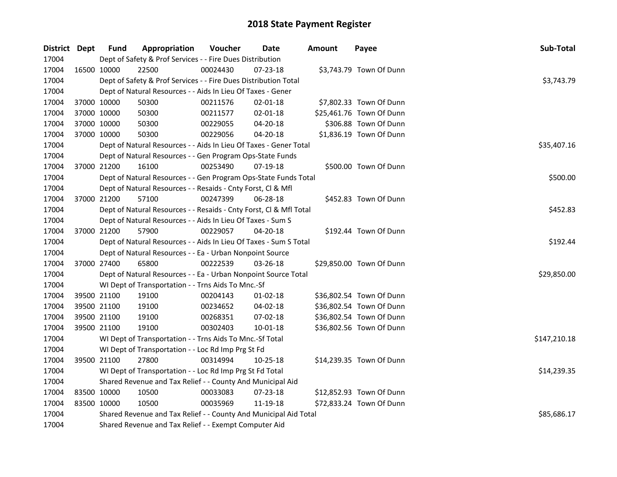| District Dept |             | <b>Fund</b> | Appropriation                                                      | Voucher     | Date           | <b>Amount</b> | Payee                    | Sub-Total    |
|---------------|-------------|-------------|--------------------------------------------------------------------|-------------|----------------|---------------|--------------------------|--------------|
| 17004         |             |             | Dept of Safety & Prof Services - - Fire Dues Distribution          |             |                |               |                          |              |
| 17004         |             | 16500 10000 | 22500                                                              | 00024430    | 07-23-18       |               | \$3,743.79 Town Of Dunn  |              |
| 17004         |             |             | Dept of Safety & Prof Services - - Fire Dues Distribution Total    |             |                |               |                          | \$3,743.79   |
| 17004         |             |             | Dept of Natural Resources - - Aids In Lieu Of Taxes - Gener        |             |                |               |                          |              |
| 17004         |             | 37000 10000 | 50300                                                              | 00211576    | $02 - 01 - 18$ |               | \$7,802.33 Town Of Dunn  |              |
| 17004         |             | 37000 10000 | 50300                                                              | 00211577    | $02 - 01 - 18$ |               | \$25,461.76 Town Of Dunn |              |
| 17004         |             | 37000 10000 | 50300                                                              | 00229055    | 04-20-18       |               | \$306.88 Town Of Dunn    |              |
| 17004         |             | 37000 10000 | 50300                                                              | 00229056    | 04-20-18       |               | \$1,836.19 Town Of Dunn  |              |
| 17004         |             |             | Dept of Natural Resources - - Aids In Lieu Of Taxes - Gener Total  | \$35,407.16 |                |               |                          |              |
| 17004         |             |             | Dept of Natural Resources - - Gen Program Ops-State Funds          |             |                |               |                          |              |
| 17004         |             | 37000 21200 | 16100                                                              | 00253490    | 07-19-18       |               | \$500.00 Town Of Dunn    |              |
| 17004         |             |             | Dept of Natural Resources - - Gen Program Ops-State Funds Total    |             |                |               |                          | \$500.00     |
| 17004         |             |             | Dept of Natural Resources - - Resaids - Cnty Forst, Cl & Mfl       |             |                |               |                          |              |
| 17004         |             | 37000 21200 | 57100                                                              | 00247399    | 06-28-18       |               | \$452.83 Town Of Dunn    |              |
| 17004         |             |             | Dept of Natural Resources - - Resaids - Cnty Forst, Cl & Mfl Total |             |                |               |                          | \$452.83     |
| 17004         |             |             | Dept of Natural Resources - - Aids In Lieu Of Taxes - Sum S        |             |                |               |                          |              |
| 17004         |             | 37000 21200 | 57900                                                              | 00229057    | 04-20-18       |               | \$192.44 Town Of Dunn    |              |
| 17004         |             |             | Dept of Natural Resources - - Aids In Lieu Of Taxes - Sum S Total  |             |                |               |                          | \$192.44     |
| 17004         |             |             | Dept of Natural Resources - - Ea - Urban Nonpoint Source           |             |                |               |                          |              |
| 17004         | 37000 27400 |             | 65800                                                              | 00222539    | 03-26-18       |               | \$29,850.00 Town Of Dunn |              |
| 17004         |             |             | Dept of Natural Resources - - Ea - Urban Nonpoint Source Total     |             |                |               |                          | \$29,850.00  |
| 17004         |             |             | WI Dept of Transportation - - Trns Aids To Mnc.-Sf                 |             |                |               |                          |              |
| 17004         |             | 39500 21100 | 19100                                                              | 00204143    | 01-02-18       |               | \$36,802.54 Town Of Dunn |              |
| 17004         |             | 39500 21100 | 19100                                                              | 00234652    | 04-02-18       |               | \$36,802.54 Town Of Dunn |              |
| 17004         |             | 39500 21100 | 19100                                                              | 00268351    | 07-02-18       |               | \$36,802.54 Town Of Dunn |              |
| 17004         | 39500 21100 |             | 19100                                                              | 00302403    | 10-01-18       |               | \$36,802.56 Town Of Dunn |              |
| 17004         |             |             | WI Dept of Transportation - - Trns Aids To Mnc.-Sf Total           |             |                |               |                          | \$147,210.18 |
| 17004         |             |             | WI Dept of Transportation - - Loc Rd Imp Prg St Fd                 |             |                |               |                          |              |
| 17004         | 39500 21100 |             | 27800                                                              | 00314994    | 10-25-18       |               | \$14,239.35 Town Of Dunn |              |
| 17004         |             |             | WI Dept of Transportation - - Loc Rd Imp Prg St Fd Total           |             |                |               |                          | \$14,239.35  |
| 17004         |             |             | Shared Revenue and Tax Relief - - County And Municipal Aid         |             |                |               |                          |              |
| 17004         |             | 83500 10000 | 10500                                                              | 00033083    | 07-23-18       |               | \$12,852.93 Town Of Dunn |              |
| 17004         |             | 83500 10000 | 10500                                                              | 00035969    | 11-19-18       |               | \$72,833.24 Town Of Dunn |              |
| 17004         |             |             | Shared Revenue and Tax Relief - - County And Municipal Aid Total   |             |                |               |                          | \$85,686.17  |
| 17004         |             |             | Shared Revenue and Tax Relief - - Exempt Computer Aid              |             |                |               |                          |              |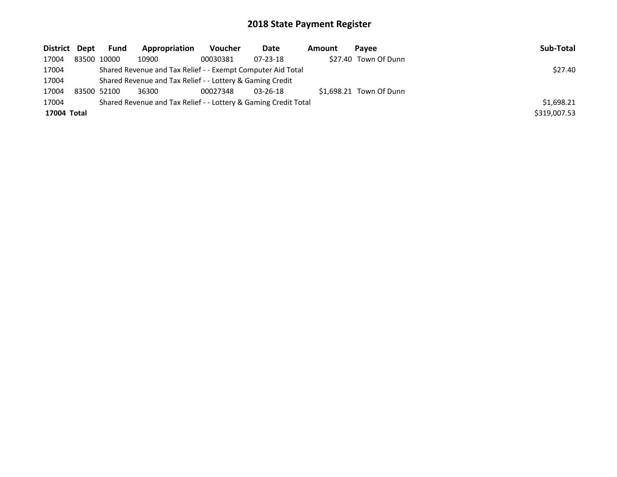| District Dept | <b>Fund</b>                                                 | Appropriation                                                   | Voucher  | Date           | Amount | Pavee                   | Sub-Total    |
|---------------|-------------------------------------------------------------|-----------------------------------------------------------------|----------|----------------|--------|-------------------------|--------------|
| 17004         | 83500 10000                                                 | 10900                                                           | 00030381 | $07 - 23 - 18$ |        | \$27.40 Town Of Dunn    |              |
| 17004         | Shared Revenue and Tax Relief - - Exempt Computer Aid Total | \$27.40                                                         |          |                |        |                         |              |
| 17004         | Shared Revenue and Tax Relief - - Lottery & Gaming Credit   |                                                                 |          |                |        |                         |              |
| 17004         | 83500 52100                                                 | 36300                                                           | 00027348 | $03 - 26 - 18$ |        | \$1,698.21 Town Of Dunn |              |
| 17004         |                                                             | Shared Revenue and Tax Relief - - Lottery & Gaming Credit Total |          |                |        |                         | \$1,698.21   |
| 17004 Total   |                                                             |                                                                 |          |                |        |                         | \$319,007.53 |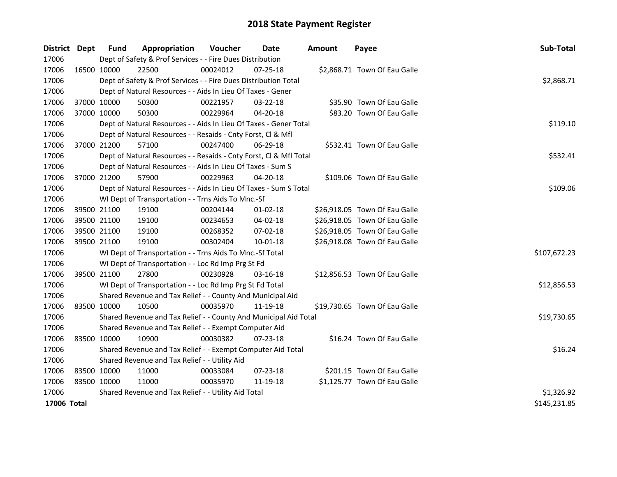| District Dept | <b>Fund</b>                                   | Appropriation                                                      | Voucher  | Date           | <b>Amount</b> | Payee                         | Sub-Total    |  |
|---------------|-----------------------------------------------|--------------------------------------------------------------------|----------|----------------|---------------|-------------------------------|--------------|--|
| 17006         |                                               | Dept of Safety & Prof Services - - Fire Dues Distribution          |          |                |               |                               |              |  |
| 17006         | 16500 10000                                   | 22500                                                              | 00024012 | 07-25-18       |               | \$2,868.71 Town Of Eau Galle  |              |  |
| 17006         |                                               | Dept of Safety & Prof Services - - Fire Dues Distribution Total    |          |                |               |                               | \$2,868.71   |  |
| 17006         |                                               | Dept of Natural Resources - - Aids In Lieu Of Taxes - Gener        |          |                |               |                               |              |  |
| 17006         | 37000 10000                                   | 50300                                                              | 00221957 | 03-22-18       |               | \$35.90 Town Of Eau Galle     |              |  |
| 17006         | 37000 10000                                   | 50300                                                              | 00229964 | $04 - 20 - 18$ |               | \$83.20 Town Of Eau Galle     |              |  |
| 17006         |                                               | Dept of Natural Resources - - Aids In Lieu Of Taxes - Gener Total  |          |                |               |                               | \$119.10     |  |
| 17006         |                                               | Dept of Natural Resources - - Resaids - Cnty Forst, Cl & Mfl       |          |                |               |                               |              |  |
| 17006         | 37000 21200                                   | 57100                                                              | 00247400 | 06-29-18       |               | \$532.41 Town Of Eau Galle    |              |  |
| 17006         |                                               | Dept of Natural Resources - - Resaids - Cnty Forst, Cl & Mfl Total |          |                |               |                               | \$532.41     |  |
| 17006         |                                               | Dept of Natural Resources - - Aids In Lieu Of Taxes - Sum S        |          |                |               |                               |              |  |
| 17006         | 37000 21200                                   | 57900                                                              | 00229963 | 04-20-18       |               | \$109.06 Town Of Eau Galle    |              |  |
| 17006         |                                               | Dept of Natural Resources - - Aids In Lieu Of Taxes - Sum S Total  |          |                |               |                               | \$109.06     |  |
| 17006         |                                               | WI Dept of Transportation - - Trns Aids To Mnc.-Sf                 |          |                |               |                               |              |  |
| 17006         | 39500 21100                                   | 19100                                                              | 00204144 | $01-02-18$     |               | \$26,918.05 Town Of Eau Galle |              |  |
| 17006         | 39500 21100                                   | 19100                                                              | 00234653 | $04 - 02 - 18$ |               | \$26,918.05 Town Of Eau Galle |              |  |
| 17006         | 39500 21100                                   | 19100                                                              | 00268352 | 07-02-18       |               | \$26,918.05 Town Of Eau Galle |              |  |
| 17006         | 39500 21100                                   | 19100                                                              | 00302404 | $10 - 01 - 18$ |               | \$26,918.08 Town Of Eau Galle |              |  |
| 17006         |                                               | WI Dept of Transportation - - Trns Aids To Mnc.-Sf Total           |          |                |               |                               | \$107,672.23 |  |
| 17006         |                                               | WI Dept of Transportation - - Loc Rd Imp Prg St Fd                 |          |                |               |                               |              |  |
| 17006         | 39500 21100                                   | 27800                                                              | 00230928 | 03-16-18       |               | \$12,856.53 Town Of Eau Galle |              |  |
| 17006         |                                               | WI Dept of Transportation - - Loc Rd Imp Prg St Fd Total           |          |                |               |                               | \$12,856.53  |  |
| 17006         |                                               | Shared Revenue and Tax Relief - - County And Municipal Aid         |          |                |               |                               |              |  |
| 17006         | 83500 10000                                   | 10500                                                              | 00035970 | 11-19-18       |               | \$19,730.65 Town Of Eau Galle |              |  |
| 17006         |                                               | Shared Revenue and Tax Relief - - County And Municipal Aid Total   |          |                |               |                               | \$19,730.65  |  |
| 17006         |                                               | Shared Revenue and Tax Relief - - Exempt Computer Aid              |          |                |               |                               |              |  |
| 17006         | 83500 10000                                   | 10900                                                              | 00030382 | $07 - 23 - 18$ |               | \$16.24 Town Of Eau Galle     |              |  |
| 17006         |                                               | Shared Revenue and Tax Relief - - Exempt Computer Aid Total        |          |                |               |                               | \$16.24      |  |
| 17006         | Shared Revenue and Tax Relief - - Utility Aid |                                                                    |          |                |               |                               |              |  |
| 17006         | 83500 10000                                   | 11000                                                              | 00033084 | 07-23-18       |               | \$201.15 Town Of Eau Galle    |              |  |
| 17006         | 83500 10000                                   | 11000                                                              | 00035970 | 11-19-18       |               | \$1,125.77 Town Of Eau Galle  |              |  |
| 17006         |                                               | Shared Revenue and Tax Relief - - Utility Aid Total                |          |                |               |                               | \$1,326.92   |  |
| 17006 Total   |                                               |                                                                    |          |                |               |                               | \$145,231.85 |  |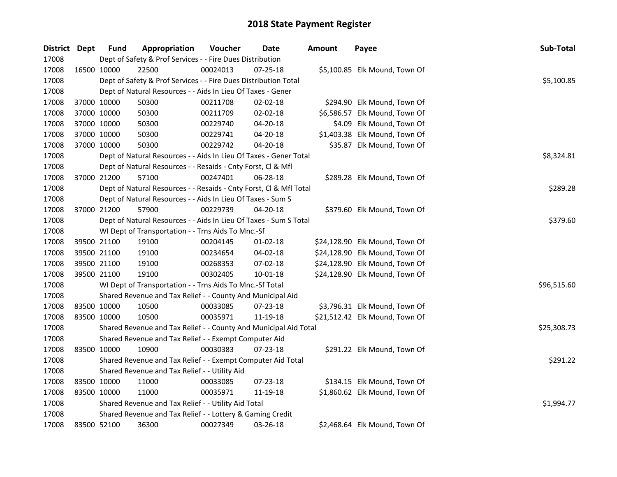| District Dept |             | <b>Fund</b> | Appropriation                                                      | Voucher  | Date           | <b>Amount</b> | Payee                          | Sub-Total   |
|---------------|-------------|-------------|--------------------------------------------------------------------|----------|----------------|---------------|--------------------------------|-------------|
| 17008         |             |             | Dept of Safety & Prof Services - - Fire Dues Distribution          |          |                |               |                                |             |
| 17008         | 16500 10000 |             | 22500                                                              | 00024013 | $07 - 25 - 18$ |               | \$5,100.85 Elk Mound, Town Of  |             |
| 17008         |             |             | Dept of Safety & Prof Services - - Fire Dues Distribution Total    |          |                |               |                                | \$5,100.85  |
| 17008         |             |             | Dept of Natural Resources - - Aids In Lieu Of Taxes - Gener        |          |                |               |                                |             |
| 17008         | 37000 10000 |             | 50300                                                              | 00211708 | $02 - 02 - 18$ |               | \$294.90 Elk Mound, Town Of    |             |
| 17008         | 37000 10000 |             | 50300                                                              | 00211709 | $02 - 02 - 18$ |               | \$6,586.57 Elk Mound, Town Of  |             |
| 17008         | 37000 10000 |             | 50300                                                              | 00229740 | 04-20-18       |               | \$4.09 Elk Mound, Town Of      |             |
| 17008         | 37000 10000 |             | 50300                                                              | 00229741 | 04-20-18       |               | \$1,403.38 Elk Mound, Town Of  |             |
| 17008         | 37000 10000 |             | 50300                                                              | 00229742 | 04-20-18       |               | \$35.87 Elk Mound, Town Of     |             |
| 17008         |             |             | Dept of Natural Resources - - Aids In Lieu Of Taxes - Gener Total  |          |                |               |                                | \$8,324.81  |
| 17008         |             |             | Dept of Natural Resources - - Resaids - Cnty Forst, Cl & Mfl       |          |                |               |                                |             |
| 17008         |             | 37000 21200 | 57100                                                              | 00247401 | 06-28-18       |               | \$289.28 Elk Mound, Town Of    |             |
| 17008         |             |             | Dept of Natural Resources - - Resaids - Cnty Forst, Cl & Mfl Total |          |                |               |                                | \$289.28    |
| 17008         |             |             | Dept of Natural Resources - - Aids In Lieu Of Taxes - Sum S        |          |                |               |                                |             |
| 17008         | 37000 21200 |             | 57900                                                              | 00229739 | 04-20-18       |               | \$379.60 Elk Mound, Town Of    |             |
| 17008         |             |             | Dept of Natural Resources - - Aids In Lieu Of Taxes - Sum S Total  | \$379.60 |                |               |                                |             |
| 17008         |             |             | WI Dept of Transportation - - Trns Aids To Mnc.-Sf                 |          |                |               |                                |             |
| 17008         | 39500 21100 |             | 19100                                                              | 00204145 | $01 - 02 - 18$ |               | \$24,128.90 Elk Mound, Town Of |             |
| 17008         | 39500 21100 |             | 19100                                                              | 00234654 | 04-02-18       |               | \$24,128.90 Elk Mound, Town Of |             |
| 17008         | 39500 21100 |             | 19100                                                              | 00268353 | 07-02-18       |               | \$24,128.90 Elk Mound, Town Of |             |
| 17008         | 39500 21100 |             | 19100                                                              | 00302405 | 10-01-18       |               | \$24,128.90 Elk Mound, Town Of |             |
| 17008         |             |             | WI Dept of Transportation - - Trns Aids To Mnc.-Sf Total           |          |                |               |                                | \$96,515.60 |
| 17008         |             |             | Shared Revenue and Tax Relief - - County And Municipal Aid         |          |                |               |                                |             |
| 17008         | 83500 10000 |             | 10500                                                              | 00033085 | 07-23-18       |               | \$3,796.31 Elk Mound, Town Of  |             |
| 17008         | 83500 10000 |             | 10500                                                              | 00035971 | 11-19-18       |               | \$21,512.42 Elk Mound, Town Of |             |
| 17008         |             |             | Shared Revenue and Tax Relief - - County And Municipal Aid Total   |          |                |               |                                | \$25,308.73 |
| 17008         |             |             | Shared Revenue and Tax Relief - - Exempt Computer Aid              |          |                |               |                                |             |
| 17008         | 83500 10000 |             | 10900                                                              | 00030383 | 07-23-18       |               | \$291.22 Elk Mound, Town Of    |             |
| 17008         |             |             | Shared Revenue and Tax Relief - - Exempt Computer Aid Total        |          |                |               |                                | \$291.22    |
| 17008         |             |             | Shared Revenue and Tax Relief - - Utility Aid                      |          |                |               |                                |             |
| 17008         | 83500 10000 |             | 11000                                                              | 00033085 | 07-23-18       |               | \$134.15 Elk Mound, Town Of    |             |
| 17008         | 83500 10000 |             | 11000                                                              | 00035971 | 11-19-18       |               | \$1,860.62 Elk Mound, Town Of  |             |
| 17008         |             |             | Shared Revenue and Tax Relief - - Utility Aid Total                |          |                |               |                                | \$1,994.77  |
| 17008         |             |             | Shared Revenue and Tax Relief - - Lottery & Gaming Credit          |          |                |               |                                |             |
| 17008         |             | 83500 52100 | 36300                                                              | 00027349 | 03-26-18       |               | \$2,468.64 Elk Mound, Town Of  |             |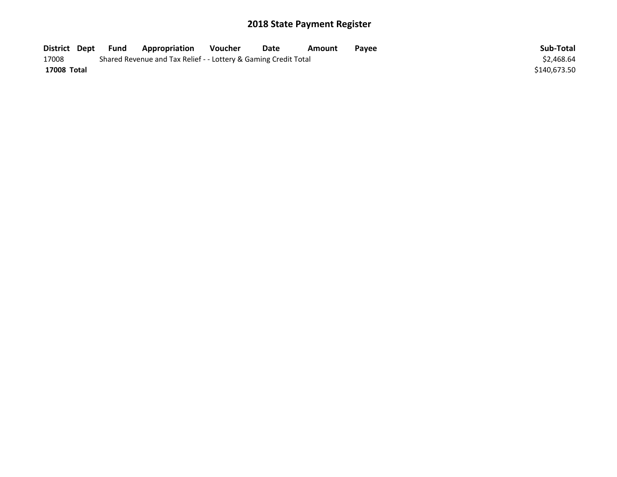| District Dept | Fund | <b>Appropriation</b>                                            | Voucher | Date | Amount | Payee | Sub-Total    |
|---------------|------|-----------------------------------------------------------------|---------|------|--------|-------|--------------|
| 17008         |      | Shared Revenue and Tax Relief - - Lottery & Gaming Credit Total |         |      |        |       | \$2,468.64   |
| 17008 Total   |      |                                                                 |         |      |        |       | \$140.673.50 |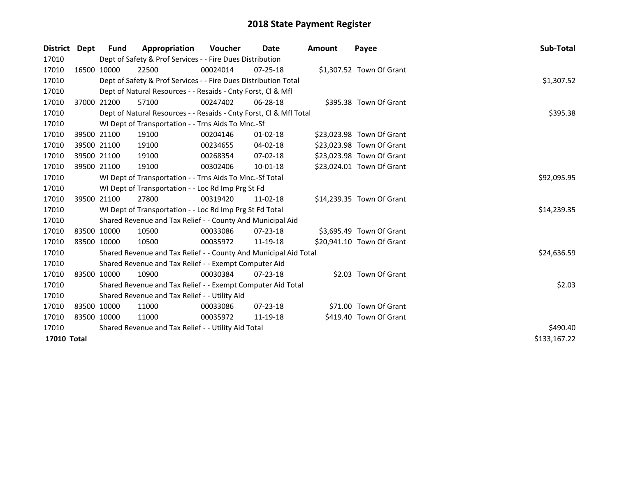| District Dept | <b>Fund</b> | Appropriation                                                      | Voucher  | Date           | <b>Amount</b> | Payee                     | <b>Sub-Total</b> |
|---------------|-------------|--------------------------------------------------------------------|----------|----------------|---------------|---------------------------|------------------|
| 17010         |             | Dept of Safety & Prof Services - - Fire Dues Distribution          |          |                |               |                           |                  |
| 17010         | 16500 10000 | 22500                                                              | 00024014 | $07 - 25 - 18$ |               | \$1,307.52 Town Of Grant  |                  |
| 17010         |             | Dept of Safety & Prof Services - - Fire Dues Distribution Total    |          |                |               |                           | \$1,307.52       |
| 17010         |             | Dept of Natural Resources - - Resaids - Cnty Forst, Cl & Mfl       |          |                |               |                           |                  |
| 17010         | 37000 21200 | 57100                                                              | 00247402 | 06-28-18       |               | \$395.38 Town Of Grant    |                  |
| 17010         |             | Dept of Natural Resources - - Resaids - Cnty Forst, Cl & Mfl Total | \$395.38 |                |               |                           |                  |
| 17010         |             | WI Dept of Transportation - - Trns Aids To Mnc.-Sf                 |          |                |               |                           |                  |
| 17010         | 39500 21100 | 19100                                                              | 00204146 | $01 - 02 - 18$ |               | \$23,023.98 Town Of Grant |                  |
| 17010         | 39500 21100 | 19100                                                              | 00234655 | 04-02-18       |               | \$23,023.98 Town Of Grant |                  |
| 17010         | 39500 21100 | 19100                                                              | 00268354 | 07-02-18       |               | \$23,023.98 Town Of Grant |                  |
| 17010         | 39500 21100 | 19100                                                              | 00302406 | 10-01-18       |               | \$23,024.01 Town Of Grant |                  |
| 17010         |             | WI Dept of Transportation - - Trns Aids To Mnc.-Sf Total           |          |                |               |                           | \$92,095.95      |
| 17010         |             | WI Dept of Transportation - - Loc Rd Imp Prg St Fd                 |          |                |               |                           |                  |
| 17010         | 39500 21100 | 27800                                                              | 00319420 | 11-02-18       |               | \$14,239.35 Town Of Grant |                  |
| 17010         |             | WI Dept of Transportation - - Loc Rd Imp Prg St Fd Total           |          |                |               |                           | \$14,239.35      |
| 17010         |             | Shared Revenue and Tax Relief - - County And Municipal Aid         |          |                |               |                           |                  |
| 17010         | 83500 10000 | 10500                                                              | 00033086 | $07 - 23 - 18$ |               | \$3,695.49 Town Of Grant  |                  |
| 17010         | 83500 10000 | 10500                                                              | 00035972 | 11-19-18       |               | \$20,941.10 Town Of Grant |                  |
| 17010         |             | Shared Revenue and Tax Relief - - County And Municipal Aid Total   |          |                |               |                           | \$24,636.59      |
| 17010         |             | Shared Revenue and Tax Relief - - Exempt Computer Aid              |          |                |               |                           |                  |
| 17010         | 83500 10000 | 10900                                                              | 00030384 | $07 - 23 - 18$ |               | \$2.03 Town Of Grant      |                  |
| 17010         |             | Shared Revenue and Tax Relief - - Exempt Computer Aid Total        |          |                |               |                           | \$2.03           |
| 17010         |             | Shared Revenue and Tax Relief - - Utility Aid                      |          |                |               |                           |                  |
| 17010         | 83500 10000 | 11000                                                              | 00033086 | $07 - 23 - 18$ |               | \$71.00 Town Of Grant     |                  |
| 17010         | 83500 10000 | 11000                                                              | 00035972 | 11-19-18       |               | \$419.40 Town Of Grant    |                  |
| 17010         |             | Shared Revenue and Tax Relief - - Utility Aid Total                | \$490.40 |                |               |                           |                  |
| 17010 Total   |             |                                                                    |          |                |               |                           | \$133,167.22     |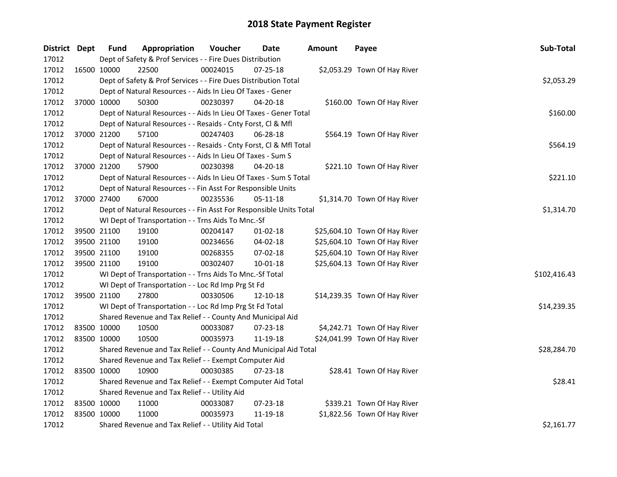| District Dept |             | <b>Fund</b> | Appropriation                                                      | Voucher  | <b>Date</b>    | <b>Amount</b> | Payee                         | Sub-Total    |
|---------------|-------------|-------------|--------------------------------------------------------------------|----------|----------------|---------------|-------------------------------|--------------|
| 17012         |             |             | Dept of Safety & Prof Services - - Fire Dues Distribution          |          |                |               |                               |              |
| 17012         |             | 16500 10000 | 22500                                                              | 00024015 | 07-25-18       |               | \$2,053.29 Town Of Hay River  |              |
| 17012         |             |             | Dept of Safety & Prof Services - - Fire Dues Distribution Total    |          |                |               |                               | \$2,053.29   |
| 17012         |             |             | Dept of Natural Resources - - Aids In Lieu Of Taxes - Gener        |          |                |               |                               |              |
| 17012         |             | 37000 10000 | 50300                                                              | 00230397 | 04-20-18       |               | \$160.00 Town Of Hay River    |              |
| 17012         |             |             | Dept of Natural Resources - - Aids In Lieu Of Taxes - Gener Total  |          |                |               |                               | \$160.00     |
| 17012         |             |             | Dept of Natural Resources - - Resaids - Cnty Forst, Cl & Mfl       |          |                |               |                               |              |
| 17012         |             | 37000 21200 | 57100                                                              | 00247403 | 06-28-18       |               | \$564.19 Town Of Hay River    |              |
| 17012         |             |             | Dept of Natural Resources - - Resaids - Cnty Forst, Cl & Mfl Total |          |                |               |                               | \$564.19     |
| 17012         |             |             | Dept of Natural Resources - - Aids In Lieu Of Taxes - Sum S        |          |                |               |                               |              |
| 17012         |             | 37000 21200 | 57900                                                              | 00230398 | 04-20-18       |               | \$221.10 Town Of Hay River    |              |
| 17012         |             |             | Dept of Natural Resources - - Aids In Lieu Of Taxes - Sum S Total  |          |                |               |                               | \$221.10     |
| 17012         |             |             | Dept of Natural Resources - - Fin Asst For Responsible Units       |          |                |               |                               |              |
| 17012         |             | 37000 27400 | 67000                                                              | 00235536 | 05-11-18       |               | \$1,314.70 Town Of Hay River  |              |
| 17012         |             |             | Dept of Natural Resources - - Fin Asst For Responsible Units Total |          |                |               |                               | \$1,314.70   |
| 17012         |             |             | WI Dept of Transportation - - Trns Aids To Mnc.-Sf                 |          |                |               |                               |              |
| 17012         |             | 39500 21100 | 19100                                                              | 00204147 | 01-02-18       |               | \$25,604.10 Town Of Hay River |              |
| 17012         |             | 39500 21100 | 19100                                                              | 00234656 | 04-02-18       |               | \$25,604.10 Town Of Hay River |              |
| 17012         | 39500 21100 |             | 19100                                                              | 00268355 | 07-02-18       |               | \$25,604.10 Town Of Hay River |              |
| 17012         |             | 39500 21100 | 19100                                                              | 00302407 | 10-01-18       |               | \$25,604.13 Town Of Hay River |              |
| 17012         |             |             | WI Dept of Transportation - - Trns Aids To Mnc.-Sf Total           |          |                |               |                               | \$102,416.43 |
| 17012         |             |             | WI Dept of Transportation - - Loc Rd Imp Prg St Fd                 |          |                |               |                               |              |
| 17012         | 39500 21100 |             | 27800                                                              | 00330506 | 12-10-18       |               | \$14,239.35 Town Of Hay River |              |
| 17012         |             |             | WI Dept of Transportation - - Loc Rd Imp Prg St Fd Total           |          |                |               |                               | \$14,239.35  |
| 17012         |             |             | Shared Revenue and Tax Relief - - County And Municipal Aid         |          |                |               |                               |              |
| 17012         | 83500 10000 |             | 10500                                                              | 00033087 | 07-23-18       |               | \$4,242.71 Town Of Hay River  |              |
| 17012         | 83500 10000 |             | 10500                                                              | 00035973 | 11-19-18       |               | \$24,041.99 Town Of Hay River |              |
| 17012         |             |             | Shared Revenue and Tax Relief - - County And Municipal Aid Total   |          |                |               |                               | \$28,284.70  |
| 17012         |             |             | Shared Revenue and Tax Relief - - Exempt Computer Aid              |          |                |               |                               |              |
| 17012         | 83500 10000 |             | 10900                                                              | 00030385 | $07 - 23 - 18$ |               | \$28.41 Town Of Hay River     |              |
| 17012         |             |             | Shared Revenue and Tax Relief - - Exempt Computer Aid Total        |          |                |               |                               | \$28.41      |
| 17012         |             |             | Shared Revenue and Tax Relief - - Utility Aid                      |          |                |               |                               |              |
| 17012         | 83500 10000 |             | 11000                                                              | 00033087 | $07 - 23 - 18$ |               | \$339.21 Town Of Hay River    |              |
| 17012         | 83500 10000 |             | 11000                                                              | 00035973 | 11-19-18       |               | \$1,822.56 Town Of Hay River  |              |
| 17012         |             |             | Shared Revenue and Tax Relief - - Utility Aid Total                |          |                |               |                               | \$2,161.77   |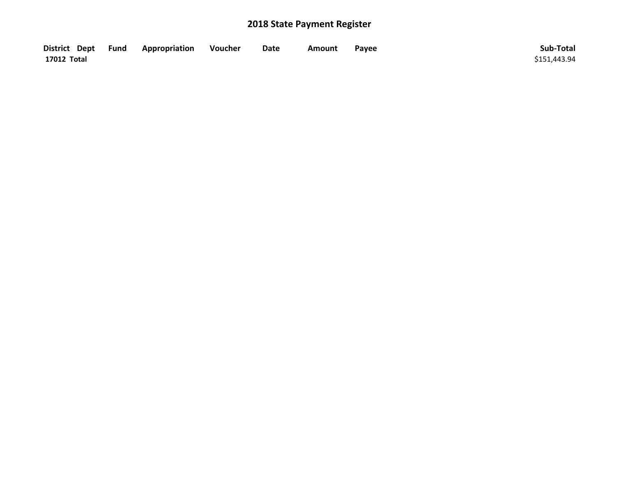| District Dept Fund | Appropriation | Voucher | Date | Amount | Payee | Sub-Total    |
|--------------------|---------------|---------|------|--------|-------|--------------|
| 17012 Total        |               |         |      |        |       | \$151.443.94 |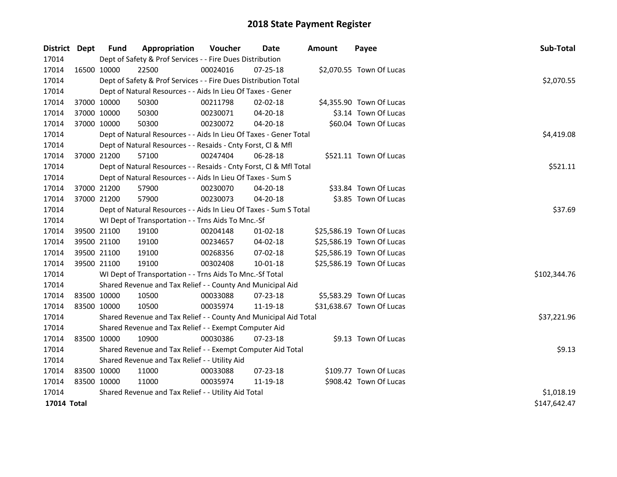| District Dept      |             | <b>Fund</b>                                   | Appropriation                                                      | Voucher    | Date           | <b>Amount</b> | Payee                     | Sub-Total    |  |
|--------------------|-------------|-----------------------------------------------|--------------------------------------------------------------------|------------|----------------|---------------|---------------------------|--------------|--|
| 17014              |             |                                               | Dept of Safety & Prof Services - - Fire Dues Distribution          |            |                |               |                           |              |  |
| 17014              |             | 16500 10000                                   | 22500                                                              | 00024016   | 07-25-18       |               | \$2,070.55 Town Of Lucas  |              |  |
| 17014              |             |                                               | Dept of Safety & Prof Services - - Fire Dues Distribution Total    |            |                |               |                           | \$2,070.55   |  |
| 17014              |             |                                               | Dept of Natural Resources - - Aids In Lieu Of Taxes - Gener        |            |                |               |                           |              |  |
| 17014              | 37000 10000 |                                               | 50300                                                              | 00211798   | 02-02-18       |               | \$4,355.90 Town Of Lucas  |              |  |
| 17014              |             | 37000 10000                                   | 50300                                                              | 00230071   | $04 - 20 - 18$ |               | \$3.14 Town Of Lucas      |              |  |
| 17014              |             | 37000 10000                                   | 50300                                                              | 00230072   | 04-20-18       |               | \$60.04 Town Of Lucas     |              |  |
| 17014              |             |                                               | Dept of Natural Resources - - Aids In Lieu Of Taxes - Gener Total  | \$4,419.08 |                |               |                           |              |  |
| 17014              |             |                                               | Dept of Natural Resources - - Resaids - Cnty Forst, Cl & Mfl       |            |                |               |                           |              |  |
| 17014              | 37000 21200 |                                               | 57100                                                              | 00247404   | 06-28-18       |               | \$521.11 Town Of Lucas    |              |  |
| 17014              |             |                                               | Dept of Natural Resources - - Resaids - Cnty Forst, Cl & Mfl Total |            |                |               |                           | \$521.11     |  |
| 17014              |             |                                               | Dept of Natural Resources - - Aids In Lieu Of Taxes - Sum S        |            |                |               |                           |              |  |
| 17014              |             | 37000 21200                                   | 57900                                                              | 00230070   | $04 - 20 - 18$ |               | \$33.84 Town Of Lucas     |              |  |
| 17014              | 37000 21200 |                                               | 57900                                                              | 00230073   | 04-20-18       |               | \$3.85 Town Of Lucas      |              |  |
| 17014              |             |                                               | Dept of Natural Resources - - Aids In Lieu Of Taxes - Sum S Total  | \$37.69    |                |               |                           |              |  |
| 17014              |             |                                               | WI Dept of Transportation - - Trns Aids To Mnc.-Sf                 |            |                |               |                           |              |  |
| 17014              |             | 39500 21100                                   | 19100                                                              | 00204148   | $01 - 02 - 18$ |               | \$25,586.19 Town Of Lucas |              |  |
| 17014              |             | 39500 21100                                   | 19100                                                              | 00234657   | 04-02-18       |               | \$25,586.19 Town Of Lucas |              |  |
| 17014              |             | 39500 21100                                   | 19100                                                              | 00268356   | 07-02-18       |               | \$25,586.19 Town Of Lucas |              |  |
| 17014              |             | 39500 21100                                   | 19100                                                              | 00302408   | $10 - 01 - 18$ |               | \$25,586.19 Town Of Lucas |              |  |
| 17014              |             |                                               | WI Dept of Transportation - - Trns Aids To Mnc.-Sf Total           |            |                |               |                           | \$102,344.76 |  |
| 17014              |             |                                               | Shared Revenue and Tax Relief - - County And Municipal Aid         |            |                |               |                           |              |  |
| 17014              |             | 83500 10000                                   | 10500                                                              | 00033088   | 07-23-18       |               | \$5,583.29 Town Of Lucas  |              |  |
| 17014              | 83500 10000 |                                               | 10500                                                              | 00035974   | 11-19-18       |               | \$31,638.67 Town Of Lucas |              |  |
| 17014              |             |                                               | Shared Revenue and Tax Relief - - County And Municipal Aid Total   |            |                |               |                           | \$37,221.96  |  |
| 17014              |             |                                               | Shared Revenue and Tax Relief - - Exempt Computer Aid              |            |                |               |                           |              |  |
| 17014              |             | 83500 10000                                   | 10900                                                              | 00030386   | $07 - 23 - 18$ |               | \$9.13 Town Of Lucas      |              |  |
| 17014              |             |                                               | Shared Revenue and Tax Relief - - Exempt Computer Aid Total        |            |                |               |                           | \$9.13       |  |
| 17014              |             | Shared Revenue and Tax Relief - - Utility Aid |                                                                    |            |                |               |                           |              |  |
| 17014              |             | 83500 10000                                   | 11000                                                              | 00033088   | 07-23-18       |               | \$109.77 Town Of Lucas    |              |  |
| 17014              | 83500 10000 |                                               | 11000                                                              | 00035974   | 11-19-18       |               | \$908.42 Town Of Lucas    |              |  |
| 17014              |             |                                               | Shared Revenue and Tax Relief - - Utility Aid Total                |            |                |               |                           | \$1,018.19   |  |
| <b>17014 Total</b> |             |                                               |                                                                    |            |                |               |                           | \$147,642.47 |  |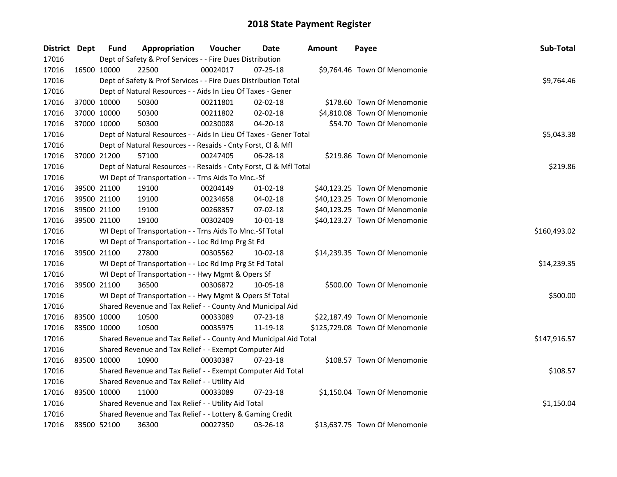| District Dept |             | <b>Fund</b> | Appropriation                                                      | Voucher      | Date       | <b>Amount</b> | Payee                          | Sub-Total    |
|---------------|-------------|-------------|--------------------------------------------------------------------|--------------|------------|---------------|--------------------------------|--------------|
| 17016         |             |             | Dept of Safety & Prof Services - - Fire Dues Distribution          |              |            |               |                                |              |
| 17016         |             | 16500 10000 | 22500                                                              | 00024017     | 07-25-18   |               | \$9,764.46 Town Of Menomonie   |              |
| 17016         |             |             | Dept of Safety & Prof Services - - Fire Dues Distribution Total    |              |            |               |                                | \$9,764.46   |
| 17016         |             |             | Dept of Natural Resources - - Aids In Lieu Of Taxes - Gener        |              |            |               |                                |              |
| 17016         | 37000 10000 |             | 50300                                                              | 00211801     | 02-02-18   |               | \$178.60 Town Of Menomonie     |              |
| 17016         | 37000 10000 |             | 50300                                                              | 00211802     | 02-02-18   |               | \$4,810.08 Town Of Menomonie   |              |
| 17016         | 37000 10000 |             | 50300                                                              | 00230088     | 04-20-18   |               | \$54.70 Town Of Menomonie      |              |
| 17016         |             |             | Dept of Natural Resources - - Aids In Lieu Of Taxes - Gener Total  |              | \$5,043.38 |               |                                |              |
| 17016         |             |             | Dept of Natural Resources - - Resaids - Cnty Forst, Cl & Mfl       |              |            |               |                                |              |
| 17016         | 37000 21200 |             | 57100                                                              | 00247405     | 06-28-18   |               | \$219.86 Town Of Menomonie     |              |
| 17016         |             |             | Dept of Natural Resources - - Resaids - Cnty Forst, Cl & Mfl Total |              |            |               |                                | \$219.86     |
| 17016         |             |             | WI Dept of Transportation - - Trns Aids To Mnc.-Sf                 |              |            |               |                                |              |
| 17016         |             | 39500 21100 | 19100                                                              | 00204149     | 01-02-18   |               | \$40,123.25 Town Of Menomonie  |              |
| 17016         | 39500 21100 |             | 19100                                                              | 00234658     | 04-02-18   |               | \$40,123.25 Town Of Menomonie  |              |
| 17016         | 39500 21100 |             | 19100                                                              | 00268357     | 07-02-18   |               | \$40,123.25 Town Of Menomonie  |              |
| 17016         | 39500 21100 |             | 19100                                                              | 00302409     | 10-01-18   |               | \$40,123.27 Town Of Menomonie  |              |
| 17016         |             |             | WI Dept of Transportation - - Trns Aids To Mnc.-Sf Total           | \$160,493.02 |            |               |                                |              |
| 17016         |             |             | WI Dept of Transportation - - Loc Rd Imp Prg St Fd                 |              |            |               |                                |              |
| 17016         | 39500 21100 |             | 27800                                                              | 00305562     | 10-02-18   |               | \$14,239.35 Town Of Menomonie  |              |
| 17016         |             |             | WI Dept of Transportation - - Loc Rd Imp Prg St Fd Total           |              |            |               |                                | \$14,239.35  |
| 17016         |             |             | WI Dept of Transportation - - Hwy Mgmt & Opers Sf                  |              |            |               |                                |              |
| 17016         | 39500 21100 |             | 36500                                                              | 00306872     | 10-05-18   |               | \$500.00 Town Of Menomonie     |              |
| 17016         |             |             | WI Dept of Transportation - - Hwy Mgmt & Opers Sf Total            |              |            |               |                                | \$500.00     |
| 17016         |             |             | Shared Revenue and Tax Relief - - County And Municipal Aid         |              |            |               |                                |              |
| 17016         | 83500 10000 |             | 10500                                                              | 00033089     | 07-23-18   |               | \$22,187.49 Town Of Menomonie  |              |
| 17016         | 83500 10000 |             | 10500                                                              | 00035975     | 11-19-18   |               | \$125,729.08 Town Of Menomonie |              |
| 17016         |             |             | Shared Revenue and Tax Relief - - County And Municipal Aid Total   |              |            |               |                                | \$147,916.57 |
| 17016         |             |             | Shared Revenue and Tax Relief - - Exempt Computer Aid              |              |            |               |                                |              |
| 17016         | 83500 10000 |             | 10900                                                              | 00030387     | 07-23-18   |               | \$108.57 Town Of Menomonie     |              |
| 17016         |             |             | Shared Revenue and Tax Relief - - Exempt Computer Aid Total        |              |            |               |                                | \$108.57     |
| 17016         |             |             | Shared Revenue and Tax Relief - - Utility Aid                      |              |            |               |                                |              |
| 17016         | 83500 10000 |             | 11000                                                              | 00033089     | 07-23-18   |               | \$1,150.04 Town Of Menomonie   |              |
| 17016         |             |             | Shared Revenue and Tax Relief - - Utility Aid Total                |              |            |               |                                | \$1,150.04   |
| 17016         |             |             | Shared Revenue and Tax Relief - - Lottery & Gaming Credit          |              |            |               |                                |              |
| 17016         | 83500 52100 |             | 36300                                                              | 00027350     | 03-26-18   |               | \$13,637.75 Town Of Menomonie  |              |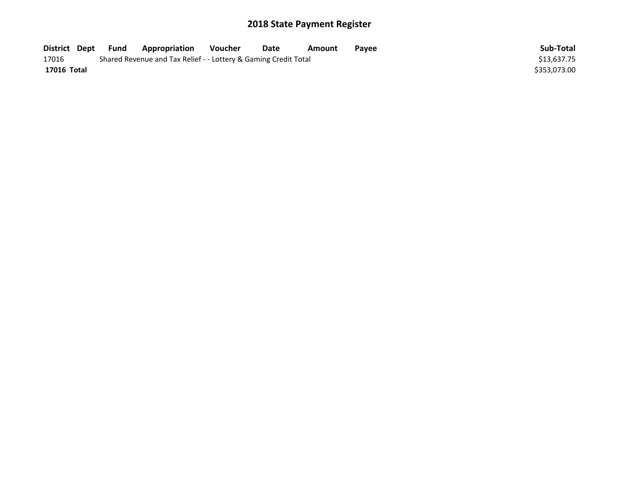| District Dept | Fund | <b>Appropriation</b>                                            | Voucher | Date | Amount | Payee | Sub-Total    |
|---------------|------|-----------------------------------------------------------------|---------|------|--------|-------|--------------|
| 17016         |      | Shared Revenue and Tax Relief - - Lottery & Gaming Credit Total |         |      |        |       | \$13,637.75  |
| 17016 Total   |      |                                                                 |         |      |        |       | \$353.073.00 |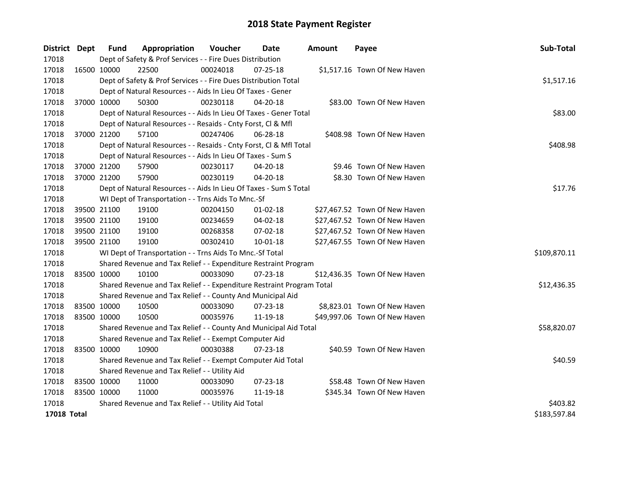| District Dept | Fund                                          | Appropriation                                                         | Voucher  | Date           | Amount | Payee                         | Sub-Total    |
|---------------|-----------------------------------------------|-----------------------------------------------------------------------|----------|----------------|--------|-------------------------------|--------------|
| 17018         |                                               | Dept of Safety & Prof Services - - Fire Dues Distribution             |          |                |        |                               |              |
| 17018         | 16500 10000                                   | 22500                                                                 | 00024018 | $07 - 25 - 18$ |        | \$1,517.16 Town Of New Haven  |              |
| 17018         |                                               | Dept of Safety & Prof Services - - Fire Dues Distribution Total       |          |                |        |                               | \$1,517.16   |
| 17018         |                                               | Dept of Natural Resources - - Aids In Lieu Of Taxes - Gener           |          |                |        |                               |              |
| 17018         | 37000 10000                                   | 50300                                                                 | 00230118 | 04-20-18       |        | \$83.00 Town Of New Haven     |              |
| 17018         |                                               | Dept of Natural Resources - - Aids In Lieu Of Taxes - Gener Total     |          |                |        |                               | \$83.00      |
| 17018         |                                               | Dept of Natural Resources - - Resaids - Cnty Forst, Cl & Mfl          |          |                |        |                               |              |
| 17018         | 37000 21200                                   | 57100                                                                 | 00247406 | 06-28-18       |        | \$408.98 Town Of New Haven    |              |
| 17018         |                                               | Dept of Natural Resources - - Resaids - Cnty Forst, Cl & Mfl Total    |          |                |        |                               | \$408.98     |
| 17018         |                                               | Dept of Natural Resources - - Aids In Lieu Of Taxes - Sum S           |          |                |        |                               |              |
| 17018         | 37000 21200                                   | 57900                                                                 | 00230117 | 04-20-18       |        | \$9.46 Town Of New Haven      |              |
| 17018         | 37000 21200                                   | 57900                                                                 | 00230119 | 04-20-18       |        | \$8.30 Town Of New Haven      |              |
| 17018         |                                               | Dept of Natural Resources - - Aids In Lieu Of Taxes - Sum S Total     |          |                |        |                               | \$17.76      |
| 17018         |                                               | WI Dept of Transportation - - Trns Aids To Mnc.-Sf                    |          |                |        |                               |              |
| 17018         | 39500 21100                                   | 19100                                                                 | 00204150 | 01-02-18       |        | \$27,467.52 Town Of New Haven |              |
| 17018         | 39500 21100                                   | 19100                                                                 | 00234659 | 04-02-18       |        | \$27,467.52 Town Of New Haven |              |
| 17018         | 39500 21100                                   | 19100                                                                 | 00268358 | 07-02-18       |        | \$27,467.52 Town Of New Haven |              |
| 17018         | 39500 21100                                   | 19100                                                                 | 00302410 | 10-01-18       |        | \$27,467.55 Town Of New Haven |              |
| 17018         |                                               | WI Dept of Transportation - - Trns Aids To Mnc.-Sf Total              |          |                |        |                               | \$109,870.11 |
| 17018         |                                               | Shared Revenue and Tax Relief - - Expenditure Restraint Program       |          |                |        |                               |              |
| 17018         | 83500 10000                                   | 10100                                                                 | 00033090 | 07-23-18       |        | \$12,436.35 Town Of New Haven |              |
| 17018         |                                               | Shared Revenue and Tax Relief - - Expenditure Restraint Program Total |          |                |        |                               | \$12,436.35  |
| 17018         |                                               | Shared Revenue and Tax Relief - - County And Municipal Aid            |          |                |        |                               |              |
| 17018         | 83500 10000                                   | 10500                                                                 | 00033090 | $07 - 23 - 18$ |        | \$8,823.01 Town Of New Haven  |              |
| 17018         | 83500 10000                                   | 10500                                                                 | 00035976 | 11-19-18       |        | \$49,997.06 Town Of New Haven |              |
| 17018         |                                               | Shared Revenue and Tax Relief - - County And Municipal Aid Total      |          |                |        |                               | \$58,820.07  |
| 17018         |                                               | Shared Revenue and Tax Relief - - Exempt Computer Aid                 |          |                |        |                               |              |
| 17018         | 83500 10000                                   | 10900                                                                 | 00030388 | 07-23-18       |        | \$40.59 Town Of New Haven     |              |
| 17018         |                                               | Shared Revenue and Tax Relief - - Exempt Computer Aid Total           |          |                |        |                               | \$40.59      |
| 17018         | Shared Revenue and Tax Relief - - Utility Aid |                                                                       |          |                |        |                               |              |
| 17018         | 83500 10000                                   | 11000                                                                 | 00033090 | 07-23-18       |        | \$58.48 Town Of New Haven     |              |
| 17018         | 83500 10000                                   | 11000                                                                 | 00035976 | 11-19-18       |        | \$345.34 Town Of New Haven    |              |
| 17018         |                                               | Shared Revenue and Tax Relief - - Utility Aid Total                   |          | \$403.82       |        |                               |              |
| 17018 Total   |                                               |                                                                       |          |                |        |                               | \$183,597.84 |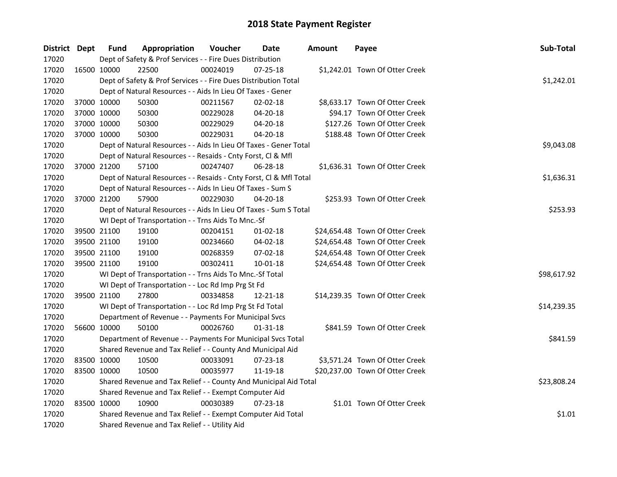| District Dept | <b>Fund</b> | Appropriation                                                      | Voucher  | Date           | <b>Amount</b> | Payee                           | Sub-Total   |
|---------------|-------------|--------------------------------------------------------------------|----------|----------------|---------------|---------------------------------|-------------|
| 17020         |             | Dept of Safety & Prof Services - - Fire Dues Distribution          |          |                |               |                                 |             |
| 17020         | 16500 10000 | 22500                                                              | 00024019 | 07-25-18       |               | \$1,242.01 Town Of Otter Creek  |             |
| 17020         |             | Dept of Safety & Prof Services - - Fire Dues Distribution Total    |          |                |               |                                 | \$1,242.01  |
| 17020         |             | Dept of Natural Resources - - Aids In Lieu Of Taxes - Gener        |          |                |               |                                 |             |
| 17020         | 37000 10000 | 50300                                                              | 00211567 | 02-02-18       |               | \$8,633.17 Town Of Otter Creek  |             |
| 17020         | 37000 10000 | 50300                                                              | 00229028 | 04-20-18       |               | \$94.17 Town Of Otter Creek     |             |
| 17020         | 37000 10000 | 50300                                                              | 00229029 | 04-20-18       |               | \$127.26 Town Of Otter Creek    |             |
| 17020         | 37000 10000 | 50300                                                              | 00229031 | 04-20-18       |               | \$188.48 Town Of Otter Creek    |             |
| 17020         |             | Dept of Natural Resources - - Aids In Lieu Of Taxes - Gener Total  |          |                |               |                                 | \$9,043.08  |
| 17020         |             | Dept of Natural Resources - - Resaids - Cnty Forst, Cl & Mfl       |          |                |               |                                 |             |
| 17020         | 37000 21200 | 57100                                                              | 00247407 | 06-28-18       |               | \$1,636.31 Town Of Otter Creek  |             |
| 17020         |             | Dept of Natural Resources - - Resaids - Cnty Forst, Cl & Mfl Total |          |                |               |                                 | \$1,636.31  |
| 17020         |             | Dept of Natural Resources - - Aids In Lieu Of Taxes - Sum S        |          |                |               |                                 |             |
| 17020         | 37000 21200 | 57900                                                              | 00229030 | 04-20-18       |               | \$253.93 Town Of Otter Creek    |             |
| 17020         |             | Dept of Natural Resources - - Aids In Lieu Of Taxes - Sum S Total  |          |                |               |                                 | \$253.93    |
| 17020         |             | WI Dept of Transportation - - Trns Aids To Mnc.-Sf                 |          |                |               |                                 |             |
| 17020         | 39500 21100 | 19100                                                              | 00204151 | $01 - 02 - 18$ |               | \$24,654.48 Town Of Otter Creek |             |
| 17020         | 39500 21100 | 19100                                                              | 00234660 | $04 - 02 - 18$ |               | \$24,654.48 Town Of Otter Creek |             |
| 17020         | 39500 21100 | 19100                                                              | 00268359 | 07-02-18       |               | \$24,654.48 Town Of Otter Creek |             |
| 17020         | 39500 21100 | 19100                                                              | 00302411 | $10 - 01 - 18$ |               | \$24,654.48 Town Of Otter Creek |             |
| 17020         |             | WI Dept of Transportation - - Trns Aids To Mnc.-Sf Total           |          |                |               |                                 | \$98,617.92 |
| 17020         |             | WI Dept of Transportation - - Loc Rd Imp Prg St Fd                 |          |                |               |                                 |             |
| 17020         | 39500 21100 | 27800                                                              | 00334858 | 12-21-18       |               | \$14,239.35 Town Of Otter Creek |             |
| 17020         |             | WI Dept of Transportation - - Loc Rd Imp Prg St Fd Total           |          |                |               |                                 | \$14,239.35 |
| 17020         |             | Department of Revenue - - Payments For Municipal Svcs              |          |                |               |                                 |             |
| 17020         | 56600 10000 | 50100                                                              | 00026760 | $01 - 31 - 18$ |               | \$841.59 Town Of Otter Creek    |             |
| 17020         |             | Department of Revenue - - Payments For Municipal Svcs Total        |          |                |               |                                 | \$841.59    |
| 17020         |             | Shared Revenue and Tax Relief - - County And Municipal Aid         |          |                |               |                                 |             |
| 17020         | 83500 10000 | 10500                                                              | 00033091 | 07-23-18       |               | \$3,571.24 Town Of Otter Creek  |             |
| 17020         | 83500 10000 | 10500                                                              | 00035977 | 11-19-18       |               | \$20,237.00 Town Of Otter Creek |             |
| 17020         |             | Shared Revenue and Tax Relief - - County And Municipal Aid Total   |          |                |               |                                 | \$23,808.24 |
| 17020         |             | Shared Revenue and Tax Relief - - Exempt Computer Aid              |          |                |               |                                 |             |
| 17020         | 83500 10000 | 10900                                                              | 00030389 | $07 - 23 - 18$ |               | \$1.01 Town Of Otter Creek      |             |
| 17020         |             | Shared Revenue and Tax Relief - - Exempt Computer Aid Total        |          |                |               |                                 | \$1.01      |
| 17020         |             | Shared Revenue and Tax Relief - - Utility Aid                      |          |                |               |                                 |             |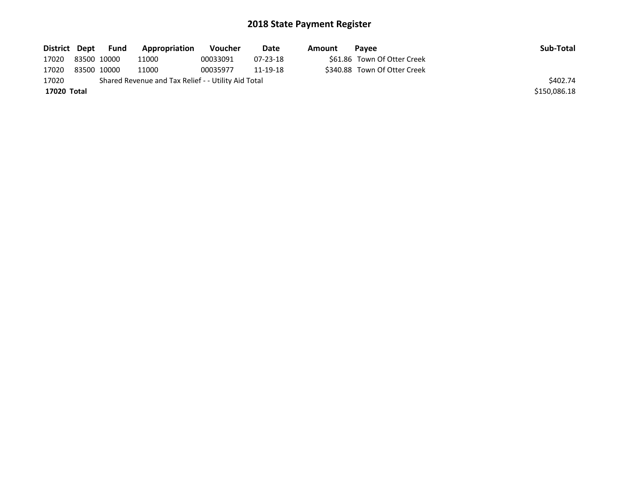| District Dept | <b>Fund</b> | <b>Appropriation</b>                                | <b>Voucher</b> | Date           | Amount | <b>Pavee</b>                 | Sub-Total    |
|---------------|-------------|-----------------------------------------------------|----------------|----------------|--------|------------------------------|--------------|
| 17020         | 83500 10000 | 11000                                               | 00033091       | $07 - 23 - 18$ |        | \$61.86 Town Of Otter Creek  |              |
| 17020         | 83500 10000 | 11000                                               | 00035977       | 11-19-18       |        | \$340.88 Town Of Otter Creek |              |
| 17020         |             | Shared Revenue and Tax Relief - - Utility Aid Total |                |                |        |                              | \$402.74     |
| 17020 Total   |             |                                                     |                |                |        |                              | \$150,086.18 |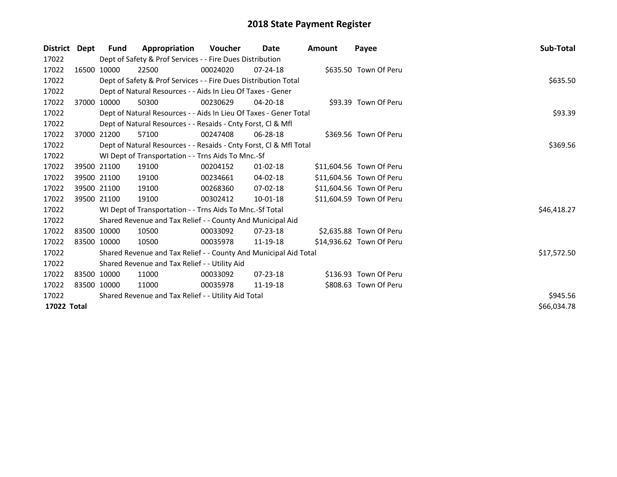| <b>District</b> | Dept | Fund                                                | Appropriation                                                      | <b>Voucher</b> | Date           | <b>Amount</b> | Payee                    | <b>Sub-Total</b> |
|-----------------|------|-----------------------------------------------------|--------------------------------------------------------------------|----------------|----------------|---------------|--------------------------|------------------|
| 17022           |      |                                                     | Dept of Safety & Prof Services - - Fire Dues Distribution          |                |                |               |                          |                  |
| 17022           |      | 16500 10000                                         | 22500                                                              | 00024020       | $07 - 24 - 18$ |               | \$635.50 Town Of Peru    |                  |
| 17022           |      |                                                     | Dept of Safety & Prof Services - - Fire Dues Distribution Total    |                |                |               |                          | \$635.50         |
| 17022           |      |                                                     | Dept of Natural Resources - - Aids In Lieu Of Taxes - Gener        |                |                |               |                          |                  |
| 17022           |      | 37000 10000                                         | 50300                                                              | 00230629       | 04-20-18       |               | \$93.39 Town Of Peru     |                  |
| 17022           |      |                                                     | Dept of Natural Resources - - Aids In Lieu Of Taxes - Gener Total  |                |                |               |                          | \$93.39          |
| 17022           |      |                                                     | Dept of Natural Resources - - Resaids - Cnty Forst, CI & Mfl       |                |                |               |                          |                  |
| 17022           |      | 37000 21200                                         | 57100                                                              | 00247408       | $06 - 28 - 18$ |               | \$369.56 Town Of Peru    |                  |
| 17022           |      |                                                     | Dept of Natural Resources - - Resaids - Cnty Forst, CI & Mfl Total |                |                |               |                          | \$369.56         |
| 17022           |      |                                                     | WI Dept of Transportation - - Trns Aids To Mnc.-Sf                 |                |                |               |                          |                  |
| 17022           |      | 39500 21100                                         | 19100                                                              | 00204152       | $01 - 02 - 18$ |               | \$11,604.56 Town Of Peru |                  |
| 17022           |      | 39500 21100                                         | 19100                                                              | 00234661       | 04-02-18       |               | \$11,604.56 Town Of Peru |                  |
| 17022           |      | 39500 21100                                         | 19100                                                              | 00268360       | 07-02-18       |               | \$11,604.56 Town Of Peru |                  |
| 17022           |      | 39500 21100                                         | 19100                                                              | 00302412       | 10-01-18       |               | \$11,604.59 Town Of Peru |                  |
| 17022           |      |                                                     | WI Dept of Transportation - - Trns Aids To Mnc.-Sf Total           |                |                |               |                          | \$46,418.27      |
| 17022           |      |                                                     | Shared Revenue and Tax Relief - - County And Municipal Aid         |                |                |               |                          |                  |
| 17022           |      | 83500 10000                                         | 10500                                                              | 00033092       | $07 - 23 - 18$ |               | \$2,635.88 Town Of Peru  |                  |
| 17022           |      | 83500 10000                                         | 10500                                                              | 00035978       | 11-19-18       |               | \$14,936.62 Town Of Peru |                  |
| 17022           |      |                                                     | Shared Revenue and Tax Relief - - County And Municipal Aid Total   |                |                |               |                          | \$17,572.50      |
| 17022           |      |                                                     | Shared Revenue and Tax Relief - - Utility Aid                      |                |                |               |                          |                  |
| 17022           |      | 83500 10000                                         | 11000                                                              | 00033092       | $07 - 23 - 18$ |               | \$136.93 Town Of Peru    |                  |
| 17022           |      | 83500 10000                                         | 11000                                                              | 00035978       | 11-19-18       |               | \$808.63 Town Of Peru    |                  |
| 17022           |      | Shared Revenue and Tax Relief - - Utility Aid Total | \$945.56                                                           |                |                |               |                          |                  |
| 17022 Total     |      |                                                     |                                                                    |                |                |               |                          | \$66,034.78      |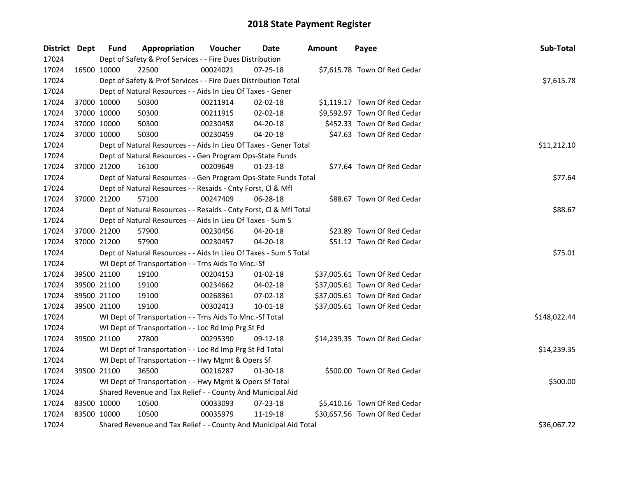| District Dept |             | <b>Fund</b> | Appropriation                                                      | Voucher  | Date           | <b>Amount</b> | Payee                         | Sub-Total    |
|---------------|-------------|-------------|--------------------------------------------------------------------|----------|----------------|---------------|-------------------------------|--------------|
| 17024         |             |             | Dept of Safety & Prof Services - - Fire Dues Distribution          |          |                |               |                               |              |
| 17024         | 16500 10000 |             | 22500                                                              | 00024021 | $07 - 25 - 18$ |               | \$7,615.78 Town Of Red Cedar  |              |
| 17024         |             |             | Dept of Safety & Prof Services - - Fire Dues Distribution Total    |          |                |               |                               | \$7,615.78   |
| 17024         |             |             | Dept of Natural Resources - - Aids In Lieu Of Taxes - Gener        |          |                |               |                               |              |
| 17024         | 37000 10000 |             | 50300                                                              | 00211914 | $02 - 02 - 18$ |               | \$1,119.17 Town Of Red Cedar  |              |
| 17024         | 37000 10000 |             | 50300                                                              | 00211915 | 02-02-18       |               | \$9,592.97 Town Of Red Cedar  |              |
| 17024         | 37000 10000 |             | 50300                                                              | 00230458 | 04-20-18       |               | \$452.33 Town Of Red Cedar    |              |
| 17024         | 37000 10000 |             | 50300                                                              | 00230459 | 04-20-18       |               | \$47.63 Town Of Red Cedar     |              |
| 17024         |             |             | Dept of Natural Resources - - Aids In Lieu Of Taxes - Gener Total  |          |                |               |                               | \$11,212.10  |
| 17024         |             |             | Dept of Natural Resources - - Gen Program Ops-State Funds          |          |                |               |                               |              |
| 17024         |             | 37000 21200 | 16100                                                              | 00209649 | $01 - 23 - 18$ |               | \$77.64 Town Of Red Cedar     |              |
| 17024         |             |             | Dept of Natural Resources - - Gen Program Ops-State Funds Total    |          |                |               |                               | \$77.64      |
| 17024         |             |             | Dept of Natural Resources - - Resaids - Cnty Forst, Cl & Mfl       |          |                |               |                               |              |
| 17024         |             | 37000 21200 | 57100                                                              | 00247409 | 06-28-18       |               | \$88.67 Town Of Red Cedar     |              |
| 17024         |             |             | Dept of Natural Resources - - Resaids - Cnty Forst, CI & Mfl Total |          |                |               |                               | \$88.67      |
| 17024         |             |             | Dept of Natural Resources - - Aids In Lieu Of Taxes - Sum S        |          |                |               |                               |              |
| 17024         |             | 37000 21200 | 57900                                                              | 00230456 | $04 - 20 - 18$ |               | \$23.89 Town Of Red Cedar     |              |
| 17024         | 37000 21200 |             | 57900                                                              | 00230457 | 04-20-18       |               | \$51.12 Town Of Red Cedar     |              |
| 17024         |             |             | Dept of Natural Resources - - Aids In Lieu Of Taxes - Sum S Total  |          |                |               |                               | \$75.01      |
| 17024         |             |             | WI Dept of Transportation - - Trns Aids To Mnc.-Sf                 |          |                |               |                               |              |
| 17024         | 39500 21100 |             | 19100                                                              | 00204153 | $01-02-18$     |               | \$37,005.61 Town Of Red Cedar |              |
| 17024         | 39500 21100 |             | 19100                                                              | 00234662 | 04-02-18       |               | \$37,005.61 Town Of Red Cedar |              |
| 17024         | 39500 21100 |             | 19100                                                              | 00268361 | 07-02-18       |               | \$37,005.61 Town Of Red Cedar |              |
| 17024         |             | 39500 21100 | 19100                                                              | 00302413 | 10-01-18       |               | \$37,005.61 Town Of Red Cedar |              |
| 17024         |             |             | WI Dept of Transportation - - Trns Aids To Mnc.-Sf Total           |          |                |               |                               | \$148,022.44 |
| 17024         |             |             | WI Dept of Transportation - - Loc Rd Imp Prg St Fd                 |          |                |               |                               |              |
| 17024         |             | 39500 21100 | 27800                                                              | 00295390 | 09-12-18       |               | \$14,239.35 Town Of Red Cedar |              |
| 17024         |             |             | WI Dept of Transportation - - Loc Rd Imp Prg St Fd Total           |          |                |               |                               | \$14,239.35  |
| 17024         |             |             | WI Dept of Transportation - - Hwy Mgmt & Opers Sf                  |          |                |               |                               |              |
| 17024         |             | 39500 21100 | 36500                                                              | 00216287 | 01-30-18       |               | \$500.00 Town Of Red Cedar    |              |
| 17024         |             |             | WI Dept of Transportation - - Hwy Mgmt & Opers Sf Total            |          |                |               |                               | \$500.00     |
| 17024         |             |             | Shared Revenue and Tax Relief - - County And Municipal Aid         |          |                |               |                               |              |
| 17024         | 83500 10000 |             | 10500                                                              | 00033093 | 07-23-18       |               | \$5,410.16 Town Of Red Cedar  |              |
| 17024         | 83500 10000 |             | 10500                                                              | 00035979 | 11-19-18       |               | \$30,657.56 Town Of Red Cedar |              |
| 17024         |             |             | Shared Revenue and Tax Relief - - County And Municipal Aid Total   |          |                |               |                               | \$36,067.72  |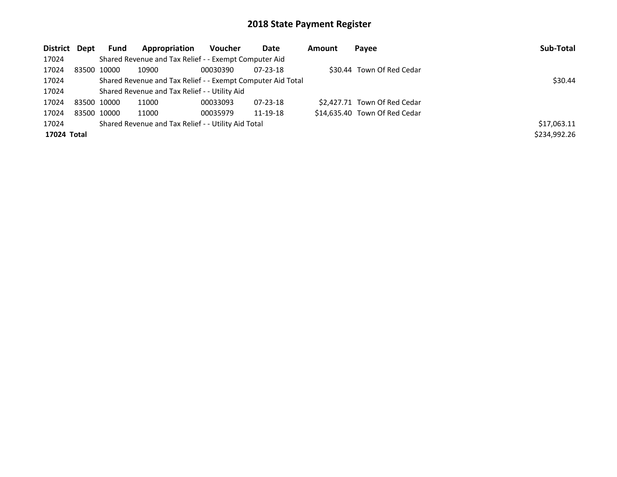| District Dept | <b>Fund</b> | Appropriation                                               | Voucher  | Date           | <b>Amount</b> | Payee                         | Sub-Total    |
|---------------|-------------|-------------------------------------------------------------|----------|----------------|---------------|-------------------------------|--------------|
| 17024         |             | Shared Revenue and Tax Relief - - Exempt Computer Aid       |          |                |               |                               |              |
| 17024         | 83500 10000 | 10900                                                       | 00030390 | $07 - 23 - 18$ |               | \$30.44 Town Of Red Cedar     |              |
| 17024         |             | Shared Revenue and Tax Relief - - Exempt Computer Aid Total | \$30.44  |                |               |                               |              |
| 17024         |             | Shared Revenue and Tax Relief - - Utility Aid               |          |                |               |                               |              |
| 17024         | 83500 10000 | 11000                                                       | 00033093 | $07 - 23 - 18$ |               | \$2,427.71 Town Of Red Cedar  |              |
| 17024         | 83500 10000 | 11000                                                       | 00035979 | 11-19-18       |               | \$14,635.40 Town Of Red Cedar |              |
| 17024         |             | Shared Revenue and Tax Relief - - Utility Aid Total         |          |                |               |                               | \$17,063.11  |
| 17024 Total   |             |                                                             |          |                |               |                               | \$234,992.26 |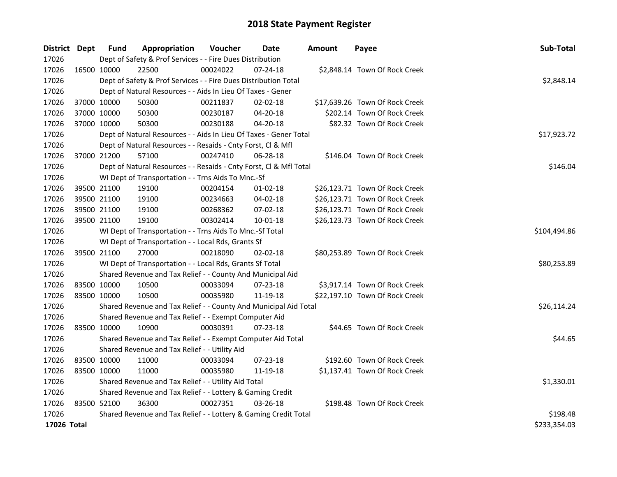| District Dept |             | <b>Fund</b>  | Appropriation                                                      | Voucher      | Date           | <b>Amount</b> | Payee                          | Sub-Total   |
|---------------|-------------|--------------|--------------------------------------------------------------------|--------------|----------------|---------------|--------------------------------|-------------|
| 17026         |             |              | Dept of Safety & Prof Services - - Fire Dues Distribution          |              |                |               |                                |             |
| 17026         | 16500 10000 |              | 22500                                                              | 00024022     | 07-24-18       |               | \$2,848.14 Town Of Rock Creek  |             |
| 17026         |             |              | Dept of Safety & Prof Services - - Fire Dues Distribution Total    |              |                |               |                                | \$2,848.14  |
| 17026         |             |              | Dept of Natural Resources - - Aids In Lieu Of Taxes - Gener        |              |                |               |                                |             |
| 17026         |             | 37000 10000  | 50300                                                              | 00211837     | 02-02-18       |               | \$17,639.26 Town Of Rock Creek |             |
| 17026         |             | 37000 10000  | 50300                                                              | 00230187     | 04-20-18       |               | \$202.14 Town Of Rock Creek    |             |
| 17026         | 37000 10000 |              | 50300                                                              | 00230188     | $04 - 20 - 18$ |               | \$82.32 Town Of Rock Creek     |             |
| 17026         |             |              | Dept of Natural Resources - - Aids In Lieu Of Taxes - Gener Total  |              |                |               |                                | \$17,923.72 |
| 17026         |             |              | Dept of Natural Resources - - Resaids - Cnty Forst, Cl & Mfl       |              |                |               |                                |             |
| 17026         |             | 37000 21200  | 57100                                                              | 00247410     | $06 - 28 - 18$ |               | \$146.04 Town Of Rock Creek    |             |
| 17026         |             |              | Dept of Natural Resources - - Resaids - Cnty Forst, Cl & Mfl Total | \$146.04     |                |               |                                |             |
| 17026         |             |              | WI Dept of Transportation - - Trns Aids To Mnc.-Sf                 |              |                |               |                                |             |
| 17026         |             | 39500 21100  | 19100                                                              | 00204154     | $01-02-18$     |               | \$26,123.71 Town Of Rock Creek |             |
| 17026         |             | 39500 21100  | 19100                                                              | 00234663     | 04-02-18       |               | \$26,123.71 Town Of Rock Creek |             |
| 17026         |             | 39500 21100  | 19100                                                              | 00268362     | 07-02-18       |               | \$26,123.71 Town Of Rock Creek |             |
| 17026         | 39500 21100 |              | 19100                                                              | 00302414     | $10 - 01 - 18$ |               | \$26,123.73 Town Of Rock Creek |             |
| 17026         |             |              | WI Dept of Transportation - - Trns Aids To Mnc.-Sf Total           | \$104,494.86 |                |               |                                |             |
| 17026         |             |              | WI Dept of Transportation - - Local Rds, Grants Sf                 |              |                |               |                                |             |
| 17026         | 39500 21100 |              | 27000                                                              | 00218090     | 02-02-18       |               | \$80,253.89 Town Of Rock Creek |             |
| 17026         |             |              | WI Dept of Transportation - - Local Rds, Grants Sf Total           |              |                |               |                                | \$80,253.89 |
| 17026         |             |              | Shared Revenue and Tax Relief - - County And Municipal Aid         |              |                |               |                                |             |
| 17026         |             | 83500 10000  | 10500                                                              | 00033094     | 07-23-18       |               | \$3,917.14 Town Of Rock Creek  |             |
| 17026         | 83500 10000 |              | 10500                                                              | 00035980     | 11-19-18       |               | \$22,197.10 Town Of Rock Creek |             |
| 17026         |             |              | Shared Revenue and Tax Relief - - County And Municipal Aid Total   |              |                |               |                                | \$26,114.24 |
| 17026         |             |              | Shared Revenue and Tax Relief - - Exempt Computer Aid              |              |                |               |                                |             |
| 17026         | 83500 10000 |              | 10900                                                              | 00030391     | 07-23-18       |               | \$44.65 Town Of Rock Creek     |             |
| 17026         |             |              | Shared Revenue and Tax Relief - - Exempt Computer Aid Total        |              |                |               |                                | \$44.65     |
| 17026         |             |              | Shared Revenue and Tax Relief - - Utility Aid                      |              |                |               |                                |             |
| 17026         | 83500 10000 |              | 11000                                                              | 00033094     | 07-23-18       |               | \$192.60 Town Of Rock Creek    |             |
| 17026         | 83500 10000 |              | 11000                                                              | 00035980     | 11-19-18       |               | \$1,137.41 Town Of Rock Creek  |             |
| 17026         |             |              | Shared Revenue and Tax Relief - - Utility Aid Total                | \$1,330.01   |                |               |                                |             |
| 17026         |             |              | Shared Revenue and Tax Relief - - Lottery & Gaming Credit          |              |                |               |                                |             |
| 17026         | 83500 52100 |              | 36300                                                              | 00027351     | 03-26-18       |               | \$198.48 Town Of Rock Creek    |             |
| 17026         |             |              | Shared Revenue and Tax Relief - - Lottery & Gaming Credit Total    | \$198.48     |                |               |                                |             |
| 17026 Total   |             | \$233,354.03 |                                                                    |              |                |               |                                |             |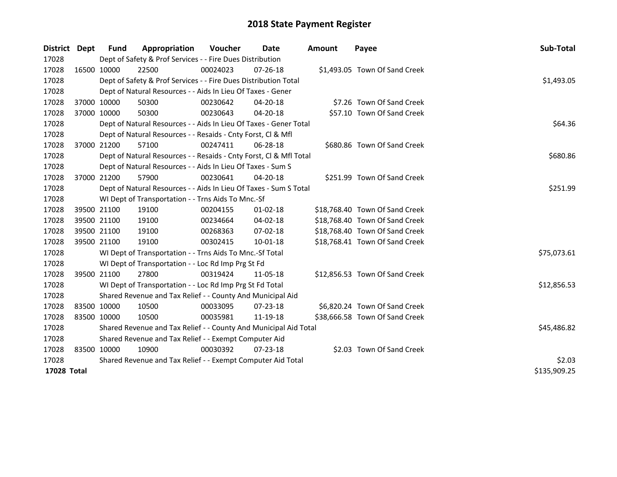| <b>District</b> | <b>Dept</b> | Fund                                                  | Appropriation                                                      | <b>Voucher</b> | Date           | <b>Amount</b> | Payee                          | Sub-Total   |  |  |  |
|-----------------|-------------|-------------------------------------------------------|--------------------------------------------------------------------|----------------|----------------|---------------|--------------------------------|-------------|--|--|--|
| 17028           |             |                                                       | Dept of Safety & Prof Services - - Fire Dues Distribution          |                |                |               |                                |             |  |  |  |
| 17028           |             | 16500 10000                                           | 22500                                                              | 00024023       | 07-26-18       |               | \$1,493.05 Town Of Sand Creek  |             |  |  |  |
| 17028           |             |                                                       | Dept of Safety & Prof Services - - Fire Dues Distribution Total    |                |                |               |                                | \$1,493.05  |  |  |  |
| 17028           |             |                                                       | Dept of Natural Resources - - Aids In Lieu Of Taxes - Gener        |                |                |               |                                |             |  |  |  |
| 17028           |             | 37000 10000                                           | 50300                                                              | 00230642       | $04 - 20 - 18$ |               | \$7.26 Town Of Sand Creek      |             |  |  |  |
| 17028           | 37000 10000 |                                                       | 50300                                                              | 00230643       | 04-20-18       |               | \$57.10 Town Of Sand Creek     |             |  |  |  |
| 17028           |             |                                                       | Dept of Natural Resources - - Aids In Lieu Of Taxes - Gener Total  |                |                |               |                                |             |  |  |  |
| 17028           |             |                                                       | Dept of Natural Resources - - Resaids - Cnty Forst, Cl & Mfl       |                |                |               |                                |             |  |  |  |
| 17028           | 37000 21200 |                                                       | 57100                                                              | 00247411       | 06-28-18       |               | \$680.86 Town Of Sand Creek    |             |  |  |  |
| 17028           |             |                                                       | Dept of Natural Resources - - Resaids - Cnty Forst, Cl & Mfl Total |                |                |               |                                | \$680.86    |  |  |  |
| 17028           |             |                                                       | Dept of Natural Resources - - Aids In Lieu Of Taxes - Sum S        |                |                |               |                                |             |  |  |  |
| 17028           |             | 37000 21200                                           | 57900                                                              | 00230641       | 04-20-18       |               | \$251.99 Town Of Sand Creek    |             |  |  |  |
| 17028           |             |                                                       | Dept of Natural Resources - - Aids In Lieu Of Taxes - Sum S Total  | \$251.99       |                |               |                                |             |  |  |  |
| 17028           |             |                                                       | WI Dept of Transportation - - Trns Aids To Mnc.-Sf                 |                |                |               |                                |             |  |  |  |
| 17028           |             | 39500 21100                                           | 19100                                                              | 00204155       | $01 - 02 - 18$ |               | \$18,768.40 Town Of Sand Creek |             |  |  |  |
| 17028           |             | 39500 21100                                           | 19100                                                              | 00234664       | 04-02-18       |               | \$18,768.40 Town Of Sand Creek |             |  |  |  |
| 17028           |             | 39500 21100                                           | 19100                                                              | 00268363       | 07-02-18       |               | \$18,768.40 Town Of Sand Creek |             |  |  |  |
| 17028           |             | 39500 21100                                           | 19100                                                              | 00302415       | 10-01-18       |               | \$18,768.41 Town Of Sand Creek |             |  |  |  |
| 17028           |             |                                                       | WI Dept of Transportation - - Trns Aids To Mnc.-Sf Total           |                |                |               |                                | \$75,073.61 |  |  |  |
| 17028           |             |                                                       | WI Dept of Transportation - - Loc Rd Imp Prg St Fd                 |                |                |               |                                |             |  |  |  |
| 17028           |             | 39500 21100                                           | 27800                                                              | 00319424       | 11-05-18       |               | \$12,856.53 Town Of Sand Creek |             |  |  |  |
| 17028           |             |                                                       | WI Dept of Transportation - - Loc Rd Imp Prg St Fd Total           |                |                |               |                                | \$12,856.53 |  |  |  |
| 17028           |             |                                                       | Shared Revenue and Tax Relief - - County And Municipal Aid         |                |                |               |                                |             |  |  |  |
| 17028           |             | 83500 10000                                           | 10500                                                              | 00033095       | 07-23-18       |               | \$6,820.24 Town Of Sand Creek  |             |  |  |  |
| 17028           | 83500 10000 |                                                       | 10500                                                              | 00035981       | 11-19-18       |               | \$38,666.58 Town Of Sand Creek |             |  |  |  |
| 17028           |             |                                                       | Shared Revenue and Tax Relief - - County And Municipal Aid Total   | \$45,486.82    |                |               |                                |             |  |  |  |
| 17028           |             | Shared Revenue and Tax Relief - - Exempt Computer Aid |                                                                    |                |                |               |                                |             |  |  |  |
| 17028           |             | 83500 10000                                           | 10900                                                              | 00030392       | $07 - 23 - 18$ |               | \$2.03 Town Of Sand Creek      |             |  |  |  |
| 17028           |             |                                                       | Shared Revenue and Tax Relief - - Exempt Computer Aid Total        | \$2.03         |                |               |                                |             |  |  |  |
| 17028 Total     |             |                                                       |                                                                    |                |                |               |                                |             |  |  |  |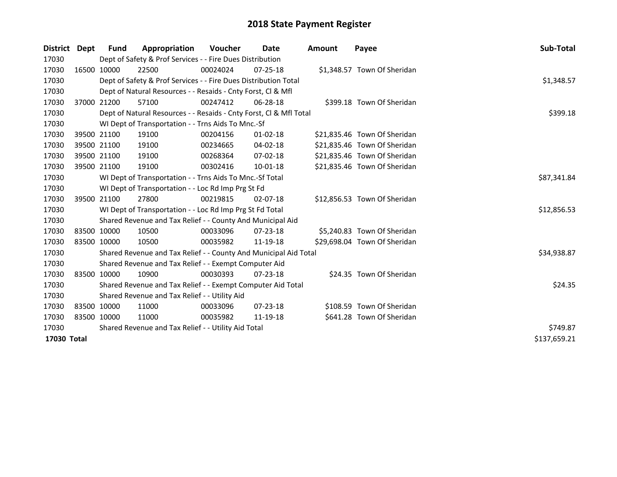| District Dept | <b>Fund</b> | Appropriation                                                      | <b>Voucher</b> | Date           | <b>Amount</b> | Payee                        | <b>Sub-Total</b> |
|---------------|-------------|--------------------------------------------------------------------|----------------|----------------|---------------|------------------------------|------------------|
| 17030         |             | Dept of Safety & Prof Services - - Fire Dues Distribution          |                |                |               |                              |                  |
| 17030         | 16500 10000 | 22500                                                              | 00024024       | $07 - 25 - 18$ |               | \$1,348.57 Town Of Sheridan  |                  |
| 17030         |             | Dept of Safety & Prof Services - - Fire Dues Distribution Total    |                |                |               |                              | \$1,348.57       |
| 17030         |             | Dept of Natural Resources - - Resaids - Cnty Forst, CI & Mfl       |                |                |               |                              |                  |
| 17030         | 37000 21200 | 57100                                                              | 00247412       | 06-28-18       |               | \$399.18 Town Of Sheridan    |                  |
| 17030         |             | Dept of Natural Resources - - Resaids - Cnty Forst, Cl & Mfl Total |                |                |               |                              | \$399.18         |
| 17030         |             | WI Dept of Transportation - - Trns Aids To Mnc.-Sf                 |                |                |               |                              |                  |
| 17030         | 39500 21100 | 19100                                                              | 00204156       | $01 - 02 - 18$ |               | \$21,835.46 Town Of Sheridan |                  |
| 17030         | 39500 21100 | 19100                                                              | 00234665       | 04-02-18       |               | \$21,835.46 Town Of Sheridan |                  |
| 17030         | 39500 21100 | 19100                                                              | 00268364       | 07-02-18       |               | \$21,835.46 Town Of Sheridan |                  |
| 17030         | 39500 21100 | 19100                                                              | 00302416       | 10-01-18       |               | \$21,835.46 Town Of Sheridan |                  |
| 17030         |             | WI Dept of Transportation - - Trns Aids To Mnc.-Sf Total           |                |                |               |                              | \$87,341.84      |
| 17030         |             | WI Dept of Transportation - - Loc Rd Imp Prg St Fd                 |                |                |               |                              |                  |
| 17030         | 39500 21100 | 27800                                                              | 00219815       | $02 - 07 - 18$ |               | \$12,856.53 Town Of Sheridan |                  |
| 17030         |             | WI Dept of Transportation - - Loc Rd Imp Prg St Fd Total           |                |                |               |                              | \$12,856.53      |
| 17030         |             | Shared Revenue and Tax Relief - - County And Municipal Aid         |                |                |               |                              |                  |
| 17030         | 83500 10000 | 10500                                                              | 00033096       | $07 - 23 - 18$ |               | \$5,240.83 Town Of Sheridan  |                  |
| 17030         | 83500 10000 | 10500                                                              | 00035982       | 11-19-18       |               | \$29,698.04 Town Of Sheridan |                  |
| 17030         |             | Shared Revenue and Tax Relief - - County And Municipal Aid Total   |                |                |               |                              | \$34,938.87      |
| 17030         |             | Shared Revenue and Tax Relief - - Exempt Computer Aid              |                |                |               |                              |                  |
| 17030         | 83500 10000 | 10900                                                              | 00030393       | $07 - 23 - 18$ |               | \$24.35 Town Of Sheridan     |                  |
| 17030         |             | Shared Revenue and Tax Relief - - Exempt Computer Aid Total        |                |                |               |                              | \$24.35          |
| 17030         |             | Shared Revenue and Tax Relief - - Utility Aid                      |                |                |               |                              |                  |
| 17030         | 83500 10000 | 11000                                                              | 00033096       | $07 - 23 - 18$ |               | \$108.59 Town Of Sheridan    |                  |
| 17030         | 83500 10000 | 11000                                                              | 00035982       | 11-19-18       |               | \$641.28 Town Of Sheridan    |                  |
| 17030         |             | Shared Revenue and Tax Relief - - Utility Aid Total                | \$749.87       |                |               |                              |                  |
| 17030 Total   |             |                                                                    |                |                |               |                              | \$137,659.21     |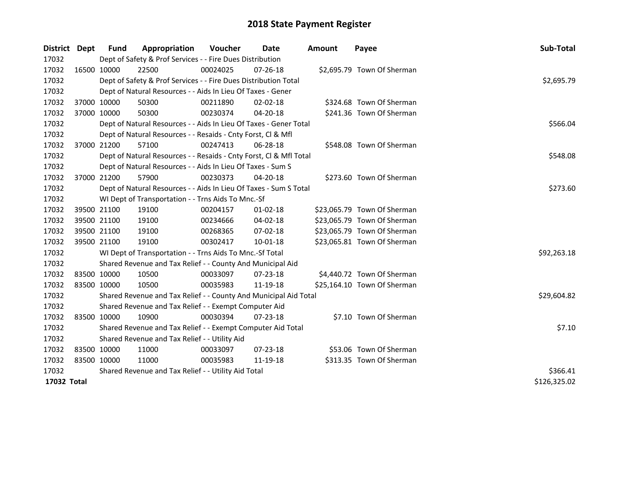| District Dept | <b>Fund</b>                                         | Appropriation                                                      | Voucher  | Date           | <b>Amount</b> | Payee                       | Sub-Total    |
|---------------|-----------------------------------------------------|--------------------------------------------------------------------|----------|----------------|---------------|-----------------------------|--------------|
| 17032         |                                                     | Dept of Safety & Prof Services - - Fire Dues Distribution          |          |                |               |                             |              |
| 17032         | 16500 10000                                         | 22500                                                              | 00024025 | $07 - 26 - 18$ |               | \$2,695.79 Town Of Sherman  |              |
| 17032         |                                                     | Dept of Safety & Prof Services - - Fire Dues Distribution Total    |          |                |               |                             | \$2,695.79   |
| 17032         |                                                     | Dept of Natural Resources - - Aids In Lieu Of Taxes - Gener        |          |                |               |                             |              |
| 17032         | 37000 10000                                         | 50300                                                              | 00211890 | 02-02-18       |               | \$324.68 Town Of Sherman    |              |
| 17032         | 37000 10000                                         | 50300                                                              | 00230374 | 04-20-18       |               | \$241.36 Town Of Sherman    |              |
| 17032         |                                                     | Dept of Natural Resources - - Aids In Lieu Of Taxes - Gener Total  |          |                |               |                             | \$566.04     |
| 17032         |                                                     | Dept of Natural Resources - - Resaids - Cnty Forst, CI & Mfl       |          |                |               |                             |              |
| 17032         | 37000 21200                                         | 57100                                                              | 00247413 | 06-28-18       |               | \$548.08 Town Of Sherman    |              |
| 17032         |                                                     | Dept of Natural Resources - - Resaids - Cnty Forst, Cl & Mfl Total |          |                |               |                             | \$548.08     |
| 17032         |                                                     | Dept of Natural Resources - - Aids In Lieu Of Taxes - Sum S        |          |                |               |                             |              |
| 17032         | 37000 21200                                         | 57900                                                              | 00230373 | $04 - 20 - 18$ |               | \$273.60 Town Of Sherman    |              |
| 17032         |                                                     | Dept of Natural Resources - - Aids In Lieu Of Taxes - Sum S Total  |          |                |               |                             | \$273.60     |
| 17032         |                                                     | WI Dept of Transportation - - Trns Aids To Mnc.-Sf                 |          |                |               |                             |              |
| 17032         | 39500 21100                                         | 19100                                                              | 00204157 | $01-02-18$     |               | \$23,065.79 Town Of Sherman |              |
| 17032         | 39500 21100                                         | 19100                                                              | 00234666 | 04-02-18       |               | \$23,065.79 Town Of Sherman |              |
| 17032         | 39500 21100                                         | 19100                                                              | 00268365 | 07-02-18       |               | \$23,065.79 Town Of Sherman |              |
| 17032         | 39500 21100                                         | 19100                                                              | 00302417 | $10 - 01 - 18$ |               | \$23,065.81 Town Of Sherman |              |
| 17032         |                                                     | WI Dept of Transportation - - Trns Aids To Mnc.-Sf Total           |          |                |               |                             | \$92,263.18  |
| 17032         |                                                     | Shared Revenue and Tax Relief - - County And Municipal Aid         |          |                |               |                             |              |
| 17032         | 83500 10000                                         | 10500                                                              | 00033097 | 07-23-18       |               | \$4,440.72 Town Of Sherman  |              |
| 17032         | 83500 10000                                         | 10500                                                              | 00035983 | 11-19-18       |               | \$25,164.10 Town Of Sherman |              |
| 17032         |                                                     | Shared Revenue and Tax Relief - - County And Municipal Aid Total   |          |                |               |                             | \$29,604.82  |
| 17032         |                                                     | Shared Revenue and Tax Relief - - Exempt Computer Aid              |          |                |               |                             |              |
| 17032         | 83500 10000                                         | 10900                                                              | 00030394 | $07 - 23 - 18$ |               | \$7.10 Town Of Sherman      |              |
| 17032         |                                                     | Shared Revenue and Tax Relief - - Exempt Computer Aid Total        |          |                |               |                             | \$7.10       |
| 17032         |                                                     | Shared Revenue and Tax Relief - - Utility Aid                      |          |                |               |                             |              |
| 17032         | 83500 10000                                         | 11000                                                              | 00033097 | $07 - 23 - 18$ |               | \$53.06 Town Of Sherman     |              |
| 17032         | 83500 10000                                         | 11000                                                              | 00035983 | 11-19-18       |               | \$313.35 Town Of Sherman    |              |
| 17032         | Shared Revenue and Tax Relief - - Utility Aid Total | \$366.41                                                           |          |                |               |                             |              |
| 17032 Total   |                                                     |                                                                    |          |                |               |                             | \$126,325.02 |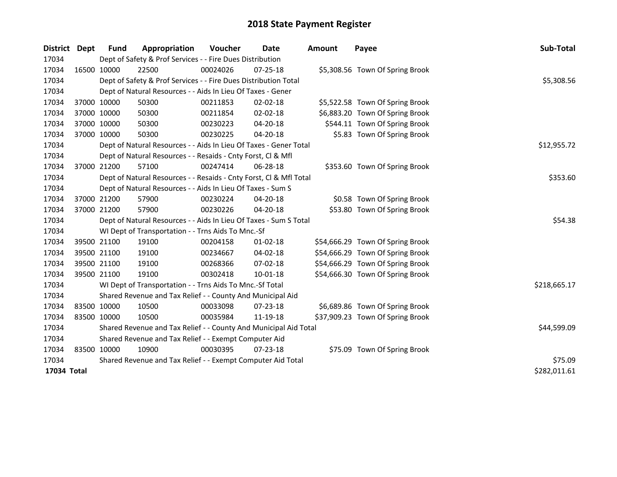| <b>District</b> | <b>Dept</b>  | <b>Fund</b>                                           | Appropriation                                                      | Voucher     | Date           | <b>Amount</b> | Payee                            | Sub-Total    |  |
|-----------------|--------------|-------------------------------------------------------|--------------------------------------------------------------------|-------------|----------------|---------------|----------------------------------|--------------|--|
| 17034           |              |                                                       | Dept of Safety & Prof Services - - Fire Dues Distribution          |             |                |               |                                  |              |  |
| 17034           |              | 16500 10000                                           | 22500                                                              | 00024026    | $07 - 25 - 18$ |               | \$5,308.56 Town Of Spring Brook  |              |  |
| 17034           |              |                                                       | Dept of Safety & Prof Services - - Fire Dues Distribution Total    |             |                |               |                                  | \$5,308.56   |  |
| 17034           |              |                                                       | Dept of Natural Resources - - Aids In Lieu Of Taxes - Gener        |             |                |               |                                  |              |  |
| 17034           |              | 37000 10000                                           | 50300                                                              | 00211853    | 02-02-18       |               | \$5,522.58 Town Of Spring Brook  |              |  |
| 17034           |              | 37000 10000                                           | 50300                                                              | 00211854    | 02-02-18       |               | \$6,883.20 Town Of Spring Brook  |              |  |
| 17034           |              | 37000 10000                                           | 50300                                                              | 00230223    | 04-20-18       |               | \$544.11 Town Of Spring Brook    |              |  |
| 17034           |              | 37000 10000                                           | 50300                                                              | 00230225    | 04-20-18       |               | \$5.83 Town Of Spring Brook      |              |  |
| 17034           |              |                                                       | Dept of Natural Resources - - Aids In Lieu Of Taxes - Gener Total  |             |                |               |                                  | \$12,955.72  |  |
| 17034           |              |                                                       | Dept of Natural Resources - - Resaids - Cnty Forst, Cl & Mfl       |             |                |               |                                  |              |  |
| 17034           |              | 37000 21200                                           | 57100                                                              | 00247414    | 06-28-18       |               | \$353.60 Town Of Spring Brook    |              |  |
| 17034           |              |                                                       | Dept of Natural Resources - - Resaids - Cnty Forst, Cl & Mfl Total |             |                |               |                                  | \$353.60     |  |
| 17034           |              |                                                       | Dept of Natural Resources - - Aids In Lieu Of Taxes - Sum S        |             |                |               |                                  |              |  |
| 17034           |              | 37000 21200                                           | 57900                                                              | 00230224    | 04-20-18       |               | \$0.58 Town Of Spring Brook      |              |  |
| 17034           |              | 37000 21200                                           | 57900                                                              | 00230226    | 04-20-18       |               | \$53.80 Town Of Spring Brook     |              |  |
| 17034           |              |                                                       | Dept of Natural Resources - - Aids In Lieu Of Taxes - Sum S Total  |             |                |               |                                  | \$54.38      |  |
| 17034           |              |                                                       | WI Dept of Transportation - - Trns Aids To Mnc.-Sf                 |             |                |               |                                  |              |  |
| 17034           |              | 39500 21100                                           | 19100                                                              | 00204158    | $01 - 02 - 18$ |               | \$54,666.29 Town Of Spring Brook |              |  |
| 17034           |              | 39500 21100                                           | 19100                                                              | 00234667    | 04-02-18       |               | \$54,666.29 Town Of Spring Brook |              |  |
| 17034           |              | 39500 21100                                           | 19100                                                              | 00268366    | 07-02-18       |               | \$54,666.29 Town Of Spring Brook |              |  |
| 17034           |              | 39500 21100                                           | 19100                                                              | 00302418    | $10 - 01 - 18$ |               | \$54,666.30 Town Of Spring Brook |              |  |
| 17034           |              |                                                       | WI Dept of Transportation - - Trns Aids To Mnc.-Sf Total           |             |                |               |                                  | \$218,665.17 |  |
| 17034           |              |                                                       | Shared Revenue and Tax Relief - - County And Municipal Aid         |             |                |               |                                  |              |  |
| 17034           |              | 83500 10000                                           | 10500                                                              | 00033098    | 07-23-18       |               | \$6,689.86 Town Of Spring Brook  |              |  |
| 17034           |              | 83500 10000                                           | 10500                                                              | 00035984    | 11-19-18       |               | \$37,909.23 Town Of Spring Brook |              |  |
| 17034           |              |                                                       | Shared Revenue and Tax Relief - - County And Municipal Aid Total   | \$44,599.09 |                |               |                                  |              |  |
| 17034           |              | Shared Revenue and Tax Relief - - Exempt Computer Aid |                                                                    |             |                |               |                                  |              |  |
| 17034           |              | 83500 10000                                           | 10900                                                              | 00030395    | $07 - 23 - 18$ |               | \$75.09 Town Of Spring Brook     |              |  |
| 17034           |              |                                                       | Shared Revenue and Tax Relief - - Exempt Computer Aid Total        | \$75.09     |                |               |                                  |              |  |
| 17034 Total     | \$282,011.61 |                                                       |                                                                    |             |                |               |                                  |              |  |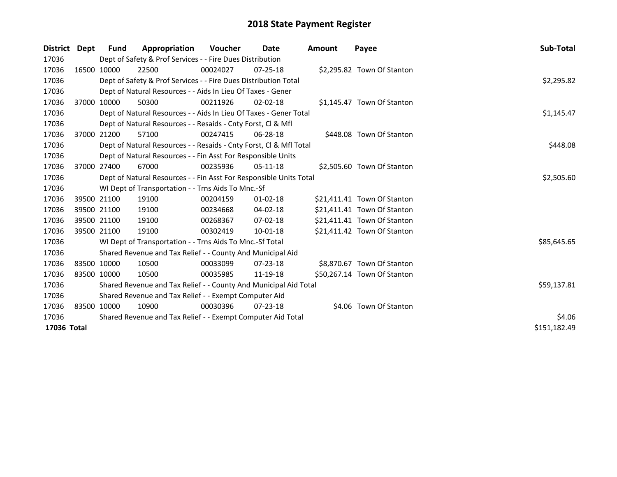| District    | Dept         | <b>Fund</b> | Appropriation                                                      | <b>Voucher</b> | Date           | Amount | Payee                       | Sub-Total   |  |  |
|-------------|--------------|-------------|--------------------------------------------------------------------|----------------|----------------|--------|-----------------------------|-------------|--|--|
| 17036       |              |             | Dept of Safety & Prof Services - - Fire Dues Distribution          |                |                |        |                             |             |  |  |
| 17036       |              | 16500 10000 | 22500                                                              | 00024027       | $07 - 25 - 18$ |        | \$2,295.82 Town Of Stanton  |             |  |  |
| 17036       |              |             | Dept of Safety & Prof Services - - Fire Dues Distribution Total    |                |                |        |                             | \$2,295.82  |  |  |
| 17036       |              |             | Dept of Natural Resources - - Aids In Lieu Of Taxes - Gener        |                |                |        |                             |             |  |  |
| 17036       |              | 37000 10000 | 50300                                                              | 00211926       | $02 - 02 - 18$ |        | \$1,145.47 Town Of Stanton  |             |  |  |
| 17036       |              |             | Dept of Natural Resources - - Aids In Lieu Of Taxes - Gener Total  |                |                |        |                             |             |  |  |
| 17036       |              |             | Dept of Natural Resources - - Resaids - Cnty Forst, CI & Mfl       |                |                |        |                             |             |  |  |
| 17036       |              | 37000 21200 | 57100                                                              | 00247415       | $06 - 28 - 18$ |        | \$448.08 Town Of Stanton    |             |  |  |
| 17036       |              |             | Dept of Natural Resources - - Resaids - Cnty Forst, Cl & Mfl Total |                |                |        |                             | \$448.08    |  |  |
| 17036       |              |             | Dept of Natural Resources - - Fin Asst For Responsible Units       |                |                |        |                             |             |  |  |
| 17036       |              | 37000 27400 | 67000                                                              | 00235936       | $05-11-18$     |        | \$2,505.60 Town Of Stanton  |             |  |  |
| 17036       |              |             | Dept of Natural Resources - - Fin Asst For Responsible Units Total |                |                |        |                             | \$2,505.60  |  |  |
| 17036       |              |             | WI Dept of Transportation - - Trns Aids To Mnc.-Sf                 |                |                |        |                             |             |  |  |
| 17036       |              | 39500 21100 | 19100                                                              | 00204159       | $01 - 02 - 18$ |        | \$21,411.41 Town Of Stanton |             |  |  |
| 17036       |              | 39500 21100 | 19100                                                              | 00234668       | 04-02-18       |        | \$21,411.41 Town Of Stanton |             |  |  |
| 17036       |              | 39500 21100 | 19100                                                              | 00268367       | $07 - 02 - 18$ |        | \$21,411.41 Town Of Stanton |             |  |  |
| 17036       |              | 39500 21100 | 19100                                                              | 00302419       | 10-01-18       |        | \$21,411.42 Town Of Stanton |             |  |  |
| 17036       |              |             | WI Dept of Transportation - - Trns Aids To Mnc.-Sf Total           |                |                |        |                             | \$85,645.65 |  |  |
| 17036       |              |             | Shared Revenue and Tax Relief - - County And Municipal Aid         |                |                |        |                             |             |  |  |
| 17036       |              | 83500 10000 | 10500                                                              | 00033099       | $07 - 23 - 18$ |        | \$8,870.67 Town Of Stanton  |             |  |  |
| 17036       | 83500 10000  |             | 10500                                                              | 00035985       | 11-19-18       |        | \$50,267.14 Town Of Stanton |             |  |  |
| 17036       |              |             | Shared Revenue and Tax Relief - - County And Municipal Aid Total   | \$59,137.81    |                |        |                             |             |  |  |
| 17036       |              |             | Shared Revenue and Tax Relief - - Exempt Computer Aid              |                |                |        |                             |             |  |  |
| 17036       |              | 83500 10000 | 10900                                                              | 00030396       | $07 - 23 - 18$ |        | \$4.06 Town Of Stanton      |             |  |  |
| 17036       |              |             | Shared Revenue and Tax Relief - - Exempt Computer Aid Total        | \$4.06         |                |        |                             |             |  |  |
| 17036 Total | \$151,182.49 |             |                                                                    |                |                |        |                             |             |  |  |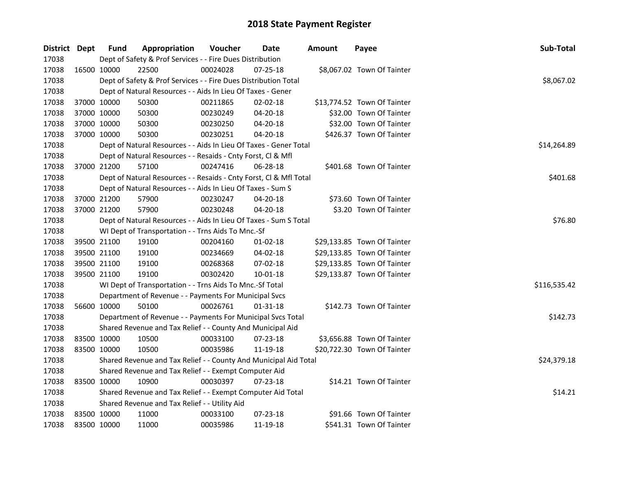| District Dept |             | <b>Fund</b> | Appropriation                                                      | Voucher  | <b>Date</b>    | <b>Amount</b> | Payee                       | Sub-Total    |
|---------------|-------------|-------------|--------------------------------------------------------------------|----------|----------------|---------------|-----------------------------|--------------|
| 17038         |             |             | Dept of Safety & Prof Services - - Fire Dues Distribution          |          |                |               |                             |              |
| 17038         |             | 16500 10000 | 22500                                                              | 00024028 | $07 - 25 - 18$ |               | \$8,067.02 Town Of Tainter  |              |
| 17038         |             |             | Dept of Safety & Prof Services - - Fire Dues Distribution Total    |          |                |               |                             | \$8,067.02   |
| 17038         |             |             | Dept of Natural Resources - - Aids In Lieu Of Taxes - Gener        |          |                |               |                             |              |
| 17038         | 37000 10000 |             | 50300                                                              | 00211865 | $02 - 02 - 18$ |               | \$13,774.52 Town Of Tainter |              |
| 17038         | 37000 10000 |             | 50300                                                              | 00230249 | 04-20-18       |               | \$32.00 Town Of Tainter     |              |
| 17038         | 37000 10000 |             | 50300                                                              | 00230250 | 04-20-18       |               | \$32.00 Town Of Tainter     |              |
| 17038         | 37000 10000 |             | 50300                                                              | 00230251 | 04-20-18       |               | \$426.37 Town Of Tainter    |              |
| 17038         |             |             | Dept of Natural Resources - - Aids In Lieu Of Taxes - Gener Total  |          |                |               |                             | \$14,264.89  |
| 17038         |             |             | Dept of Natural Resources - - Resaids - Cnty Forst, Cl & Mfl       |          |                |               |                             |              |
| 17038         |             | 37000 21200 | 57100                                                              | 00247416 | 06-28-18       |               | \$401.68 Town Of Tainter    |              |
| 17038         |             |             | Dept of Natural Resources - - Resaids - Cnty Forst, CI & Mfl Total |          |                |               |                             | \$401.68     |
| 17038         |             |             | Dept of Natural Resources - - Aids In Lieu Of Taxes - Sum S        |          |                |               |                             |              |
| 17038         | 37000 21200 |             | 57900                                                              | 00230247 | 04-20-18       |               | \$73.60 Town Of Tainter     |              |
| 17038         |             | 37000 21200 | 57900                                                              | 00230248 | $04 - 20 - 18$ |               | \$3.20 Town Of Tainter      |              |
| 17038         |             |             | Dept of Natural Resources - - Aids In Lieu Of Taxes - Sum S Total  |          |                |               |                             | \$76.80      |
| 17038         |             |             | WI Dept of Transportation - - Trns Aids To Mnc.-Sf                 |          |                |               |                             |              |
| 17038         | 39500 21100 |             | 19100                                                              | 00204160 | $01 - 02 - 18$ |               | \$29,133.85 Town Of Tainter |              |
| 17038         | 39500 21100 |             | 19100                                                              | 00234669 | 04-02-18       |               | \$29,133.85 Town Of Tainter |              |
| 17038         | 39500 21100 |             | 19100                                                              | 00268368 | 07-02-18       |               | \$29,133.85 Town Of Tainter |              |
| 17038         | 39500 21100 |             | 19100                                                              | 00302420 | 10-01-18       |               | \$29,133.87 Town Of Tainter |              |
| 17038         |             |             | WI Dept of Transportation - - Trns Aids To Mnc.-Sf Total           |          |                |               |                             | \$116,535.42 |
| 17038         |             |             | Department of Revenue - - Payments For Municipal Svcs              |          |                |               |                             |              |
| 17038         |             | 56600 10000 | 50100                                                              | 00026761 | 01-31-18       |               | \$142.73 Town Of Tainter    |              |
| 17038         |             |             | Department of Revenue - - Payments For Municipal Svcs Total        |          |                |               |                             | \$142.73     |
| 17038         |             |             | Shared Revenue and Tax Relief - - County And Municipal Aid         |          |                |               |                             |              |
| 17038         | 83500 10000 |             | 10500                                                              | 00033100 | 07-23-18       |               | \$3,656.88 Town Of Tainter  |              |
| 17038         | 83500 10000 |             | 10500                                                              | 00035986 | 11-19-18       |               | \$20,722.30 Town Of Tainter |              |
| 17038         |             |             | Shared Revenue and Tax Relief - - County And Municipal Aid Total   |          |                |               |                             | \$24,379.18  |
| 17038         |             |             | Shared Revenue and Tax Relief - - Exempt Computer Aid              |          |                |               |                             |              |
| 17038         | 83500 10000 |             | 10900                                                              | 00030397 | $07 - 23 - 18$ |               | \$14.21 Town Of Tainter     |              |
| 17038         |             |             | Shared Revenue and Tax Relief - - Exempt Computer Aid Total        |          |                |               |                             | \$14.21      |
| 17038         |             |             | Shared Revenue and Tax Relief - - Utility Aid                      |          |                |               |                             |              |
| 17038         | 83500 10000 |             | 11000                                                              | 00033100 | 07-23-18       |               | \$91.66 Town Of Tainter     |              |
| 17038         | 83500 10000 |             | 11000                                                              | 00035986 | 11-19-18       |               | \$541.31 Town Of Tainter    |              |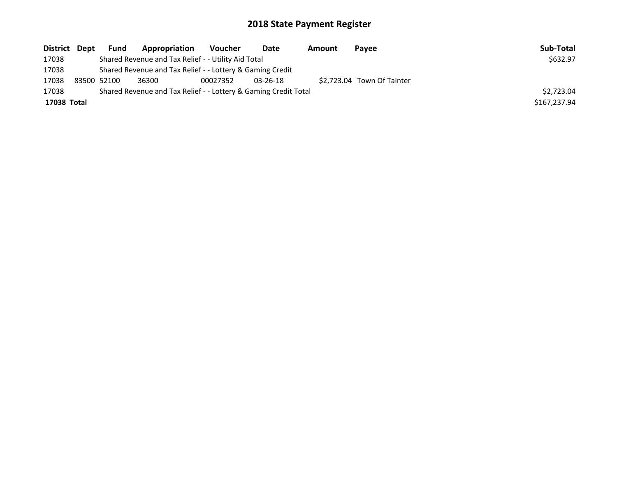| District Dept | Fund                                                            | Appropriation                                       | Voucher  | Date           | Amount | Payee                      | Sub-Total    |
|---------------|-----------------------------------------------------------------|-----------------------------------------------------|----------|----------------|--------|----------------------------|--------------|
| 17038         |                                                                 | Shared Revenue and Tax Relief - - Utility Aid Total |          |                |        |                            | \$632.97     |
| 17038         | Shared Revenue and Tax Relief - - Lottery & Gaming Credit       |                                                     |          |                |        |                            |              |
| 17038         | 83500 52100                                                     | 36300                                               | 00027352 | $03 - 26 - 18$ |        | \$2.723.04 Town Of Tainter |              |
| 17038         | Shared Revenue and Tax Relief - - Lottery & Gaming Credit Total | \$2.723.04                                          |          |                |        |                            |              |
| 17038 Total   |                                                                 |                                                     |          |                |        |                            | \$167,237.94 |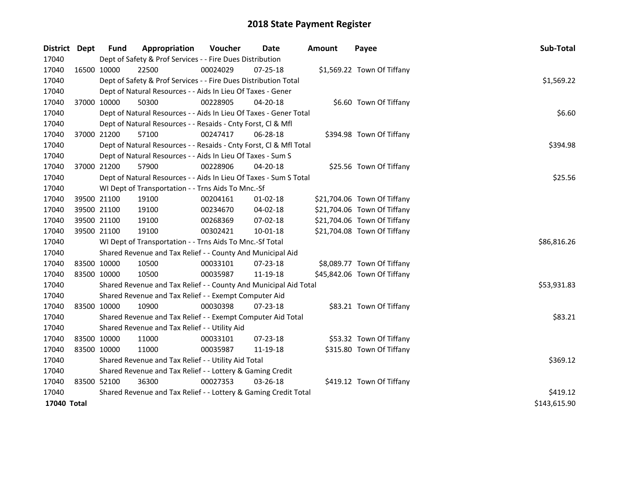| District    | <b>Dept</b> | <b>Fund</b>                                               | Appropriation                                                      | Voucher  | Date           | <b>Amount</b> | Payee                       | Sub-Total    |
|-------------|-------------|-----------------------------------------------------------|--------------------------------------------------------------------|----------|----------------|---------------|-----------------------------|--------------|
| 17040       |             |                                                           | Dept of Safety & Prof Services - - Fire Dues Distribution          |          |                |               |                             |              |
| 17040       |             | 16500 10000                                               | 22500                                                              | 00024029 | 07-25-18       |               | \$1,569.22 Town Of Tiffany  |              |
| 17040       |             |                                                           | Dept of Safety & Prof Services - - Fire Dues Distribution Total    |          |                |               |                             | \$1,569.22   |
| 17040       |             |                                                           | Dept of Natural Resources - - Aids In Lieu Of Taxes - Gener        |          |                |               |                             |              |
| 17040       |             | 37000 10000                                               | 50300                                                              | 00228905 | 04-20-18       |               | \$6.60 Town Of Tiffany      |              |
| 17040       |             |                                                           | Dept of Natural Resources - - Aids In Lieu Of Taxes - Gener Total  |          |                |               |                             | \$6.60       |
| 17040       |             |                                                           | Dept of Natural Resources - - Resaids - Cnty Forst, Cl & Mfl       |          |                |               |                             |              |
| 17040       |             | 37000 21200                                               | 57100                                                              | 00247417 | 06-28-18       |               | \$394.98 Town Of Tiffany    |              |
| 17040       |             |                                                           | Dept of Natural Resources - - Resaids - Cnty Forst, Cl & Mfl Total |          |                |               |                             | \$394.98     |
| 17040       |             |                                                           | Dept of Natural Resources - - Aids In Lieu Of Taxes - Sum S        |          |                |               |                             |              |
| 17040       | 37000 21200 |                                                           | 57900                                                              | 00228906 | 04-20-18       |               | \$25.56 Town Of Tiffany     |              |
| 17040       |             |                                                           | Dept of Natural Resources - - Aids In Lieu Of Taxes - Sum S Total  |          |                |               |                             | \$25.56      |
| 17040       |             |                                                           | WI Dept of Transportation - - Trns Aids To Mnc.-Sf                 |          |                |               |                             |              |
| 17040       |             | 39500 21100                                               | 19100                                                              | 00204161 | 01-02-18       |               | \$21,704.06 Town Of Tiffany |              |
| 17040       |             | 39500 21100                                               | 19100                                                              | 00234670 | 04-02-18       |               | \$21,704.06 Town Of Tiffany |              |
| 17040       |             | 39500 21100                                               | 19100                                                              | 00268369 | 07-02-18       |               | \$21,704.06 Town Of Tiffany |              |
| 17040       |             | 39500 21100                                               | 19100                                                              | 00302421 | $10 - 01 - 18$ |               | \$21,704.08 Town Of Tiffany |              |
| 17040       |             |                                                           | WI Dept of Transportation - - Trns Aids To Mnc.-Sf Total           |          |                |               |                             | \$86,816.26  |
| 17040       |             |                                                           | Shared Revenue and Tax Relief - - County And Municipal Aid         |          |                |               |                             |              |
| 17040       |             | 83500 10000                                               | 10500                                                              | 00033101 | 07-23-18       |               | \$8,089.77 Town Of Tiffany  |              |
| 17040       | 83500 10000 |                                                           | 10500                                                              | 00035987 | 11-19-18       |               | \$45,842.06 Town Of Tiffany |              |
| 17040       |             |                                                           | Shared Revenue and Tax Relief - - County And Municipal Aid Total   |          |                |               |                             | \$53,931.83  |
| 17040       |             |                                                           | Shared Revenue and Tax Relief - - Exempt Computer Aid              |          |                |               |                             |              |
| 17040       | 83500 10000 |                                                           | 10900                                                              | 00030398 | 07-23-18       |               | \$83.21 Town Of Tiffany     |              |
| 17040       |             |                                                           | Shared Revenue and Tax Relief - - Exempt Computer Aid Total        |          |                |               |                             | \$83.21      |
| 17040       |             |                                                           | Shared Revenue and Tax Relief - - Utility Aid                      |          |                |               |                             |              |
| 17040       | 83500 10000 |                                                           | 11000                                                              | 00033101 | $07 - 23 - 18$ |               | \$53.32 Town Of Tiffany     |              |
| 17040       |             | 83500 10000                                               | 11000                                                              | 00035987 | 11-19-18       |               | \$315.80 Town Of Tiffany    |              |
| 17040       |             |                                                           | Shared Revenue and Tax Relief - - Utility Aid Total                |          |                |               |                             | \$369.12     |
| 17040       |             | Shared Revenue and Tax Relief - - Lottery & Gaming Credit |                                                                    |          |                |               |                             |              |
| 17040       | 83500 52100 |                                                           | 36300                                                              | 00027353 | $03 - 26 - 18$ |               | \$419.12 Town Of Tiffany    |              |
| 17040       |             |                                                           | Shared Revenue and Tax Relief - - Lottery & Gaming Credit Total    | \$419.12 |                |               |                             |              |
| 17040 Total |             |                                                           |                                                                    |          |                |               |                             | \$143,615.90 |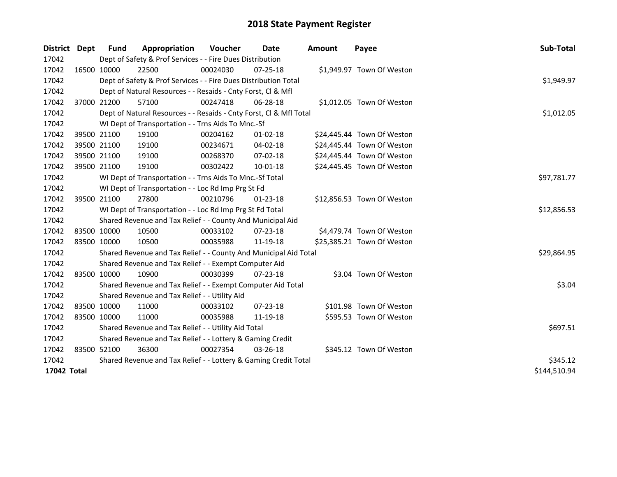| District    | <b>Dept</b> | Fund        | Appropriation                                                      | Voucher  | Date           | <b>Amount</b> | Payee                      | Sub-Total    |
|-------------|-------------|-------------|--------------------------------------------------------------------|----------|----------------|---------------|----------------------------|--------------|
| 17042       |             |             | Dept of Safety & Prof Services - - Fire Dues Distribution          |          |                |               |                            |              |
| 17042       |             | 16500 10000 | 22500                                                              | 00024030 | $07 - 25 - 18$ |               | \$1,949.97 Town Of Weston  |              |
| 17042       |             |             | Dept of Safety & Prof Services - - Fire Dues Distribution Total    |          |                |               |                            | \$1,949.97   |
| 17042       |             |             | Dept of Natural Resources - - Resaids - Cnty Forst, Cl & Mfl       |          |                |               |                            |              |
| 17042       |             | 37000 21200 | 57100                                                              | 00247418 | 06-28-18       |               | \$1,012.05 Town Of Weston  |              |
| 17042       |             |             | Dept of Natural Resources - - Resaids - Cnty Forst, Cl & Mfl Total |          |                |               |                            | \$1,012.05   |
| 17042       |             |             | WI Dept of Transportation - - Trns Aids To Mnc.-Sf                 |          |                |               |                            |              |
| 17042       |             | 39500 21100 | 19100                                                              | 00204162 | $01 - 02 - 18$ |               | \$24,445.44 Town Of Weston |              |
| 17042       |             | 39500 21100 | 19100                                                              | 00234671 | 04-02-18       |               | \$24,445.44 Town Of Weston |              |
| 17042       |             | 39500 21100 | 19100                                                              | 00268370 | 07-02-18       |               | \$24,445.44 Town Of Weston |              |
| 17042       |             | 39500 21100 | 19100                                                              | 00302422 | 10-01-18       |               | \$24,445.45 Town Of Weston |              |
| 17042       |             |             | WI Dept of Transportation - - Trns Aids To Mnc.-Sf Total           |          |                |               |                            | \$97,781.77  |
| 17042       |             |             | WI Dept of Transportation - - Loc Rd Imp Prg St Fd                 |          |                |               |                            |              |
| 17042       |             | 39500 21100 | 27800                                                              | 00210796 | $01 - 23 - 18$ |               | \$12,856.53 Town Of Weston |              |
| 17042       |             |             | WI Dept of Transportation - - Loc Rd Imp Prg St Fd Total           |          |                |               |                            | \$12,856.53  |
| 17042       |             |             | Shared Revenue and Tax Relief - - County And Municipal Aid         |          |                |               |                            |              |
| 17042       |             | 83500 10000 | 10500                                                              | 00033102 | 07-23-18       |               | \$4,479.74 Town Of Weston  |              |
| 17042       |             | 83500 10000 | 10500                                                              | 00035988 | 11-19-18       |               | \$25,385.21 Town Of Weston |              |
| 17042       |             |             | Shared Revenue and Tax Relief - - County And Municipal Aid Total   |          |                |               |                            | \$29,864.95  |
| 17042       |             |             | Shared Revenue and Tax Relief - - Exempt Computer Aid              |          |                |               |                            |              |
| 17042       |             | 83500 10000 | 10900                                                              | 00030399 | 07-23-18       |               | \$3.04 Town Of Weston      |              |
| 17042       |             |             | Shared Revenue and Tax Relief - - Exempt Computer Aid Total        |          |                |               |                            | \$3.04       |
| 17042       |             |             | Shared Revenue and Tax Relief - - Utility Aid                      |          |                |               |                            |              |
| 17042       |             | 83500 10000 | 11000                                                              | 00033102 | $07 - 23 - 18$ |               | \$101.98 Town Of Weston    |              |
| 17042       |             | 83500 10000 | 11000                                                              | 00035988 | 11-19-18       |               | \$595.53 Town Of Weston    |              |
| 17042       |             |             | Shared Revenue and Tax Relief - - Utility Aid Total                |          |                |               |                            | \$697.51     |
| 17042       |             |             | Shared Revenue and Tax Relief - - Lottery & Gaming Credit          |          |                |               |                            |              |
| 17042       |             | 83500 52100 | 36300                                                              | 00027354 | 03-26-18       |               | \$345.12 Town Of Weston    |              |
| 17042       |             |             | Shared Revenue and Tax Relief - - Lottery & Gaming Credit Total    |          |                |               |                            | \$345.12     |
| 17042 Total |             |             |                                                                    |          |                |               |                            | \$144,510.94 |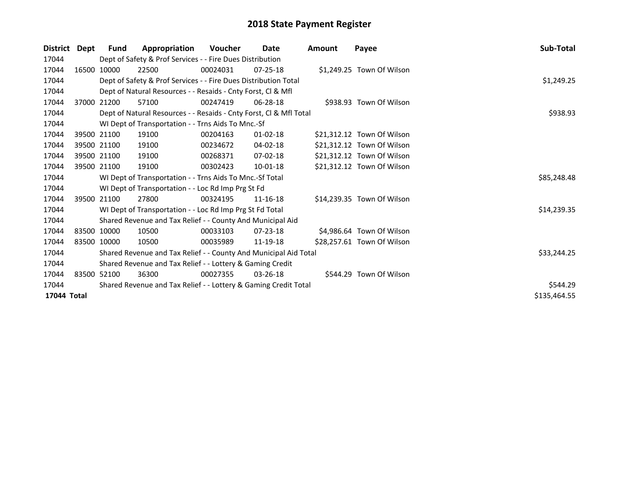| <b>District</b> | Dept | Fund        | Appropriation                                                      | Voucher  | Date           | <b>Amount</b> | Payee                      | Sub-Total    |
|-----------------|------|-------------|--------------------------------------------------------------------|----------|----------------|---------------|----------------------------|--------------|
| 17044           |      |             | Dept of Safety & Prof Services - - Fire Dues Distribution          |          |                |               |                            |              |
| 17044           |      | 16500 10000 | 22500                                                              | 00024031 | $07 - 25 - 18$ |               | \$1,249.25 Town Of Wilson  |              |
| 17044           |      |             | Dept of Safety & Prof Services - - Fire Dues Distribution Total    |          |                |               |                            | \$1,249.25   |
| 17044           |      |             | Dept of Natural Resources - - Resaids - Cnty Forst, Cl & Mfl       |          |                |               |                            |              |
| 17044           |      | 37000 21200 | 57100                                                              | 00247419 | $06 - 28 - 18$ |               | \$938.93 Town Of Wilson    |              |
| 17044           |      |             | Dept of Natural Resources - - Resaids - Cnty Forst, Cl & Mfl Total |          |                |               |                            | \$938.93     |
| 17044           |      |             | WI Dept of Transportation - - Trns Aids To Mnc.-Sf                 |          |                |               |                            |              |
| 17044           |      | 39500 21100 | 19100                                                              | 00204163 | $01 - 02 - 18$ |               | \$21,312.12 Town Of Wilson |              |
| 17044           |      | 39500 21100 | 19100                                                              | 00234672 | 04-02-18       |               | \$21,312.12 Town Of Wilson |              |
| 17044           |      | 39500 21100 | 19100                                                              | 00268371 | $07-02-18$     |               | \$21,312.12 Town Of Wilson |              |
| 17044           |      | 39500 21100 | 19100                                                              | 00302423 | $10 - 01 - 18$ |               | \$21,312.12 Town Of Wilson |              |
| 17044           |      |             | WI Dept of Transportation - - Trns Aids To Mnc.-Sf Total           |          |                |               |                            | \$85,248.48  |
| 17044           |      |             | WI Dept of Transportation - - Loc Rd Imp Prg St Fd                 |          |                |               |                            |              |
| 17044           |      | 39500 21100 | 27800                                                              | 00324195 | $11 - 16 - 18$ |               | \$14,239.35 Town Of Wilson |              |
| 17044           |      |             | WI Dept of Transportation - - Loc Rd Imp Prg St Fd Total           |          |                |               |                            | \$14,239.35  |
| 17044           |      |             | Shared Revenue and Tax Relief - - County And Municipal Aid         |          |                |               |                            |              |
| 17044           |      | 83500 10000 | 10500                                                              | 00033103 | $07 - 23 - 18$ |               | \$4,986.64 Town Of Wilson  |              |
| 17044           |      | 83500 10000 | 10500                                                              | 00035989 | 11-19-18       |               | \$28,257.61 Town Of Wilson |              |
| 17044           |      |             | Shared Revenue and Tax Relief - - County And Municipal Aid Total   |          |                |               |                            | \$33,244.25  |
| 17044           |      |             | Shared Revenue and Tax Relief - - Lottery & Gaming Credit          |          |                |               |                            |              |
| 17044           |      | 83500 52100 | 36300                                                              | 00027355 | $03 - 26 - 18$ |               | \$544.29 Town Of Wilson    |              |
| 17044           |      |             | Shared Revenue and Tax Relief - - Lottery & Gaming Credit Total    |          |                |               |                            | \$544.29     |
| 17044 Total     |      |             |                                                                    |          |                |               |                            | \$135,464.55 |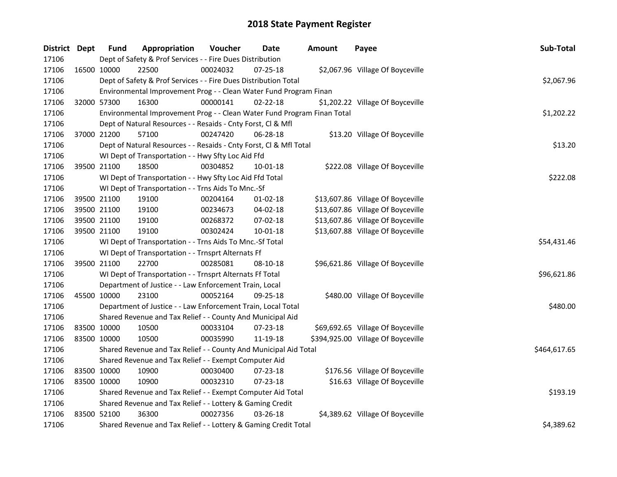| District Dept | <b>Fund</b> | Appropriation                                                           | Voucher  | Date           | <b>Amount</b> | Payee                              | Sub-Total    |
|---------------|-------------|-------------------------------------------------------------------------|----------|----------------|---------------|------------------------------------|--------------|
| 17106         |             | Dept of Safety & Prof Services - - Fire Dues Distribution               |          |                |               |                                    |              |
| 17106         | 16500 10000 | 22500                                                                   | 00024032 | 07-25-18       |               | \$2,067.96 Village Of Boyceville   |              |
| 17106         |             | Dept of Safety & Prof Services - - Fire Dues Distribution Total         |          |                |               |                                    | \$2,067.96   |
| 17106         |             | Environmental Improvement Prog - - Clean Water Fund Program Finan       |          |                |               |                                    |              |
| 17106         | 32000 57300 | 16300                                                                   | 00000141 | $02 - 22 - 18$ |               | \$1,202.22 Village Of Boyceville   |              |
| 17106         |             | Environmental Improvement Prog - - Clean Water Fund Program Finan Total |          |                |               |                                    | \$1,202.22   |
| 17106         |             | Dept of Natural Resources - - Resaids - Cnty Forst, Cl & Mfl            |          |                |               |                                    |              |
| 17106         | 37000 21200 | 57100                                                                   | 00247420 | 06-28-18       |               | \$13.20 Village Of Boyceville      |              |
| 17106         |             | Dept of Natural Resources - - Resaids - Cnty Forst, Cl & Mfl Total      |          |                |               |                                    | \$13.20      |
| 17106         |             | WI Dept of Transportation - - Hwy Sfty Loc Aid Ffd                      |          |                |               |                                    |              |
| 17106         | 39500 21100 | 18500                                                                   | 00304852 | 10-01-18       |               | \$222.08 Village Of Boyceville     |              |
| 17106         |             | WI Dept of Transportation - - Hwy Sfty Loc Aid Ffd Total                |          |                |               |                                    | \$222.08     |
| 17106         |             | WI Dept of Transportation - - Trns Aids To Mnc.-Sf                      |          |                |               |                                    |              |
| 17106         | 39500 21100 | 19100                                                                   | 00204164 | $01-02-18$     |               | \$13,607.86 Village Of Boyceville  |              |
| 17106         | 39500 21100 | 19100                                                                   | 00234673 | 04-02-18       |               | \$13,607.86 Village Of Boyceville  |              |
| 17106         | 39500 21100 | 19100                                                                   | 00268372 | 07-02-18       |               | \$13,607.86 Village Of Boyceville  |              |
| 17106         | 39500 21100 | 19100                                                                   | 00302424 | 10-01-18       |               | \$13,607.88 Village Of Boyceville  |              |
| 17106         |             | WI Dept of Transportation - - Trns Aids To Mnc.-Sf Total                |          |                |               |                                    | \$54,431.46  |
| 17106         |             | WI Dept of Transportation - - Trnsprt Alternats Ff                      |          |                |               |                                    |              |
| 17106         | 39500 21100 | 22700                                                                   | 00285081 | 08-10-18       |               | \$96,621.86 Village Of Boyceville  |              |
| 17106         |             | WI Dept of Transportation - - Trnsprt Alternats Ff Total                |          |                |               |                                    | \$96,621.86  |
| 17106         |             | Department of Justice - - Law Enforcement Train, Local                  |          |                |               |                                    |              |
| 17106         | 45500 10000 | 23100                                                                   | 00052164 | 09-25-18       |               | \$480.00 Village Of Boyceville     |              |
| 17106         |             | Department of Justice - - Law Enforcement Train, Local Total            |          |                |               |                                    | \$480.00     |
| 17106         |             | Shared Revenue and Tax Relief - - County And Municipal Aid              |          |                |               |                                    |              |
| 17106         | 83500 10000 | 10500                                                                   | 00033104 | 07-23-18       |               | \$69,692.65 Village Of Boyceville  |              |
| 17106         | 83500 10000 | 10500                                                                   | 00035990 | 11-19-18       |               | \$394,925.00 Village Of Boyceville |              |
| 17106         |             | Shared Revenue and Tax Relief - - County And Municipal Aid Total        |          |                |               |                                    | \$464,617.65 |
| 17106         |             | Shared Revenue and Tax Relief - - Exempt Computer Aid                   |          |                |               |                                    |              |
| 17106         | 83500 10000 | 10900                                                                   | 00030400 | 07-23-18       |               | \$176.56 Village Of Boyceville     |              |
| 17106         | 83500 10000 | 10900                                                                   | 00032310 | 07-23-18       |               | \$16.63 Village Of Boyceville      |              |
| 17106         |             | Shared Revenue and Tax Relief - - Exempt Computer Aid Total             | \$193.19 |                |               |                                    |              |
| 17106         |             | Shared Revenue and Tax Relief - - Lottery & Gaming Credit               |          |                |               |                                    |              |
| 17106         | 83500 52100 | 36300                                                                   | 00027356 | 03-26-18       |               | \$4,389.62 Village Of Boyceville   |              |
| 17106         |             | Shared Revenue and Tax Relief - - Lottery & Gaming Credit Total         |          |                |               |                                    | \$4,389.62   |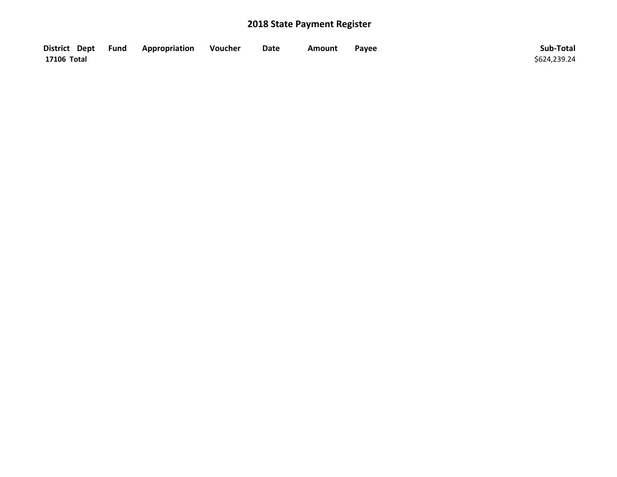| District Dept Fund | Appropriation | Voucher | Date | Amount | Payee | Sub-Total    |
|--------------------|---------------|---------|------|--------|-------|--------------|
| 17106 Total        |               |         |      |        |       | \$624,239.24 |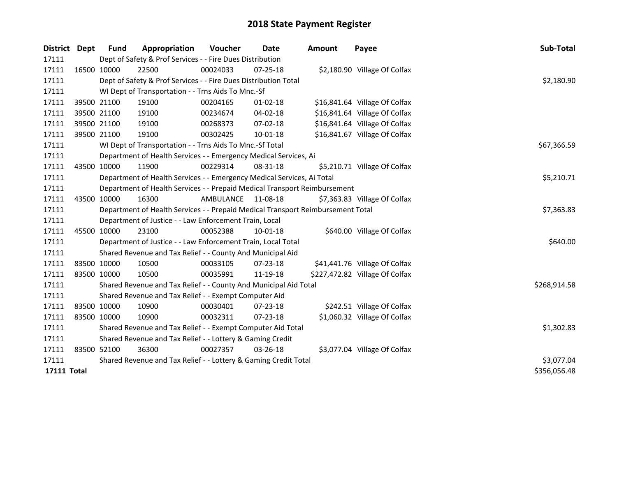| District           | <b>Dept</b> | Fund        | Appropriation                                                                   | <b>Voucher</b>     | Date           | <b>Amount</b> | Payee                          | Sub-Total    |
|--------------------|-------------|-------------|---------------------------------------------------------------------------------|--------------------|----------------|---------------|--------------------------------|--------------|
| 17111              |             |             | Dept of Safety & Prof Services - - Fire Dues Distribution                       |                    |                |               |                                |              |
| 17111              | 16500 10000 |             | 22500                                                                           | 00024033           | 07-25-18       |               | \$2,180.90 Village Of Colfax   |              |
| 17111              |             |             | Dept of Safety & Prof Services - - Fire Dues Distribution Total                 |                    |                |               |                                | \$2,180.90   |
| 17111              |             |             | WI Dept of Transportation - - Trns Aids To Mnc.-Sf                              |                    |                |               |                                |              |
| 17111              |             | 39500 21100 | 19100                                                                           | 00204165           | $01 - 02 - 18$ |               | \$16,841.64 Village Of Colfax  |              |
| 17111              |             | 39500 21100 | 19100                                                                           | 00234674           | 04-02-18       |               | \$16,841.64 Village Of Colfax  |              |
| 17111              |             | 39500 21100 | 19100                                                                           | 00268373           | $07 - 02 - 18$ |               | \$16,841.64 Village Of Colfax  |              |
| 17111              |             | 39500 21100 | 19100                                                                           | 00302425           | 10-01-18       |               | \$16,841.67 Village Of Colfax  |              |
| 17111              |             |             | WI Dept of Transportation - - Trns Aids To Mnc.-Sf Total                        |                    |                |               |                                | \$67,366.59  |
| 17111              |             |             | Department of Health Services - - Emergency Medical Services, Ai                |                    |                |               |                                |              |
| 17111              |             | 43500 10000 | 11900                                                                           | 00229314           | 08-31-18       |               | \$5,210.71 Village Of Colfax   |              |
| 17111              |             |             | Department of Health Services - - Emergency Medical Services, Ai Total          |                    |                |               |                                | \$5,210.71   |
| 17111              |             |             | Department of Health Services - - Prepaid Medical Transport Reimbursement       |                    |                |               |                                |              |
| 17111              | 43500 10000 |             | 16300                                                                           | AMBULANCE 11-08-18 |                |               | \$7,363.83 Village Of Colfax   |              |
| 17111              |             |             | Department of Health Services - - Prepaid Medical Transport Reimbursement Total |                    |                |               |                                | \$7,363.83   |
| 17111              |             |             | Department of Justice - - Law Enforcement Train, Local                          |                    |                |               |                                |              |
| 17111              |             | 45500 10000 | 23100                                                                           | 00052388           | $10 - 01 - 18$ |               | \$640.00 Village Of Colfax     |              |
| 17111              |             |             | Department of Justice - - Law Enforcement Train, Local Total                    |                    |                |               |                                | \$640.00     |
| 17111              |             |             | Shared Revenue and Tax Relief - - County And Municipal Aid                      |                    |                |               |                                |              |
| 17111              |             | 83500 10000 | 10500                                                                           | 00033105           | $07 - 23 - 18$ |               | \$41,441.76 Village Of Colfax  |              |
| 17111              |             | 83500 10000 | 10500                                                                           | 00035991           | 11-19-18       |               | \$227,472.82 Village Of Colfax |              |
| 17111              |             |             | Shared Revenue and Tax Relief - - County And Municipal Aid Total                |                    |                |               |                                | \$268,914.58 |
| 17111              |             |             | Shared Revenue and Tax Relief - - Exempt Computer Aid                           |                    |                |               |                                |              |
| 17111              |             | 83500 10000 | 10900                                                                           | 00030401           | 07-23-18       |               | \$242.51 Village Of Colfax     |              |
| 17111              | 83500 10000 |             | 10900                                                                           | 00032311           | 07-23-18       |               | \$1,060.32 Village Of Colfax   |              |
| 17111              |             |             | Shared Revenue and Tax Relief - - Exempt Computer Aid Total                     |                    |                |               |                                | \$1,302.83   |
| 17111              |             |             | Shared Revenue and Tax Relief - - Lottery & Gaming Credit                       |                    |                |               |                                |              |
| 17111              |             | 83500 52100 | 36300                                                                           | 00027357           | 03-26-18       |               | \$3,077.04 Village Of Colfax   |              |
| 17111              |             |             | Shared Revenue and Tax Relief - - Lottery & Gaming Credit Total                 | \$3,077.04         |                |               |                                |              |
| <b>17111 Total</b> |             |             |                                                                                 |                    |                |               |                                | \$356,056.48 |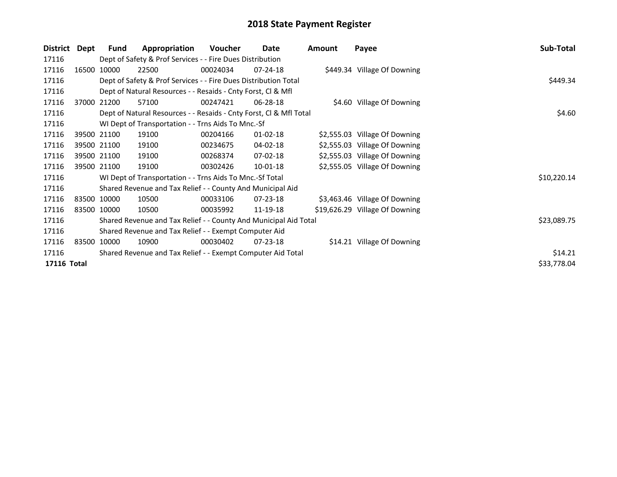| <b>District</b> | Dept  | Fund                                                        | Appropriation                                                      | Voucher  | Date           | <b>Amount</b> | Payee                          | Sub-Total   |  |  |
|-----------------|-------|-------------------------------------------------------------|--------------------------------------------------------------------|----------|----------------|---------------|--------------------------------|-------------|--|--|
| 17116           |       |                                                             | Dept of Safety & Prof Services - - Fire Dues Distribution          |          |                |               |                                |             |  |  |
| 17116           | 16500 | 10000                                                       | 22500                                                              | 00024034 | $07 - 24 - 18$ |               | \$449.34 Village Of Downing    |             |  |  |
| 17116           |       |                                                             | Dept of Safety & Prof Services - - Fire Dues Distribution Total    |          |                |               |                                | \$449.34    |  |  |
| 17116           |       |                                                             | Dept of Natural Resources - - Resaids - Cnty Forst, CI & Mfl       |          |                |               |                                |             |  |  |
| 17116           |       | 37000 21200                                                 | 57100                                                              | 00247421 | 06-28-18       |               | \$4.60 Village Of Downing      |             |  |  |
| 17116           |       |                                                             | Dept of Natural Resources - - Resaids - Cnty Forst, CI & Mfl Total | \$4.60   |                |               |                                |             |  |  |
| 17116           |       |                                                             | WI Dept of Transportation - - Trns Aids To Mnc.-Sf                 |          |                |               |                                |             |  |  |
| 17116           |       | 39500 21100                                                 | 19100                                                              | 00204166 | $01 - 02 - 18$ |               | \$2,555.03 Village Of Downing  |             |  |  |
| 17116           |       | 39500 21100                                                 | 19100                                                              | 00234675 | 04-02-18       |               | \$2,555.03 Village Of Downing  |             |  |  |
| 17116           |       | 39500 21100                                                 | 19100                                                              | 00268374 | $07-02-18$     |               | \$2,555.03 Village Of Downing  |             |  |  |
| 17116           |       | 39500 21100                                                 | 19100                                                              | 00302426 | $10-01-18$     |               | \$2,555.05 Village Of Downing  |             |  |  |
| 17116           |       |                                                             | WI Dept of Transportation - - Trns Aids To Mnc.-Sf Total           |          |                |               |                                | \$10,220.14 |  |  |
| 17116           |       |                                                             | Shared Revenue and Tax Relief - - County And Municipal Aid         |          |                |               |                                |             |  |  |
| 17116           |       | 83500 10000                                                 | 10500                                                              | 00033106 | 07-23-18       |               | \$3,463.46 Village Of Downing  |             |  |  |
| 17116           |       | 83500 10000                                                 | 10500                                                              | 00035992 | 11-19-18       |               | \$19,626.29 Village Of Downing |             |  |  |
| 17116           |       |                                                             | Shared Revenue and Tax Relief - - County And Municipal Aid Total   |          |                |               |                                | \$23,089.75 |  |  |
| 17116           |       |                                                             | Shared Revenue and Tax Relief - - Exempt Computer Aid              |          |                |               |                                |             |  |  |
| 17116           |       | 83500 10000                                                 | 10900                                                              | 00030402 | $07 - 23 - 18$ |               | \$14.21 Village Of Downing     |             |  |  |
| 17116           |       | Shared Revenue and Tax Relief - - Exempt Computer Aid Total |                                                                    |          |                |               |                                |             |  |  |
| 17116 Total     |       |                                                             |                                                                    |          |                |               |                                | \$33,778.04 |  |  |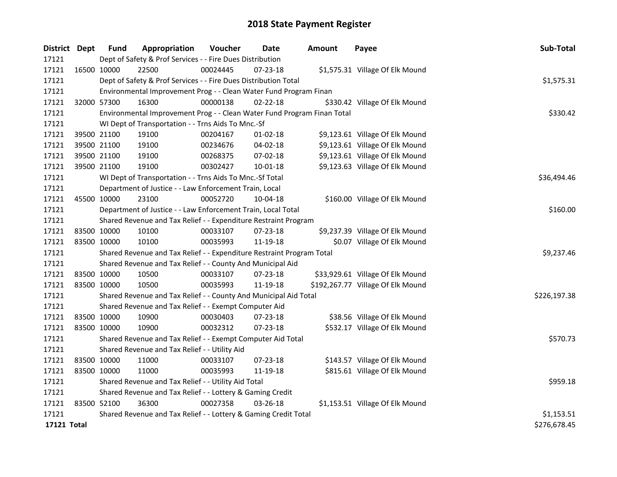| District Dept | <b>Fund</b> | Appropriation                                                           | Voucher  | Date           | <b>Amount</b> | Payee                             | Sub-Total    |
|---------------|-------------|-------------------------------------------------------------------------|----------|----------------|---------------|-----------------------------------|--------------|
| 17121         |             | Dept of Safety & Prof Services - - Fire Dues Distribution               |          |                |               |                                   |              |
| 17121         | 16500 10000 | 22500                                                                   | 00024445 | $07 - 23 - 18$ |               | \$1,575.31 Village Of Elk Mound   |              |
| 17121         |             | Dept of Safety & Prof Services - - Fire Dues Distribution Total         |          |                |               |                                   | \$1,575.31   |
| 17121         |             | Environmental Improvement Prog - - Clean Water Fund Program Finan       |          |                |               |                                   |              |
| 17121         | 32000 57300 | 16300                                                                   | 00000138 | $02 - 22 - 18$ |               | \$330.42 Village Of Elk Mound     |              |
| 17121         |             | Environmental Improvement Prog - - Clean Water Fund Program Finan Total | \$330.42 |                |               |                                   |              |
| 17121         |             | WI Dept of Transportation - - Trns Aids To Mnc.-Sf                      |          |                |               |                                   |              |
| 17121         | 39500 21100 | 19100                                                                   | 00204167 | $01 - 02 - 18$ |               | \$9,123.61 Village Of Elk Mound   |              |
| 17121         | 39500 21100 | 19100                                                                   | 00234676 | 04-02-18       |               | \$9,123.61 Village Of Elk Mound   |              |
| 17121         | 39500 21100 | 19100                                                                   | 00268375 | 07-02-18       |               | \$9,123.61 Village Of Elk Mound   |              |
| 17121         | 39500 21100 | 19100                                                                   | 00302427 | 10-01-18       |               | \$9,123.63 Village Of Elk Mound   |              |
| 17121         |             | WI Dept of Transportation - - Trns Aids To Mnc.-Sf Total                |          |                |               |                                   | \$36,494.46  |
| 17121         |             | Department of Justice - - Law Enforcement Train, Local                  |          |                |               |                                   |              |
| 17121         | 45500 10000 | 23100                                                                   | 00052720 | 10-04-18       |               | \$160.00 Village Of Elk Mound     |              |
| 17121         |             | Department of Justice - - Law Enforcement Train, Local Total            |          |                |               |                                   | \$160.00     |
| 17121         |             | Shared Revenue and Tax Relief - - Expenditure Restraint Program         |          |                |               |                                   |              |
| 17121         | 83500 10000 | 10100                                                                   | 00033107 | 07-23-18       |               | \$9,237.39 Village Of Elk Mound   |              |
| 17121         | 83500 10000 | 10100                                                                   | 00035993 | 11-19-18       |               | \$0.07 Village Of Elk Mound       |              |
| 17121         |             | Shared Revenue and Tax Relief - - Expenditure Restraint Program Total   |          |                |               |                                   | \$9,237.46   |
| 17121         |             | Shared Revenue and Tax Relief - - County And Municipal Aid              |          |                |               |                                   |              |
| 17121         | 83500 10000 | 10500                                                                   | 00033107 | 07-23-18       |               | \$33,929.61 Village Of Elk Mound  |              |
| 17121         | 83500 10000 | 10500                                                                   | 00035993 | 11-19-18       |               | \$192,267.77 Village Of Elk Mound |              |
| 17121         |             | Shared Revenue and Tax Relief - - County And Municipal Aid Total        |          |                |               |                                   | \$226,197.38 |
| 17121         |             | Shared Revenue and Tax Relief - - Exempt Computer Aid                   |          |                |               |                                   |              |
| 17121         | 83500 10000 | 10900                                                                   | 00030403 | 07-23-18       |               | \$38.56 Village Of Elk Mound      |              |
| 17121         | 83500 10000 | 10900                                                                   | 00032312 | 07-23-18       |               | \$532.17 Village Of Elk Mound     |              |
| 17121         |             | Shared Revenue and Tax Relief - - Exempt Computer Aid Total             |          |                |               |                                   | \$570.73     |
| 17121         |             | Shared Revenue and Tax Relief - - Utility Aid                           |          |                |               |                                   |              |
| 17121         | 83500 10000 | 11000                                                                   | 00033107 | $07 - 23 - 18$ |               | \$143.57 Village Of Elk Mound     |              |
| 17121         | 83500 10000 | 11000                                                                   | 00035993 | 11-19-18       |               | \$815.61 Village Of Elk Mound     |              |
| 17121         |             | Shared Revenue and Tax Relief - - Utility Aid Total                     |          |                |               |                                   | \$959.18     |
| 17121         |             | Shared Revenue and Tax Relief - - Lottery & Gaming Credit               |          |                |               |                                   |              |
| 17121         | 83500 52100 | 36300                                                                   | 00027358 | 03-26-18       |               | \$1,153.51 Village Of Elk Mound   |              |
| 17121         |             | Shared Revenue and Tax Relief - - Lottery & Gaming Credit Total         |          |                |               |                                   | \$1,153.51   |
| 17121 Total   |             |                                                                         |          |                |               |                                   | \$276,678.45 |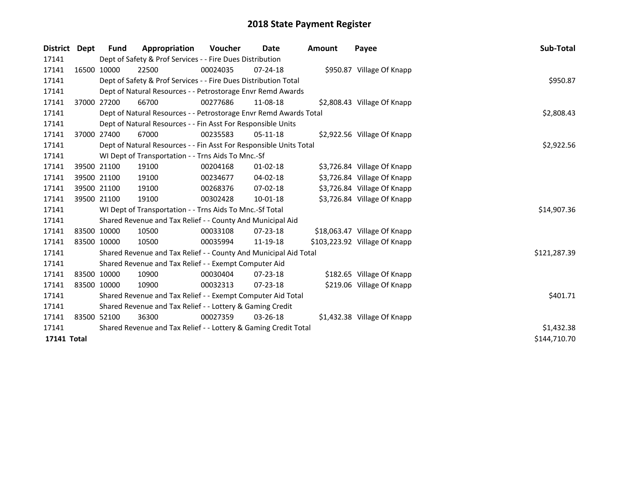| District    | Dept | <b>Fund</b> | Appropriation                                                      | Voucher  | Date           | <b>Amount</b> | Payee                         | Sub-Total    |
|-------------|------|-------------|--------------------------------------------------------------------|----------|----------------|---------------|-------------------------------|--------------|
| 17141       |      |             | Dept of Safety & Prof Services - - Fire Dues Distribution          |          |                |               |                               |              |
| 17141       |      | 16500 10000 | 22500                                                              | 00024035 | $07 - 24 - 18$ |               | \$950.87 Village Of Knapp     |              |
| 17141       |      |             | Dept of Safety & Prof Services - - Fire Dues Distribution Total    |          |                |               |                               | \$950.87     |
| 17141       |      |             | Dept of Natural Resources - - Petrostorage Envr Remd Awards        |          |                |               |                               |              |
| 17141       |      | 37000 27200 | 66700                                                              | 00277686 | 11-08-18       |               | \$2,808.43 Village Of Knapp   |              |
| 17141       |      |             | Dept of Natural Resources - - Petrostorage Envr Remd Awards Total  |          |                |               |                               | \$2,808.43   |
| 17141       |      |             | Dept of Natural Resources - - Fin Asst For Responsible Units       |          |                |               |                               |              |
| 17141       |      | 37000 27400 | 67000                                                              | 00235583 | $05-11-18$     |               | \$2,922.56 Village Of Knapp   |              |
| 17141       |      |             | Dept of Natural Resources - - Fin Asst For Responsible Units Total |          |                |               |                               | \$2,922.56   |
| 17141       |      |             | WI Dept of Transportation - - Trns Aids To Mnc.-Sf                 |          |                |               |                               |              |
| 17141       |      | 39500 21100 | 19100                                                              | 00204168 | $01 - 02 - 18$ |               | \$3,726.84 Village Of Knapp   |              |
| 17141       |      | 39500 21100 | 19100                                                              | 00234677 | 04-02-18       |               | \$3,726.84 Village Of Knapp   |              |
| 17141       |      | 39500 21100 | 19100                                                              | 00268376 | $07 - 02 - 18$ |               | \$3,726.84 Village Of Knapp   |              |
| 17141       |      | 39500 21100 | 19100                                                              | 00302428 | $10 - 01 - 18$ |               | \$3,726.84 Village Of Knapp   |              |
| 17141       |      |             | WI Dept of Transportation - - Trns Aids To Mnc.-Sf Total           |          |                |               |                               | \$14,907.36  |
| 17141       |      |             | Shared Revenue and Tax Relief - - County And Municipal Aid         |          |                |               |                               |              |
| 17141       |      | 83500 10000 | 10500                                                              | 00033108 | 07-23-18       |               | \$18,063.47 Village Of Knapp  |              |
| 17141       |      | 83500 10000 | 10500                                                              | 00035994 | 11-19-18       |               | \$103,223.92 Village Of Knapp |              |
| 17141       |      |             | Shared Revenue and Tax Relief - - County And Municipal Aid Total   |          |                |               |                               | \$121,287.39 |
| 17141       |      |             | Shared Revenue and Tax Relief - - Exempt Computer Aid              |          |                |               |                               |              |
| 17141       |      | 83500 10000 | 10900                                                              | 00030404 | $07 - 23 - 18$ |               | \$182.65 Village Of Knapp     |              |
| 17141       |      | 83500 10000 | 10900                                                              | 00032313 | 07-23-18       |               | \$219.06 Village Of Knapp     |              |
| 17141       |      |             | Shared Revenue and Tax Relief - - Exempt Computer Aid Total        |          |                |               |                               | \$401.71     |
| 17141       |      |             | Shared Revenue and Tax Relief - - Lottery & Gaming Credit          |          |                |               |                               |              |
| 17141       |      | 83500 52100 | 36300                                                              | 00027359 | $03 - 26 - 18$ |               | \$1,432.38 Village Of Knapp   |              |
| 17141       |      |             | Shared Revenue and Tax Relief - - Lottery & Gaming Credit Total    |          |                |               |                               | \$1,432.38   |
| 17141 Total |      |             |                                                                    |          |                |               |                               | \$144,710.70 |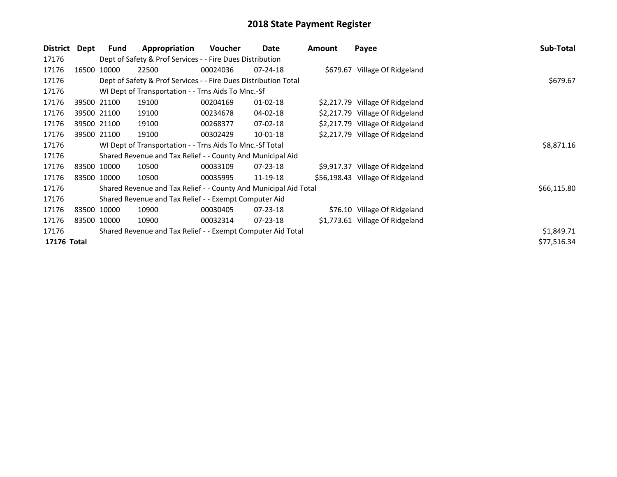| District Dept |       | Fund        | Appropriation                                                    | Voucher  | Date           | <b>Amount</b> | Payee                            | Sub-Total   |
|---------------|-------|-------------|------------------------------------------------------------------|----------|----------------|---------------|----------------------------------|-------------|
| 17176         |       |             | Dept of Safety & Prof Services - - Fire Dues Distribution        |          |                |               |                                  |             |
| 17176         |       | 16500 10000 | 22500                                                            | 00024036 | $07 - 24 - 18$ |               | \$679.67 Village Of Ridgeland    |             |
| 17176         |       |             | Dept of Safety & Prof Services - - Fire Dues Distribution Total  |          |                |               |                                  | \$679.67    |
| 17176         |       |             | WI Dept of Transportation - - Trns Aids To Mnc.-Sf               |          |                |               |                                  |             |
| 17176         |       | 39500 21100 | 19100                                                            | 00204169 | $01 - 02 - 18$ |               | \$2,217.79 Village Of Ridgeland  |             |
| 17176         |       | 39500 21100 | 19100                                                            | 00234678 | 04-02-18       |               | \$2,217.79 Village Of Ridgeland  |             |
| 17176         |       | 39500 21100 | 19100                                                            | 00268377 | $07 - 02 - 18$ |               | \$2,217.79 Village Of Ridgeland  |             |
| 17176         |       | 39500 21100 | 19100                                                            | 00302429 | $10-01-18$     |               | \$2,217.79 Village Of Ridgeland  |             |
| 17176         |       |             | WI Dept of Transportation - - Trns Aids To Mnc.-Sf Total         |          |                |               |                                  | \$8,871.16  |
| 17176         |       |             | Shared Revenue and Tax Relief - - County And Municipal Aid       |          |                |               |                                  |             |
| 17176         |       | 83500 10000 | 10500                                                            | 00033109 | 07-23-18       |               | \$9,917.37 Village Of Ridgeland  |             |
| 17176         |       | 83500 10000 | 10500                                                            | 00035995 | 11-19-18       |               | \$56,198.43 Village Of Ridgeland |             |
| 17176         |       |             | Shared Revenue and Tax Relief - - County And Municipal Aid Total |          |                |               |                                  | \$66,115.80 |
| 17176         |       |             | Shared Revenue and Tax Relief - - Exempt Computer Aid            |          |                |               |                                  |             |
| 17176         |       | 83500 10000 | 10900                                                            | 00030405 | 07-23-18       |               | \$76.10 Village Of Ridgeland     |             |
| 17176         | 83500 | 10000       | 10900                                                            | 00032314 | $07 - 23 - 18$ |               | \$1,773.61 Village Of Ridgeland  |             |
| 17176         |       |             | Shared Revenue and Tax Relief - - Exempt Computer Aid Total      |          |                |               |                                  | \$1,849.71  |
| 17176 Total   |       |             |                                                                  |          |                |               |                                  | \$77,516.34 |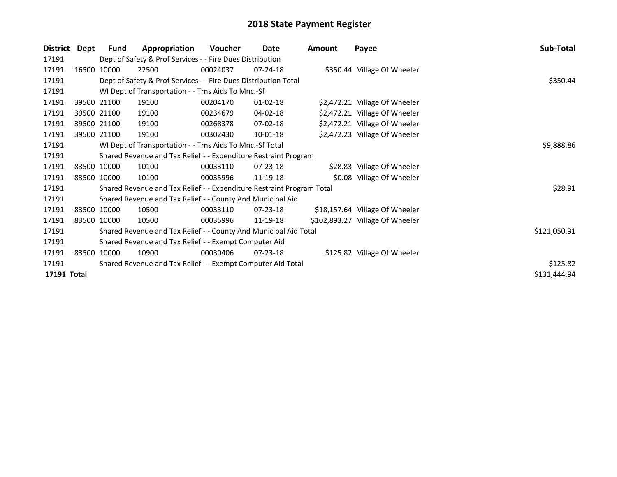| District    | Dept  | <b>Fund</b>                                               | Appropriation                                                         | Voucher  | Date           | Amount | Payee                           | Sub-Total    |  |  |  |
|-------------|-------|-----------------------------------------------------------|-----------------------------------------------------------------------|----------|----------------|--------|---------------------------------|--------------|--|--|--|
| 17191       |       | Dept of Safety & Prof Services - - Fire Dues Distribution |                                                                       |          |                |        |                                 |              |  |  |  |
| 17191       | 16500 | 10000                                                     | 22500                                                                 | 00024037 | $07 - 24 - 18$ |        | \$350.44 Village Of Wheeler     |              |  |  |  |
| 17191       |       |                                                           | Dept of Safety & Prof Services - - Fire Dues Distribution Total       |          |                |        |                                 | \$350.44     |  |  |  |
| 17191       |       |                                                           | WI Dept of Transportation - - Trns Aids To Mnc.-Sf                    |          |                |        |                                 |              |  |  |  |
| 17191       |       | 39500 21100                                               | 19100                                                                 | 00204170 | $01 - 02 - 18$ |        | \$2,472.21 Village Of Wheeler   |              |  |  |  |
| 17191       |       | 39500 21100                                               | 19100                                                                 | 00234679 | 04-02-18       |        | \$2,472.21 Village Of Wheeler   |              |  |  |  |
| 17191       |       | 39500 21100                                               | 19100                                                                 | 00268378 | 07-02-18       |        | \$2,472.21 Village Of Wheeler   |              |  |  |  |
| 17191       |       | 39500 21100                                               | 19100                                                                 | 00302430 | 10-01-18       |        | \$2,472.23 Village Of Wheeler   |              |  |  |  |
| 17191       |       |                                                           | WI Dept of Transportation - - Trns Aids To Mnc.-Sf Total              |          |                |        |                                 | \$9,888.86   |  |  |  |
| 17191       |       |                                                           | Shared Revenue and Tax Relief - - Expenditure Restraint Program       |          |                |        |                                 |              |  |  |  |
| 17191       |       | 83500 10000                                               | 10100                                                                 | 00033110 | 07-23-18       |        | \$28.83 Village Of Wheeler      |              |  |  |  |
| 17191       |       | 83500 10000                                               | 10100                                                                 | 00035996 | 11-19-18       |        | \$0.08 Village Of Wheeler       |              |  |  |  |
| 17191       |       |                                                           | Shared Revenue and Tax Relief - - Expenditure Restraint Program Total |          |                |        |                                 | \$28.91      |  |  |  |
| 17191       |       |                                                           | Shared Revenue and Tax Relief - - County And Municipal Aid            |          |                |        |                                 |              |  |  |  |
| 17191       |       | 83500 10000                                               | 10500                                                                 | 00033110 | $07 - 23 - 18$ |        | \$18,157.64 Village Of Wheeler  |              |  |  |  |
| 17191       |       | 83500 10000                                               | 10500                                                                 | 00035996 | 11-19-18       |        | \$102,893.27 Village Of Wheeler |              |  |  |  |
| 17191       |       |                                                           | Shared Revenue and Tax Relief - - County And Municipal Aid Total      |          |                |        |                                 | \$121,050.91 |  |  |  |
| 17191       |       |                                                           | Shared Revenue and Tax Relief - - Exempt Computer Aid                 |          |                |        |                                 |              |  |  |  |
| 17191       |       | 83500 10000                                               | 10900                                                                 | 00030406 | $07 - 23 - 18$ |        | \$125.82 Village Of Wheeler     |              |  |  |  |
| 17191       |       |                                                           | Shared Revenue and Tax Relief - - Exempt Computer Aid Total           |          |                |        |                                 | \$125.82     |  |  |  |
| 17191 Total |       |                                                           |                                                                       |          |                |        |                                 | \$131,444.94 |  |  |  |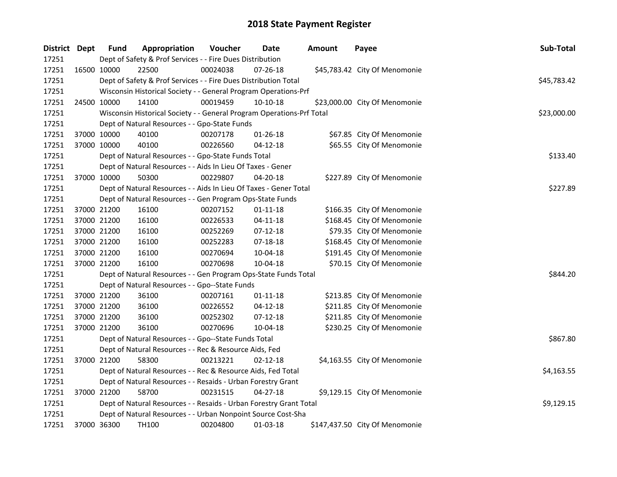| District Dept | <b>Fund</b> | Appropriation                                                         | Voucher  | Date           | <b>Amount</b> | Payee                          | Sub-Total   |
|---------------|-------------|-----------------------------------------------------------------------|----------|----------------|---------------|--------------------------------|-------------|
| 17251         |             | Dept of Safety & Prof Services - - Fire Dues Distribution             |          |                |               |                                |             |
| 17251         | 16500 10000 | 22500                                                                 | 00024038 | 07-26-18       |               | \$45,783.42 City Of Menomonie  |             |
| 17251         |             | Dept of Safety & Prof Services - - Fire Dues Distribution Total       |          |                |               |                                | \$45,783.42 |
| 17251         |             | Wisconsin Historical Society - - General Program Operations-Prf       |          |                |               |                                |             |
| 17251         | 24500 10000 | 14100                                                                 | 00019459 | $10-10-18$     |               | \$23,000.00 City Of Menomonie  |             |
| 17251         |             | Wisconsin Historical Society - - General Program Operations-Prf Total |          |                |               |                                | \$23,000.00 |
| 17251         |             | Dept of Natural Resources - - Gpo-State Funds                         |          |                |               |                                |             |
| 17251         | 37000 10000 | 40100                                                                 | 00207178 | 01-26-18       |               | \$67.85 City Of Menomonie      |             |
| 17251         | 37000 10000 | 40100                                                                 | 00226560 | $04 - 12 - 18$ |               | \$65.55 City Of Menomonie      |             |
| 17251         |             | Dept of Natural Resources - - Gpo-State Funds Total                   |          |                |               |                                | \$133.40    |
| 17251         |             | Dept of Natural Resources - - Aids In Lieu Of Taxes - Gener           |          |                |               |                                |             |
| 17251         | 37000 10000 | 50300                                                                 | 00229807 | 04-20-18       |               | \$227.89 City Of Menomonie     |             |
| 17251         |             | Dept of Natural Resources - - Aids In Lieu Of Taxes - Gener Total     |          |                |               |                                | \$227.89    |
| 17251         |             | Dept of Natural Resources - - Gen Program Ops-State Funds             |          |                |               |                                |             |
| 17251         | 37000 21200 | 16100                                                                 | 00207152 | $01 - 11 - 18$ |               | \$166.35 City Of Menomonie     |             |
| 17251         | 37000 21200 | 16100                                                                 | 00226533 | 04-11-18       |               | \$168.45 City Of Menomonie     |             |
| 17251         | 37000 21200 | 16100                                                                 | 00252269 | $07-12-18$     |               | \$79.35 City Of Menomonie      |             |
| 17251         | 37000 21200 | 16100                                                                 | 00252283 | 07-18-18       |               | \$168.45 City Of Menomonie     |             |
| 17251         | 37000 21200 | 16100                                                                 | 00270694 | 10-04-18       |               | \$191.45 City Of Menomonie     |             |
| 17251         | 37000 21200 | 16100                                                                 | 00270698 | 10-04-18       |               | \$70.15 City Of Menomonie      |             |
| 17251         |             | Dept of Natural Resources - - Gen Program Ops-State Funds Total       |          |                |               |                                | \$844.20    |
| 17251         |             | Dept of Natural Resources - - Gpo--State Funds                        |          |                |               |                                |             |
| 17251         | 37000 21200 | 36100                                                                 | 00207161 | $01 - 11 - 18$ |               | \$213.85 City Of Menomonie     |             |
| 17251         | 37000 21200 | 36100                                                                 | 00226552 | $04 - 12 - 18$ |               | \$211.85 City Of Menomonie     |             |
| 17251         | 37000 21200 | 36100                                                                 | 00252302 | $07-12-18$     |               | \$211.85 City Of Menomonie     |             |
| 17251         | 37000 21200 | 36100                                                                 | 00270696 | 10-04-18       |               | \$230.25 City Of Menomonie     |             |
| 17251         |             | Dept of Natural Resources - - Gpo--State Funds Total                  |          |                |               |                                | \$867.80    |
| 17251         |             | Dept of Natural Resources - - Rec & Resource Aids, Fed                |          |                |               |                                |             |
| 17251         | 37000 21200 | 58300                                                                 | 00213221 | $02 - 12 - 18$ |               | \$4,163.55 City Of Menomonie   |             |
| 17251         |             | Dept of Natural Resources - - Rec & Resource Aids, Fed Total          |          |                |               |                                | \$4,163.55  |
| 17251         |             | Dept of Natural Resources - - Resaids - Urban Forestry Grant          |          |                |               |                                |             |
| 17251         | 37000 21200 | 58700                                                                 | 00231515 | $04 - 27 - 18$ |               | \$9,129.15 City Of Menomonie   |             |
| 17251         |             | Dept of Natural Resources - - Resaids - Urban Forestry Grant Total    |          |                |               |                                | \$9,129.15  |
| 17251         |             | Dept of Natural Resources - - Urban Nonpoint Source Cost-Sha          |          |                |               |                                |             |
| 17251         | 37000 36300 | TH100                                                                 | 00204800 | 01-03-18       |               | \$147,437.50 City Of Menomonie |             |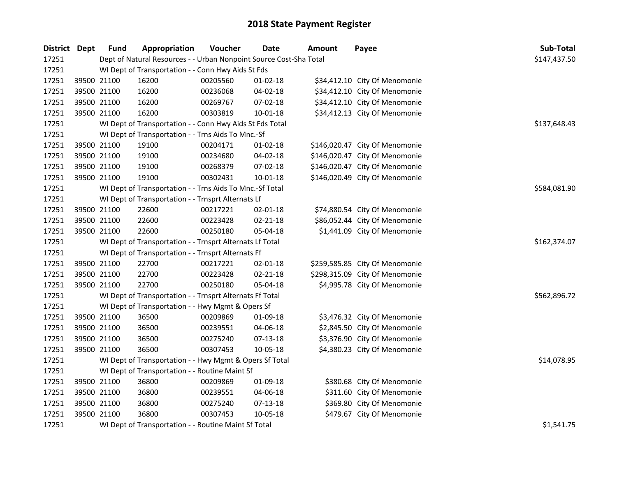| <b>District Dept</b> |             | <b>Fund</b> | Appropriation                                                      | Voucher  | <b>Date</b>    | <b>Amount</b> | Payee                          | Sub-Total    |
|----------------------|-------------|-------------|--------------------------------------------------------------------|----------|----------------|---------------|--------------------------------|--------------|
| 17251                |             |             | Dept of Natural Resources - - Urban Nonpoint Source Cost-Sha Total |          |                |               |                                | \$147,437.50 |
| 17251                |             |             | WI Dept of Transportation - - Conn Hwy Aids St Fds                 |          |                |               |                                |              |
| 17251                |             | 39500 21100 | 16200                                                              | 00205560 | $01 - 02 - 18$ |               | \$34,412.10 City Of Menomonie  |              |
| 17251                |             | 39500 21100 | 16200                                                              | 00236068 | 04-02-18       |               | \$34,412.10 City Of Menomonie  |              |
| 17251                |             | 39500 21100 | 16200                                                              | 00269767 | 07-02-18       |               | \$34,412.10 City Of Menomonie  |              |
| 17251                |             | 39500 21100 | 16200                                                              | 00303819 | $10 - 01 - 18$ |               | \$34,412.13 City Of Menomonie  |              |
| 17251                |             |             | WI Dept of Transportation - - Conn Hwy Aids St Fds Total           |          |                |               |                                | \$137,648.43 |
| 17251                |             |             | WI Dept of Transportation - - Trns Aids To Mnc.-Sf                 |          |                |               |                                |              |
| 17251                |             | 39500 21100 | 19100                                                              | 00204171 | $01 - 02 - 18$ |               | \$146,020.47 City Of Menomonie |              |
| 17251                |             | 39500 21100 | 19100                                                              | 00234680 | 04-02-18       |               | \$146,020.47 City Of Menomonie |              |
| 17251                |             | 39500 21100 | 19100                                                              | 00268379 | 07-02-18       |               | \$146,020.47 City Of Menomonie |              |
| 17251                | 39500 21100 |             | 19100                                                              | 00302431 | $10 - 01 - 18$ |               | \$146,020.49 City Of Menomonie |              |
| 17251                |             |             | WI Dept of Transportation - - Trns Aids To Mnc.-Sf Total           |          |                |               |                                | \$584,081.90 |
| 17251                |             |             | WI Dept of Transportation - - Trnsprt Alternats Lf                 |          |                |               |                                |              |
| 17251                |             | 39500 21100 | 22600                                                              | 00217221 | 02-01-18       |               | \$74,880.54 City Of Menomonie  |              |
| 17251                |             | 39500 21100 | 22600                                                              | 00223428 | $02 - 21 - 18$ |               | \$86,052.44 City Of Menomonie  |              |
| 17251                |             | 39500 21100 | 22600                                                              | 00250180 | 05-04-18       |               | \$1,441.09 City Of Menomonie   |              |
| 17251                |             |             | WI Dept of Transportation - - Trnsprt Alternats Lf Total           |          |                |               |                                | \$162,374.07 |
| 17251                |             |             | WI Dept of Transportation - - Trnsprt Alternats Ff                 |          |                |               |                                |              |
| 17251                |             | 39500 21100 | 22700                                                              | 00217221 | $02 - 01 - 18$ |               | \$259,585.85 City Of Menomonie |              |
| 17251                |             | 39500 21100 | 22700                                                              | 00223428 | $02 - 21 - 18$ |               | \$298,315.09 City Of Menomonie |              |
| 17251                | 39500 21100 |             | 22700                                                              | 00250180 | 05-04-18       |               | \$4,995.78 City Of Menomonie   |              |
| 17251                |             |             | WI Dept of Transportation - - Trnsprt Alternats Ff Total           |          |                |               |                                | \$562,896.72 |
| 17251                |             |             | WI Dept of Transportation - - Hwy Mgmt & Opers Sf                  |          |                |               |                                |              |
| 17251                |             | 39500 21100 | 36500                                                              | 00209869 | 01-09-18       |               | \$3,476.32 City Of Menomonie   |              |
| 17251                | 39500 21100 |             | 36500                                                              | 00239551 | 04-06-18       |               | \$2,845.50 City Of Menomonie   |              |
| 17251                |             | 39500 21100 | 36500                                                              | 00275240 | 07-13-18       |               | \$3,376.90 City Of Menomonie   |              |
| 17251                |             | 39500 21100 | 36500                                                              | 00307453 | 10-05-18       |               | \$4,380.23 City Of Menomonie   |              |
| 17251                |             |             | WI Dept of Transportation - - Hwy Mgmt & Opers Sf Total            |          |                |               |                                | \$14,078.95  |
| 17251                |             |             | WI Dept of Transportation - - Routine Maint Sf                     |          |                |               |                                |              |
| 17251                |             | 39500 21100 | 36800                                                              | 00209869 | 01-09-18       |               | \$380.68 City Of Menomonie     |              |
| 17251                |             | 39500 21100 | 36800                                                              | 00239551 | 04-06-18       |               | \$311.60 City Of Menomonie     |              |
| 17251                |             | 39500 21100 | 36800                                                              | 00275240 | 07-13-18       |               | \$369.80 City Of Menomonie     |              |
| 17251                | 39500 21100 |             | 36800                                                              | 00307453 | 10-05-18       |               | \$479.67 City Of Menomonie     |              |
| 17251                |             |             | WI Dept of Transportation - - Routine Maint Sf Total               |          |                |               |                                | \$1,541.75   |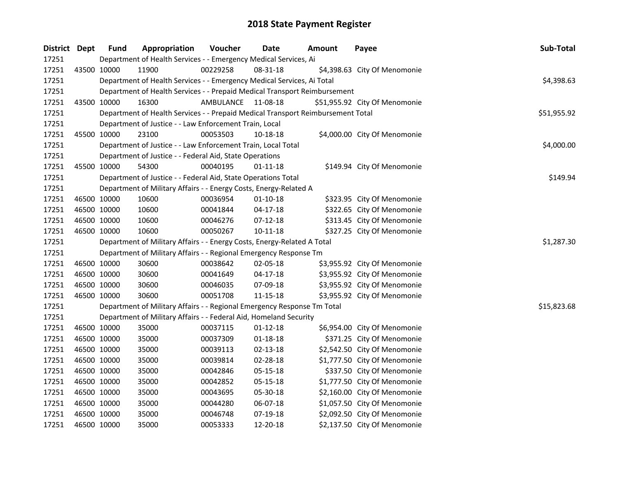| District Dept |             | <b>Fund</b>                                                                     | Appropriation                                                             | Voucher            | Date           | Amount | Payee                         | Sub-Total   |
|---------------|-------------|---------------------------------------------------------------------------------|---------------------------------------------------------------------------|--------------------|----------------|--------|-------------------------------|-------------|
| 17251         |             | Department of Health Services - - Emergency Medical Services, Ai                |                                                                           |                    |                |        |                               |             |
| 17251         |             | 43500 10000                                                                     | 11900                                                                     | 00229258           | 08-31-18       |        | \$4,398.63 City Of Menomonie  |             |
| 17251         |             |                                                                                 | Department of Health Services - - Emergency Medical Services, Ai Total    |                    |                |        |                               | \$4,398.63  |
| 17251         |             |                                                                                 | Department of Health Services - - Prepaid Medical Transport Reimbursement |                    |                |        |                               |             |
| 17251         |             | 43500 10000                                                                     | 16300                                                                     | AMBULANCE 11-08-18 |                |        | \$51,955.92 City Of Menomonie |             |
| 17251         |             | Department of Health Services - - Prepaid Medical Transport Reimbursement Total | \$51,955.92                                                               |                    |                |        |                               |             |
| 17251         |             |                                                                                 | Department of Justice - - Law Enforcement Train, Local                    |                    |                |        |                               |             |
| 17251         |             | 45500 10000                                                                     | 23100                                                                     | 00053503           | 10-18-18       |        | \$4,000.00 City Of Menomonie  |             |
| 17251         |             |                                                                                 | Department of Justice - - Law Enforcement Train, Local Total              |                    |                |        |                               | \$4,000.00  |
| 17251         |             |                                                                                 | Department of Justice - - Federal Aid, State Operations                   |                    |                |        |                               |             |
| 17251         |             | 45500 10000                                                                     | 54300                                                                     | 00040195           | $01 - 11 - 18$ |        | \$149.94 City Of Menomonie    |             |
| 17251         |             |                                                                                 | Department of Justice - - Federal Aid, State Operations Total             |                    |                |        |                               | \$149.94    |
| 17251         |             |                                                                                 | Department of Military Affairs - - Energy Costs, Energy-Related A         |                    |                |        |                               |             |
| 17251         |             | 46500 10000                                                                     | 10600                                                                     | 00036954           | 01-10-18       |        | \$323.95 City Of Menomonie    |             |
| 17251         |             | 46500 10000                                                                     | 10600                                                                     | 00041844           | 04-17-18       |        | \$322.65 City Of Menomonie    |             |
| 17251         |             | 46500 10000                                                                     | 10600                                                                     | 00046276           | $07-12-18$     |        | \$313.45 City Of Menomonie    |             |
| 17251         |             | 46500 10000                                                                     | 10600                                                                     | 00050267           | $10 - 11 - 18$ |        | \$327.25 City Of Menomonie    |             |
| 17251         |             |                                                                                 | Department of Military Affairs - - Energy Costs, Energy-Related A Total   |                    |                |        |                               | \$1,287.30  |
| 17251         |             |                                                                                 | Department of Military Affairs - - Regional Emergency Response Tm         |                    |                |        |                               |             |
| 17251         |             | 46500 10000                                                                     | 30600                                                                     | 00038642           | 02-05-18       |        | \$3,955.92 City Of Menomonie  |             |
| 17251         | 46500 10000 |                                                                                 | 30600                                                                     | 00041649           | $04-17-18$     |        | \$3,955.92 City Of Menomonie  |             |
| 17251         | 46500 10000 |                                                                                 | 30600                                                                     | 00046035           | 07-09-18       |        | \$3,955.92 City Of Menomonie  |             |
| 17251         |             | 46500 10000                                                                     | 30600                                                                     | 00051708           | 11-15-18       |        | \$3,955.92 City Of Menomonie  |             |
| 17251         |             |                                                                                 | Department of Military Affairs - - Regional Emergency Response Tm Total   |                    |                |        |                               | \$15,823.68 |
| 17251         |             |                                                                                 | Department of Military Affairs - - Federal Aid, Homeland Security         |                    |                |        |                               |             |
| 17251         |             | 46500 10000                                                                     | 35000                                                                     | 00037115           | $01 - 12 - 18$ |        | \$6,954.00 City Of Menomonie  |             |
| 17251         |             | 46500 10000                                                                     | 35000                                                                     | 00037309           | $01 - 18 - 18$ |        | \$371.25 City Of Menomonie    |             |
| 17251         |             | 46500 10000                                                                     | 35000                                                                     | 00039113           | $02 - 13 - 18$ |        | \$2,542.50 City Of Menomonie  |             |
| 17251         |             | 46500 10000                                                                     | 35000                                                                     | 00039814           | 02-28-18       |        | \$1,777.50 City Of Menomonie  |             |
| 17251         |             | 46500 10000                                                                     | 35000                                                                     | 00042846           | 05-15-18       |        | \$337.50 City Of Menomonie    |             |
| 17251         |             | 46500 10000                                                                     | 35000                                                                     | 00042852           | 05-15-18       |        | \$1,777.50 City Of Menomonie  |             |
| 17251         |             | 46500 10000                                                                     | 35000                                                                     | 00043695           | 05-30-18       |        | \$2,160.00 City Of Menomonie  |             |
| 17251         | 46500 10000 |                                                                                 | 35000                                                                     | 00044280           | 06-07-18       |        | \$1,057.50 City Of Menomonie  |             |
| 17251         | 46500 10000 |                                                                                 | 35000                                                                     | 00046748           | 07-19-18       |        | \$2,092.50 City Of Menomonie  |             |
| 17251         | 46500 10000 |                                                                                 | 35000                                                                     | 00053333           | 12-20-18       |        | \$2,137.50 City Of Menomonie  |             |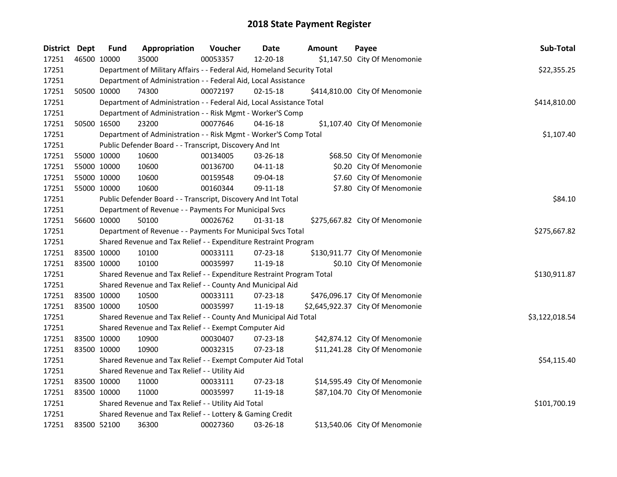| District Dept | <b>Fund</b> | Appropriation                                                           | Voucher  | <b>Date</b>    | Amount | Payee                            | Sub-Total      |
|---------------|-------------|-------------------------------------------------------------------------|----------|----------------|--------|----------------------------------|----------------|
| 17251         | 46500 10000 | 35000                                                                   | 00053357 | 12-20-18       |        | \$1,147.50 City Of Menomonie     |                |
| 17251         |             | Department of Military Affairs - - Federal Aid, Homeland Security Total |          |                |        |                                  | \$22,355.25    |
| 17251         |             | Department of Administration - - Federal Aid, Local Assistance          |          |                |        |                                  |                |
| 17251         | 50500 10000 | 74300                                                                   | 00072197 | $02 - 15 - 18$ |        | \$414,810.00 City Of Menomonie   |                |
| 17251         |             | Department of Administration - - Federal Aid, Local Assistance Total    |          |                |        |                                  | \$414,810.00   |
| 17251         |             | Department of Administration - - Risk Mgmt - Worker'S Comp              |          |                |        |                                  |                |
| 17251         | 50500 16500 | 23200                                                                   | 00077646 | $04 - 16 - 18$ |        | \$1,107.40 City Of Menomonie     |                |
| 17251         |             | Department of Administration - - Risk Mgmt - Worker'S Comp Total        |          |                |        |                                  | \$1,107.40     |
| 17251         |             | Public Defender Board - - Transcript, Discovery And Int                 |          |                |        |                                  |                |
| 17251         | 55000 10000 | 10600                                                                   | 00134005 | 03-26-18       |        | \$68.50 City Of Menomonie        |                |
| 17251         | 55000 10000 | 10600                                                                   | 00136700 | $04 - 11 - 18$ |        | \$0.20 City Of Menomonie         |                |
| 17251         | 55000 10000 | 10600                                                                   | 00159548 | 09-04-18       |        | \$7.60 City Of Menomonie         |                |
| 17251         | 55000 10000 | 10600                                                                   | 00160344 | 09-11-18       |        | \$7.80 City Of Menomonie         |                |
| 17251         |             | Public Defender Board - - Transcript, Discovery And Int Total           |          |                |        |                                  | \$84.10        |
| 17251         |             | Department of Revenue - - Payments For Municipal Svcs                   |          |                |        |                                  |                |
| 17251         | 56600 10000 | 50100                                                                   | 00026762 | $01 - 31 - 18$ |        | \$275,667.82 City Of Menomonie   |                |
| 17251         |             | Department of Revenue - - Payments For Municipal Svcs Total             |          |                |        |                                  | \$275,667.82   |
| 17251         |             | Shared Revenue and Tax Relief - - Expenditure Restraint Program         |          |                |        |                                  |                |
| 17251         | 83500 10000 | 10100                                                                   | 00033111 | 07-23-18       |        | \$130,911.77 City Of Menomonie   |                |
| 17251         | 83500 10000 | 10100                                                                   | 00035997 | 11-19-18       |        | \$0.10 City Of Menomonie         |                |
| 17251         |             | Shared Revenue and Tax Relief - - Expenditure Restraint Program Total   |          |                |        |                                  | \$130,911.87   |
| 17251         |             | Shared Revenue and Tax Relief - - County And Municipal Aid              |          |                |        |                                  |                |
| 17251         | 83500 10000 | 10500                                                                   | 00033111 | 07-23-18       |        | \$476,096.17 City Of Menomonie   |                |
| 17251         | 83500 10000 | 10500                                                                   | 00035997 | 11-19-18       |        | \$2,645,922.37 City Of Menomonie |                |
| 17251         |             | Shared Revenue and Tax Relief - - County And Municipal Aid Total        |          |                |        |                                  | \$3,122,018.54 |
| 17251         |             | Shared Revenue and Tax Relief - - Exempt Computer Aid                   |          |                |        |                                  |                |
| 17251         | 83500 10000 | 10900                                                                   | 00030407 | 07-23-18       |        | \$42,874.12 City Of Menomonie    |                |
| 17251         | 83500 10000 | 10900                                                                   | 00032315 | 07-23-18       |        | \$11,241.28 City Of Menomonie    |                |
| 17251         |             | Shared Revenue and Tax Relief - - Exempt Computer Aid Total             |          |                |        |                                  | \$54,115.40    |
| 17251         |             | Shared Revenue and Tax Relief - - Utility Aid                           |          |                |        |                                  |                |
| 17251         | 83500 10000 | 11000                                                                   | 00033111 | 07-23-18       |        | \$14,595.49 City Of Menomonie    |                |
| 17251         | 83500 10000 | 11000                                                                   | 00035997 | 11-19-18       |        | \$87,104.70 City Of Menomonie    |                |
| 17251         |             | Shared Revenue and Tax Relief - - Utility Aid Total                     |          |                |        |                                  | \$101,700.19   |
| 17251         |             | Shared Revenue and Tax Relief - - Lottery & Gaming Credit               |          |                |        |                                  |                |
| 17251         | 83500 52100 | 36300                                                                   | 00027360 | 03-26-18       |        | \$13,540.06 City Of Menomonie    |                |